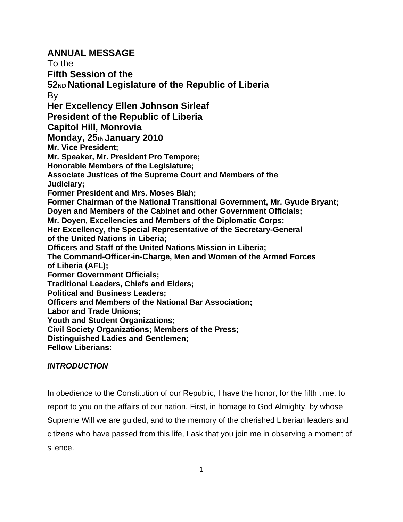# **ANNUAL MESSAGE**

To the **Fifth Session of the 52ND National Legislature of the Republic of Liberia**  By **Her Excellency Ellen Johnson Sirleaf President of the Republic of Liberia Capitol Hill, Monrovia Monday, 25th January 2010 Mr. Vice President; Mr. Speaker, Mr. President Pro Tempore; Honorable Members of the Legislature; Associate Justices of the Supreme Court and Members of the Judiciary; Former President and Mrs. Moses Blah; Former Chairman of the National Transitional Government, Mr. Gyude Bryant; Doyen and Members of the Cabinet and other Government Officials; Mr. Doyen, Excellencies and Members of the Diplomatic Corps; Her Excellency, the Special Representative of the Secretary-General of the United Nations in Liberia; Officers and Staff of the United Nations Mission in Liberia; The Command-Officer-in-Charge, Men and Women of the Armed Forces of Liberia (AFL); Former Government Officials; Traditional Leaders, Chiefs and Elders; Political and Business Leaders; Officers and Members of the National Bar Association; Labor and Trade Unions; Youth and Student Organizations; Civil Society Organizations; Members of the Press; Distinguished Ladies and Gentlemen; Fellow Liberians:** 

## *INTRODUCTION*

In obedience to the Constitution of our Republic, I have the honor, for the fifth time, to report to you on the affairs of our nation. First, in homage to God Almighty, by whose Supreme Will we are guided, and to the memory of the cherished Liberian leaders and citizens who have passed from this life, I ask that you join me in observing a moment of silence.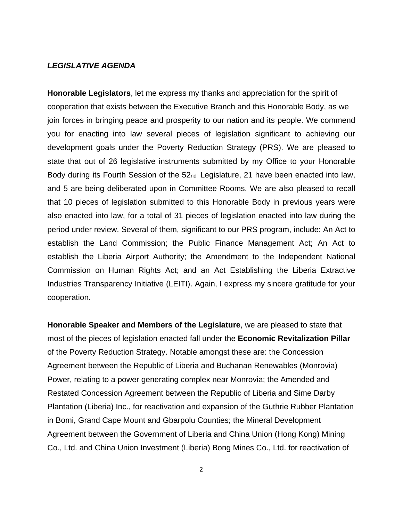#### *LEGISLATIVE AGENDA*

**Honorable Legislators**, let me express my thanks and appreciation for the spirit of cooperation that exists between the Executive Branch and this Honorable Body, as we join forces in bringing peace and prosperity to our nation and its people. We commend you for enacting into law several pieces of legislation significant to achieving our development goals under the Poverty Reduction Strategy (PRS). We are pleased to state that out of 26 legislative instruments submitted by my Office to your Honorable Body during its Fourth Session of the 52nd Legislature, 21 have been enacted into law, and 5 are being deliberated upon in Committee Rooms. We are also pleased to recall that 10 pieces of legislation submitted to this Honorable Body in previous years were also enacted into law, for a total of 31 pieces of legislation enacted into law during the period under review. Several of them, significant to our PRS program, include: An Act to establish the Land Commission; the Public Finance Management Act; An Act to establish the Liberia Airport Authority; the Amendment to the Independent National Commission on Human Rights Act; and an Act Establishing the Liberia Extractive Industries Transparency Initiative (LEITI). Again, I express my sincere gratitude for your cooperation.

**Honorable Speaker and Members of the Legislature**, we are pleased to state that most of the pieces of legislation enacted fall under the **Economic Revitalization Pillar** of the Poverty Reduction Strategy. Notable amongst these are: the Concession Agreement between the Republic of Liberia and Buchanan Renewables (Monrovia) Power, relating to a power generating complex near Monrovia; the Amended and Restated Concession Agreement between the Republic of Liberia and Sime Darby Plantation (Liberia) Inc., for reactivation and expansion of the Guthrie Rubber Plantation in Bomi, Grand Cape Mount and Gbarpolu Counties; the Mineral Development Agreement between the Government of Liberia and China Union (Hong Kong) Mining Co., Ltd. and China Union Investment (Liberia) Bong Mines Co., Ltd. for reactivation of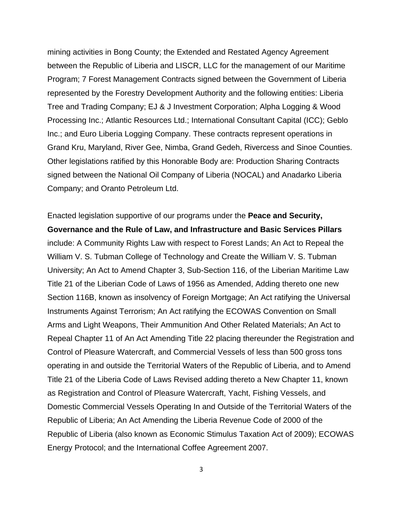mining activities in Bong County; the Extended and Restated Agency Agreement between the Republic of Liberia and LISCR, LLC for the management of our Maritime Program; 7 Forest Management Contracts signed between the Government of Liberia represented by the Forestry Development Authority and the following entities: Liberia Tree and Trading Company; EJ & J Investment Corporation; Alpha Logging & Wood Processing Inc.; Atlantic Resources Ltd.; International Consultant Capital (ICC); Geblo Inc.; and Euro Liberia Logging Company. These contracts represent operations in Grand Kru, Maryland, River Gee, Nimba, Grand Gedeh, Rivercess and Sinoe Counties. Other legislations ratified by this Honorable Body are: Production Sharing Contracts signed between the National Oil Company of Liberia (NOCAL) and Anadarko Liberia Company; and Oranto Petroleum Ltd.

Enacted legislation supportive of our programs under the **Peace and Security, Governance and the Rule of Law, and Infrastructure and Basic Services Pillars**  include: A Community Rights Law with respect to Forest Lands; An Act to Repeal the William V. S. Tubman College of Technology and Create the William V. S. Tubman University; An Act to Amend Chapter 3, Sub-Section 116, of the Liberian Maritime Law Title 21 of the Liberian Code of Laws of 1956 as Amended, Adding thereto one new Section 116B, known as insolvency of Foreign Mortgage; An Act ratifying the Universal Instruments Against Terrorism; An Act ratifying the ECOWAS Convention on Small Arms and Light Weapons, Their Ammunition And Other Related Materials; An Act to Repeal Chapter 11 of An Act Amending Title 22 placing thereunder the Registration and Control of Pleasure Watercraft, and Commercial Vessels of less than 500 gross tons operating in and outside the Territorial Waters of the Republic of Liberia, and to Amend Title 21 of the Liberia Code of Laws Revised adding thereto a New Chapter 11, known as Registration and Control of Pleasure Watercraft, Yacht, Fishing Vessels, and Domestic Commercial Vessels Operating In and Outside of the Territorial Waters of the Republic of Liberia; An Act Amending the Liberia Revenue Code of 2000 of the Republic of Liberia (also known as Economic Stimulus Taxation Act of 2009); ECOWAS Energy Protocol; and the International Coffee Agreement 2007.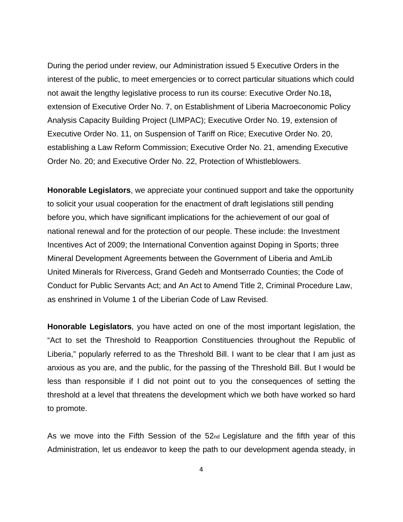During the period under review, our Administration issued 5 Executive Orders in the interest of the public, to meet emergencies or to correct particular situations which could not await the lengthy legislative process to run its course: Executive Order No.18**,**  extension of Executive Order No. 7, on Establishment of Liberia Macroeconomic Policy Analysis Capacity Building Project (LIMPAC); Executive Order No. 19, extension of Executive Order No. 11, on Suspension of Tariff on Rice; Executive Order No. 20, establishing a Law Reform Commission; Executive Order No. 21, amending Executive Order No. 20; and Executive Order No. 22, Protection of Whistleblowers.

**Honorable Legislators**, we appreciate your continued support and take the opportunity to solicit your usual cooperation for the enactment of draft legislations still pending before you, which have significant implications for the achievement of our goal of national renewal and for the protection of our people. These include: the Investment Incentives Act of 2009; the International Convention against Doping in Sports; three Mineral Development Agreements between the Government of Liberia and AmLib United Minerals for Rivercess, Grand Gedeh and Montserrado Counties; the Code of Conduct for Public Servants Act; and An Act to Amend Title 2, Criminal Procedure Law, as enshrined in Volume 1 of the Liberian Code of Law Revised.

**Honorable Legislators**, you have acted on one of the most important legislation, the "Act to set the Threshold to Reapportion Constituencies throughout the Republic of Liberia," popularly referred to as the Threshold Bill. I want to be clear that I am just as anxious as you are, and the public, for the passing of the Threshold Bill. But I would be less than responsible if I did not point out to you the consequences of setting the threshold at a level that threatens the development which we both have worked so hard to promote.

As we move into the Fifth Session of the 52<sub>nd</sub> Legislature and the fifth year of this Administration, let us endeavor to keep the path to our development agenda steady, in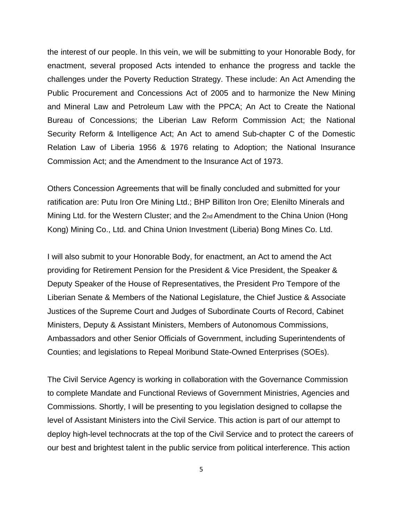the interest of our people. In this vein, we will be submitting to your Honorable Body, for enactment, several proposed Acts intended to enhance the progress and tackle the challenges under the Poverty Reduction Strategy. These include: An Act Amending the Public Procurement and Concessions Act of 2005 and to harmonize the New Mining and Mineral Law and Petroleum Law with the PPCA; An Act to Create the National Bureau of Concessions; the Liberian Law Reform Commission Act; the National Security Reform & Intelligence Act; An Act to amend Sub-chapter C of the Domestic Relation Law of Liberia 1956 & 1976 relating to Adoption; the National Insurance Commission Act; and the Amendment to the Insurance Act of 1973.

Others Concession Agreements that will be finally concluded and submitted for your ratification are: Putu Iron Ore Mining Ltd.; BHP Billiton Iron Ore; Elenilto Minerals and Mining Ltd. for the Western Cluster; and the 2nd Amendment to the China Union (Hong Kong) Mining Co., Ltd. and China Union Investment (Liberia) Bong Mines Co. Ltd.

I will also submit to your Honorable Body, for enactment, an Act to amend the Act providing for Retirement Pension for the President & Vice President, the Speaker & Deputy Speaker of the House of Representatives, the President Pro Tempore of the Liberian Senate & Members of the National Legislature, the Chief Justice & Associate Justices of the Supreme Court and Judges of Subordinate Courts of Record, Cabinet Ministers, Deputy & Assistant Ministers, Members of Autonomous Commissions, Ambassadors and other Senior Officials of Government, including Superintendents of Counties; and legislations to Repeal Moribund State-Owned Enterprises (SOEs).

The Civil Service Agency is working in collaboration with the Governance Commission to complete Mandate and Functional Reviews of Government Ministries, Agencies and Commissions. Shortly, I will be presenting to you legislation designed to collapse the level of Assistant Ministers into the Civil Service. This action is part of our attempt to deploy high-level technocrats at the top of the Civil Service and to protect the careers of our best and brightest talent in the public service from political interference. This action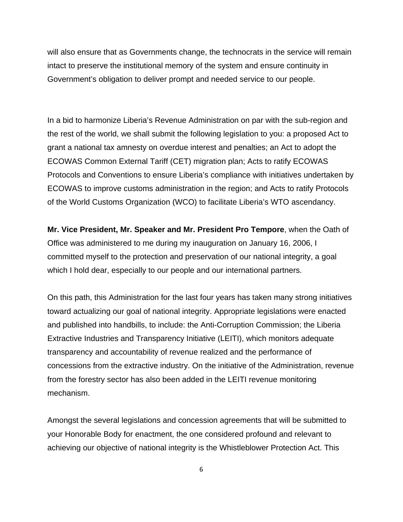will also ensure that as Governments change, the technocrats in the service will remain intact to preserve the institutional memory of the system and ensure continuity in Government's obligation to deliver prompt and needed service to our people.

In a bid to harmonize Liberia's Revenue Administration on par with the sub-region and the rest of the world, we shall submit the following legislation to you: a proposed Act to grant a national tax amnesty on overdue interest and penalties; an Act to adopt the ECOWAS Common External Tariff (CET) migration plan; Acts to ratify ECOWAS Protocols and Conventions to ensure Liberia's compliance with initiatives undertaken by ECOWAS to improve customs administration in the region; and Acts to ratify Protocols of the World Customs Organization (WCO) to facilitate Liberia's WTO ascendancy.

**Mr. Vice President, Mr. Speaker and Mr. President Pro Tempore**, when the Oath of Office was administered to me during my inauguration on January 16, 2006, I committed myself to the protection and preservation of our national integrity, a goal which I hold dear, especially to our people and our international partners.

On this path, this Administration for the last four years has taken many strong initiatives toward actualizing our goal of national integrity. Appropriate legislations were enacted and published into handbills, to include: the Anti-Corruption Commission; the Liberia Extractive Industries and Transparency Initiative (LEITI), which monitors adequate transparency and accountability of revenue realized and the performance of concessions from the extractive industry. On the initiative of the Administration, revenue from the forestry sector has also been added in the LEITI revenue monitoring mechanism.

Amongst the several legislations and concession agreements that will be submitted to your Honorable Body for enactment, the one considered profound and relevant to achieving our objective of national integrity is the Whistleblower Protection Act. This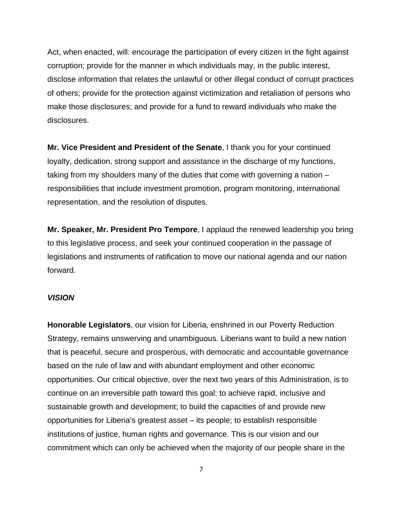Act, when enacted, will: encourage the participation of every citizen in the fight against corruption; provide for the manner in which individuals may, in the public interest, disclose information that relates the unlawful or other illegal conduct of corrupt practices of others; provide for the protection against victimization and retaliation of persons who make those disclosures; and provide for a fund to reward individuals who make the disclosures.

**Mr. Vice President and President of the Senate**, I thank you for your continued loyalty, dedication, strong support and assistance in the discharge of my functions, taking from my shoulders many of the duties that come with governing a nation – responsibilities that include investment promotion, program monitoring, international representation, and the resolution of disputes.

**Mr. Speaker, Mr. President Pro Tempore**, I applaud the renewed leadership you bring to this legislative process, and seek your continued cooperation in the passage of legislations and instruments of ratification to move our national agenda and our nation forward.

## *VISION*

**Honorable Legislators**, our vision for Liberia, enshrined in our Poverty Reduction Strategy, remains unswerving and unambiguous. Liberians want to build a new nation that is peaceful, secure and prosperous, with democratic and accountable governance based on the rule of law and with abundant employment and other economic opportunities. Our critical objective, over the next two years of this Administration, is to continue on an irreversible path toward this goal: to achieve rapid, inclusive and sustainable growth and development; to build the capacities of and provide new opportunities for Liberia's greatest asset – its people; to establish responsible institutions of justice, human rights and governance. This is our vision and our commitment which can only be achieved when the majority of our people share in the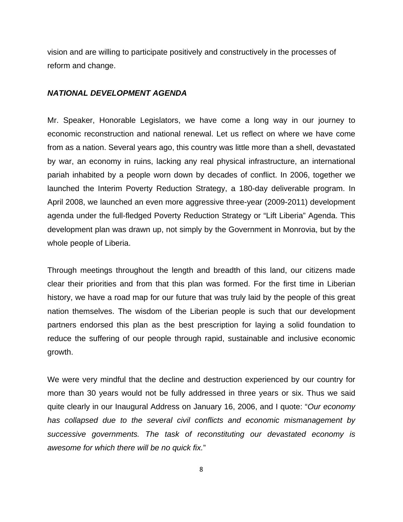vision and are willing to participate positively and constructively in the processes of reform and change.

#### *NATIONAL DEVELOPMENT AGENDA*

Mr. Speaker, Honorable Legislators, we have come a long way in our journey to economic reconstruction and national renewal. Let us reflect on where we have come from as a nation. Several years ago, this country was little more than a shell, devastated by war, an economy in ruins, lacking any real physical infrastructure, an international pariah inhabited by a people worn down by decades of conflict. In 2006, together we launched the Interim Poverty Reduction Strategy, a 180-day deliverable program. In April 2008, we launched an even more aggressive three-year (2009-2011) development agenda under the full-fledged Poverty Reduction Strategy or "Lift Liberia" Agenda. This development plan was drawn up, not simply by the Government in Monrovia, but by the whole people of Liberia.

Through meetings throughout the length and breadth of this land, our citizens made clear their priorities and from that this plan was formed. For the first time in Liberian history, we have a road map for our future that was truly laid by the people of this great nation themselves. The wisdom of the Liberian people is such that our development partners endorsed this plan as the best prescription for laying a solid foundation to reduce the suffering of our people through rapid, sustainable and inclusive economic growth.

We were very mindful that the decline and destruction experienced by our country for more than 30 years would not be fully addressed in three years or six. Thus we said quite clearly in our Inaugural Address on January 16, 2006, and I quote: "*Our economy has collapsed due to the several civil conflicts and economic mismanagement by successive governments. The task of reconstituting our devastated economy is awesome for which there will be no quick fix.*"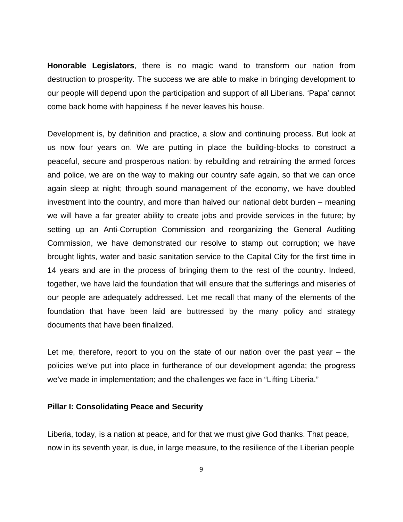**Honorable Legislators**, there is no magic wand to transform our nation from destruction to prosperity. The success we are able to make in bringing development to our people will depend upon the participation and support of all Liberians. 'Papa' cannot come back home with happiness if he never leaves his house.

Development is, by definition and practice, a slow and continuing process. But look at us now four years on. We are putting in place the building-blocks to construct a peaceful, secure and prosperous nation: by rebuilding and retraining the armed forces and police, we are on the way to making our country safe again, so that we can once again sleep at night; through sound management of the economy, we have doubled investment into the country, and more than halved our national debt burden – meaning we will have a far greater ability to create jobs and provide services in the future; by setting up an Anti-Corruption Commission and reorganizing the General Auditing Commission, we have demonstrated our resolve to stamp out corruption; we have brought lights, water and basic sanitation service to the Capital City for the first time in 14 years and are in the process of bringing them to the rest of the country. Indeed, together, we have laid the foundation that will ensure that the sufferings and miseries of our people are adequately addressed. Let me recall that many of the elements of the foundation that have been laid are buttressed by the many policy and strategy documents that have been finalized.

Let me, therefore, report to you on the state of our nation over the past year – the policies we've put into place in furtherance of our development agenda; the progress we've made in implementation; and the challenges we face in "Lifting Liberia."

## **Pillar I: Consolidating Peace and Security**

Liberia, today, is a nation at peace, and for that we must give God thanks. That peace, now in its seventh year, is due, in large measure, to the resilience of the Liberian people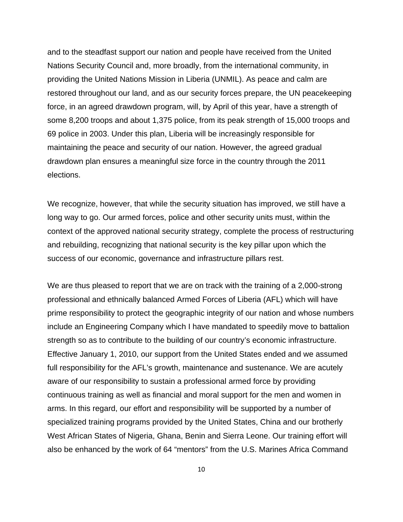and to the steadfast support our nation and people have received from the United Nations Security Council and, more broadly, from the international community, in providing the United Nations Mission in Liberia (UNMIL). As peace and calm are restored throughout our land, and as our security forces prepare, the UN peacekeeping force, in an agreed drawdown program, will, by April of this year, have a strength of some 8,200 troops and about 1,375 police, from its peak strength of 15,000 troops and 69 police in 2003. Under this plan, Liberia will be increasingly responsible for maintaining the peace and security of our nation. However, the agreed gradual drawdown plan ensures a meaningful size force in the country through the 2011 elections.

We recognize, however, that while the security situation has improved, we still have a long way to go. Our armed forces, police and other security units must, within the context of the approved national security strategy, complete the process of restructuring and rebuilding, recognizing that national security is the key pillar upon which the success of our economic, governance and infrastructure pillars rest.

We are thus pleased to report that we are on track with the training of a 2,000-strong professional and ethnically balanced Armed Forces of Liberia (AFL) which will have prime responsibility to protect the geographic integrity of our nation and whose numbers include an Engineering Company which I have mandated to speedily move to battalion strength so as to contribute to the building of our country's economic infrastructure. Effective January 1, 2010, our support from the United States ended and we assumed full responsibility for the AFL's growth, maintenance and sustenance. We are acutely aware of our responsibility to sustain a professional armed force by providing continuous training as well as financial and moral support for the men and women in arms. In this regard, our effort and responsibility will be supported by a number of specialized training programs provided by the United States, China and our brotherly West African States of Nigeria, Ghana, Benin and Sierra Leone. Our training effort will also be enhanced by the work of 64 "mentors" from the U.S. Marines Africa Command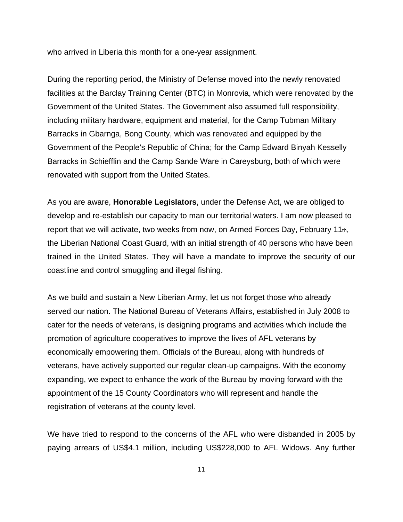who arrived in Liberia this month for a one-year assignment.

During the reporting period, the Ministry of Defense moved into the newly renovated facilities at the Barclay Training Center (BTC) in Monrovia, which were renovated by the Government of the United States. The Government also assumed full responsibility, including military hardware, equipment and material, for the Camp Tubman Military Barracks in Gbarnga, Bong County, which was renovated and equipped by the Government of the People's Republic of China; for the Camp Edward Binyah Kesselly Barracks in Schiefflin and the Camp Sande Ware in Careysburg, both of which were renovated with support from the United States.

As you are aware, **Honorable Legislators**, under the Defense Act, we are obliged to develop and re-establish our capacity to man our territorial waters. I am now pleased to report that we will activate, two weeks from now, on Armed Forces Day, February 11 $<sub>th</sub>$ ,</sub> the Liberian National Coast Guard, with an initial strength of 40 persons who have been trained in the United States. They will have a mandate to improve the security of our coastline and control smuggling and illegal fishing.

As we build and sustain a New Liberian Army, let us not forget those who already served our nation. The National Bureau of Veterans Affairs, established in July 2008 to cater for the needs of veterans, is designing programs and activities which include the promotion of agriculture cooperatives to improve the lives of AFL veterans by economically empowering them. Officials of the Bureau, along with hundreds of veterans, have actively supported our regular clean-up campaigns. With the economy expanding, we expect to enhance the work of the Bureau by moving forward with the appointment of the 15 County Coordinators who will represent and handle the registration of veterans at the county level.

We have tried to respond to the concerns of the AFL who were disbanded in 2005 by paying arrears of US\$4.1 million, including US\$228,000 to AFL Widows. Any further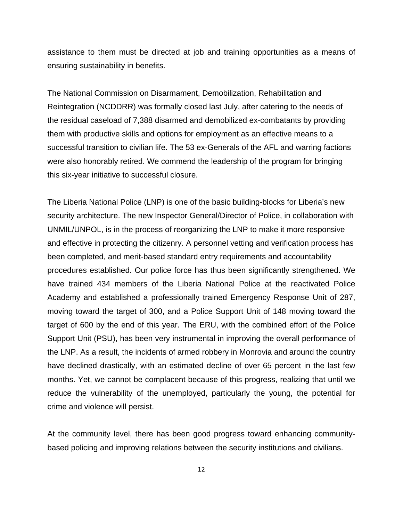assistance to them must be directed at job and training opportunities as a means of ensuring sustainability in benefits.

The National Commission on Disarmament, Demobilization, Rehabilitation and Reintegration (NCDDRR) was formally closed last July, after catering to the needs of the residual caseload of 7,388 disarmed and demobilized ex-combatants by providing them with productive skills and options for employment as an effective means to a successful transition to civilian life. The 53 ex-Generals of the AFL and warring factions were also honorably retired. We commend the leadership of the program for bringing this six-year initiative to successful closure.

The Liberia National Police (LNP) is one of the basic building-blocks for Liberia's new security architecture. The new Inspector General/Director of Police, in collaboration with UNMIL/UNPOL, is in the process of reorganizing the LNP to make it more responsive and effective in protecting the citizenry. A personnel vetting and verification process has been completed, and merit-based standard entry requirements and accountability procedures established. Our police force has thus been significantly strengthened. We have trained 434 members of the Liberia National Police at the reactivated Police Academy and established a professionally trained Emergency Response Unit of 287, moving toward the target of 300, and a Police Support Unit of 148 moving toward the target of 600 by the end of this year. The ERU, with the combined effort of the Police Support Unit (PSU), has been very instrumental in improving the overall performance of the LNP. As a result, the incidents of armed robbery in Monrovia and around the country have declined drastically, with an estimated decline of over 65 percent in the last few months. Yet, we cannot be complacent because of this progress, realizing that until we reduce the vulnerability of the unemployed, particularly the young, the potential for crime and violence will persist.

At the community level, there has been good progress toward enhancing communitybased policing and improving relations between the security institutions and civilians.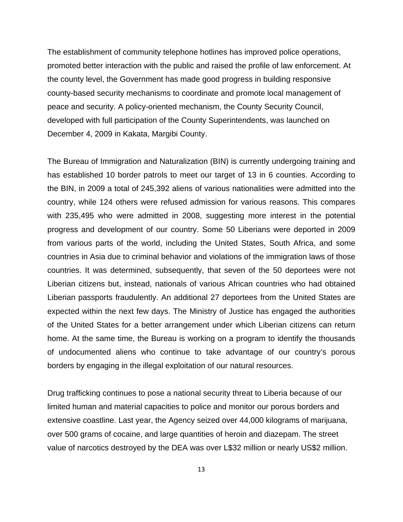The establishment of community telephone hotlines has improved police operations, promoted better interaction with the public and raised the profile of law enforcement. At the county level, the Government has made good progress in building responsive county-based security mechanisms to coordinate and promote local management of peace and security. A policy-oriented mechanism, the County Security Council, developed with full participation of the County Superintendents, was launched on December 4, 2009 in Kakata, Margibi County.

The Bureau of Immigration and Naturalization (BIN) is currently undergoing training and has established 10 border patrols to meet our target of 13 in 6 counties. According to the BIN, in 2009 a total of 245,392 aliens of various nationalities were admitted into the country, while 124 others were refused admission for various reasons. This compares with 235,495 who were admitted in 2008, suggesting more interest in the potential progress and development of our country. Some 50 Liberians were deported in 2009 from various parts of the world, including the United States, South Africa, and some countries in Asia due to criminal behavior and violations of the immigration laws of those countries. It was determined, subsequently, that seven of the 50 deportees were not Liberian citizens but, instead, nationals of various African countries who had obtained Liberian passports fraudulently. An additional 27 deportees from the United States are expected within the next few days. The Ministry of Justice has engaged the authorities of the United States for a better arrangement under which Liberian citizens can return home. At the same time, the Bureau is working on a program to identify the thousands of undocumented aliens who continue to take advantage of our country's porous borders by engaging in the illegal exploitation of our natural resources.

Drug trafficking continues to pose a national security threat to Liberia because of our limited human and material capacities to police and monitor our porous borders and extensive coastline. Last year, the Agency seized over 44,000 kilograms of marijuana, over 500 grams of cocaine, and large quantities of heroin and diazepam. The street value of narcotics destroyed by the DEA was over L\$32 million or nearly US\$2 million.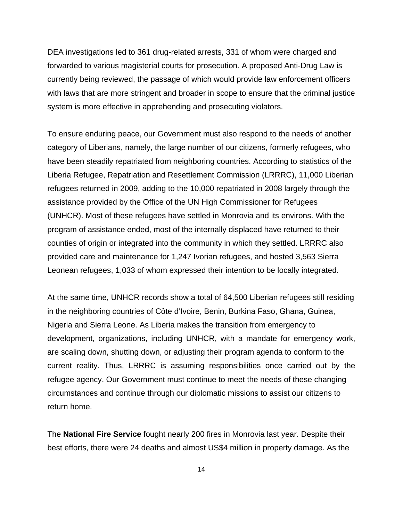DEA investigations led to 361 drug-related arrests, 331 of whom were charged and forwarded to various magisterial courts for prosecution. A proposed Anti-Drug Law is currently being reviewed, the passage of which would provide law enforcement officers with laws that are more stringent and broader in scope to ensure that the criminal justice system is more effective in apprehending and prosecuting violators.

To ensure enduring peace, our Government must also respond to the needs of another category of Liberians, namely, the large number of our citizens, formerly refugees, who have been steadily repatriated from neighboring countries. According to statistics of the Liberia Refugee, Repatriation and Resettlement Commission (LRRRC), 11,000 Liberian refugees returned in 2009, adding to the 10,000 repatriated in 2008 largely through the assistance provided by the Office of the UN High Commissioner for Refugees (UNHCR). Most of these refugees have settled in Monrovia and its environs. With the program of assistance ended, most of the internally displaced have returned to their counties of origin or integrated into the community in which they settled. LRRRC also provided care and maintenance for 1,247 Ivorian refugees, and hosted 3,563 Sierra Leonean refugees, 1,033 of whom expressed their intention to be locally integrated.

At the same time, UNHCR records show a total of 64,500 Liberian refugees still residing in the neighboring countries of Côte d'Ivoire, Benin, Burkina Faso, Ghana, Guinea, Nigeria and Sierra Leone. As Liberia makes the transition from emergency to development, organizations, including UNHCR, with a mandate for emergency work, are scaling down, shutting down, or adjusting their program agenda to conform to the current reality. Thus, LRRRC is assuming responsibilities once carried out by the refugee agency. Our Government must continue to meet the needs of these changing circumstances and continue through our diplomatic missions to assist our citizens to return home.

The **National Fire Service** fought nearly 200 fires in Monrovia last year. Despite their best efforts, there were 24 deaths and almost US\$4 million in property damage. As the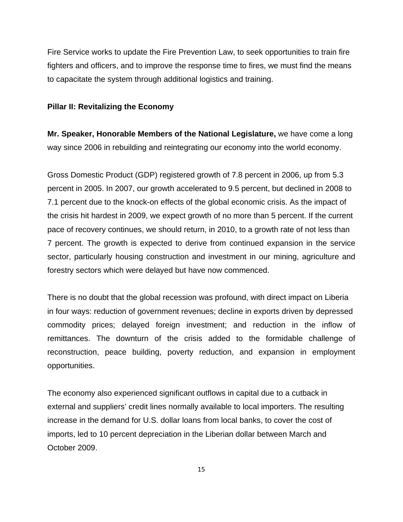Fire Service works to update the Fire Prevention Law, to seek opportunities to train fire fighters and officers, and to improve the response time to fires, we must find the means to capacitate the system through additional logistics and training.

#### **Pillar II: Revitalizing the Economy**

**Mr. Speaker, Honorable Members of the National Legislature,** we have come a long way since 2006 in rebuilding and reintegrating our economy into the world economy.

Gross Domestic Product (GDP) registered growth of 7.8 percent in 2006, up from 5.3 percent in 2005. In 2007, our growth accelerated to 9.5 percent, but declined in 2008 to 7.1 percent due to the knock-on effects of the global economic crisis. As the impact of the crisis hit hardest in 2009, we expect growth of no more than 5 percent. If the current pace of recovery continues, we should return, in 2010, to a growth rate of not less than 7 percent. The growth is expected to derive from continued expansion in the service sector, particularly housing construction and investment in our mining, agriculture and forestry sectors which were delayed but have now commenced.

There is no doubt that the global recession was profound, with direct impact on Liberia in four ways: reduction of government revenues; decline in exports driven by depressed commodity prices; delayed foreign investment; and reduction in the inflow of remittances. The downturn of the crisis added to the formidable challenge of reconstruction, peace building, poverty reduction, and expansion in employment opportunities.

The economy also experienced significant outflows in capital due to a cutback in external and suppliers' credit lines normally available to local importers. The resulting increase in the demand for U.S. dollar loans from local banks, to cover the cost of imports, led to 10 percent depreciation in the Liberian dollar between March and October 2009.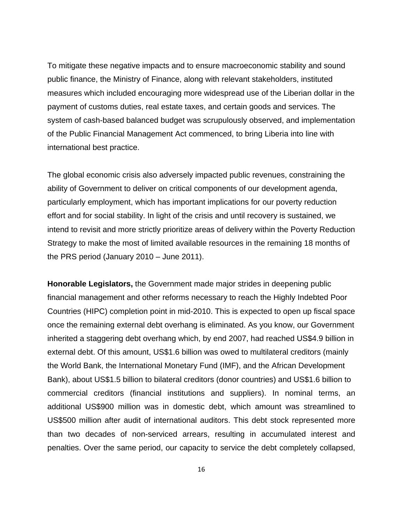To mitigate these negative impacts and to ensure macroeconomic stability and sound public finance, the Ministry of Finance, along with relevant stakeholders, instituted measures which included encouraging more widespread use of the Liberian dollar in the payment of customs duties, real estate taxes, and certain goods and services. The system of cash-based balanced budget was scrupulously observed, and implementation of the Public Financial Management Act commenced, to bring Liberia into line with international best practice.

The global economic crisis also adversely impacted public revenues, constraining the ability of Government to deliver on critical components of our development agenda, particularly employment, which has important implications for our poverty reduction effort and for social stability. In light of the crisis and until recovery is sustained, we intend to revisit and more strictly prioritize areas of delivery within the Poverty Reduction Strategy to make the most of limited available resources in the remaining 18 months of the PRS period (January 2010 – June 2011).

**Honorable Legislators,** the Government made major strides in deepening public financial management and other reforms necessary to reach the Highly Indebted Poor Countries (HIPC) completion point in mid-2010. This is expected to open up fiscal space once the remaining external debt overhang is eliminated. As you know, our Government inherited a staggering debt overhang which, by end 2007, had reached US\$4.9 billion in external debt. Of this amount, US\$1.6 billion was owed to multilateral creditors (mainly the World Bank, the International Monetary Fund (IMF), and the African Development Bank), about US\$1.5 billion to bilateral creditors (donor countries) and US\$1.6 billion to commercial creditors (financial institutions and suppliers). In nominal terms, an additional US\$900 million was in domestic debt, which amount was streamlined to US\$500 million after audit of international auditors. This debt stock represented more than two decades of non-serviced arrears, resulting in accumulated interest and penalties. Over the same period, our capacity to service the debt completely collapsed,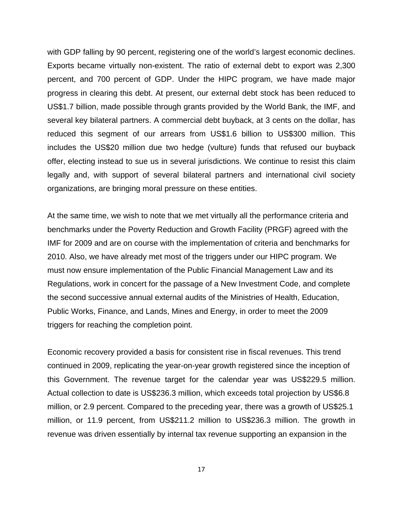with GDP falling by 90 percent, registering one of the world's largest economic declines. Exports became virtually non-existent. The ratio of external debt to export was 2,300 percent, and 700 percent of GDP. Under the HIPC program, we have made major progress in clearing this debt. At present, our external debt stock has been reduced to US\$1.7 billion, made possible through grants provided by the World Bank, the IMF, and several key bilateral partners. A commercial debt buyback, at 3 cents on the dollar, has reduced this segment of our arrears from US\$1.6 billion to US\$300 million. This includes the US\$20 million due two hedge (vulture) funds that refused our buyback offer, electing instead to sue us in several jurisdictions. We continue to resist this claim legally and, with support of several bilateral partners and international civil society organizations, are bringing moral pressure on these entities.

At the same time, we wish to note that we met virtually all the performance criteria and benchmarks under the Poverty Reduction and Growth Facility (PRGF) agreed with the IMF for 2009 and are on course with the implementation of criteria and benchmarks for 2010. Also, we have already met most of the triggers under our HIPC program. We must now ensure implementation of the Public Financial Management Law and its Regulations, work in concert for the passage of a New Investment Code, and complete the second successive annual external audits of the Ministries of Health, Education, Public Works, Finance, and Lands, Mines and Energy, in order to meet the 2009 triggers for reaching the completion point.

Economic recovery provided a basis for consistent rise in fiscal revenues. This trend continued in 2009, replicating the year-on-year growth registered since the inception of this Government. The revenue target for the calendar year was US\$229.5 million. Actual collection to date is US\$236.3 million, which exceeds total projection by US\$6.8 million, or 2.9 percent. Compared to the preceding year, there was a growth of US\$25.1 million, or 11.9 percent, from US\$211.2 million to US\$236.3 million. The growth in revenue was driven essentially by internal tax revenue supporting an expansion in the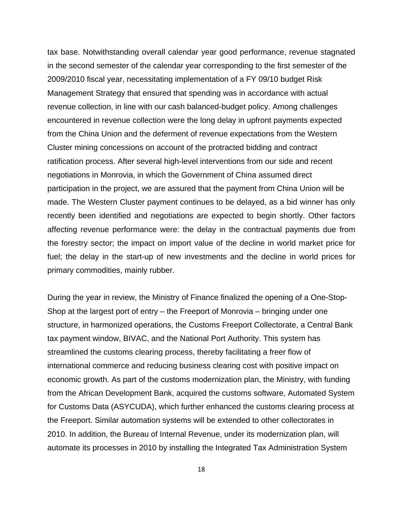tax base. Notwithstanding overall calendar year good performance, revenue stagnated in the second semester of the calendar year corresponding to the first semester of the 2009/2010 fiscal year, necessitating implementation of a FY 09/10 budget Risk Management Strategy that ensured that spending was in accordance with actual revenue collection, in line with our cash balanced-budget policy. Among challenges encountered in revenue collection were the long delay in upfront payments expected from the China Union and the deferment of revenue expectations from the Western Cluster mining concessions on account of the protracted bidding and contract ratification process. After several high-level interventions from our side and recent negotiations in Monrovia, in which the Government of China assumed direct participation in the project, we are assured that the payment from China Union will be made. The Western Cluster payment continues to be delayed, as a bid winner has only recently been identified and negotiations are expected to begin shortly. Other factors affecting revenue performance were: the delay in the contractual payments due from the forestry sector; the impact on import value of the decline in world market price for fuel; the delay in the start-up of new investments and the decline in world prices for primary commodities, mainly rubber.

During the year in review, the Ministry of Finance finalized the opening of a One-Stop-Shop at the largest port of entry – the Freeport of Monrovia – bringing under one structure, in harmonized operations, the Customs Freeport Collectorate, a Central Bank tax payment window, BIVAC, and the National Port Authority. This system has streamlined the customs clearing process, thereby facilitating a freer flow of international commerce and reducing business clearing cost with positive impact on economic growth. As part of the customs modernization plan, the Ministry, with funding from the African Development Bank, acquired the customs software, Automated System for Customs Data (ASYCUDA), which further enhanced the customs clearing process at the Freeport. Similar automation systems will be extended to other collectorates in 2010. In addition, the Bureau of Internal Revenue, under its modernization plan, will automate its processes in 2010 by installing the Integrated Tax Administration System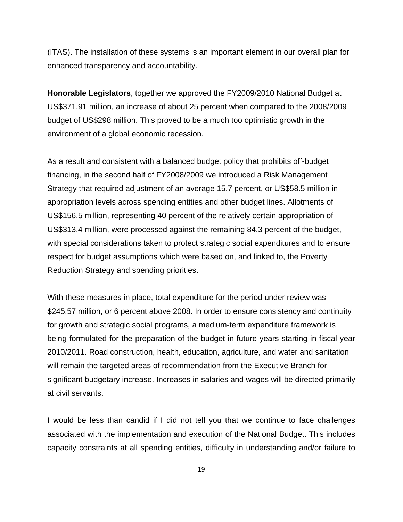(ITAS). The installation of these systems is an important element in our overall plan for enhanced transparency and accountability.

**Honorable Legislators**, together we approved the FY2009/2010 National Budget at US\$371.91 million, an increase of about 25 percent when compared to the 2008/2009 budget of US\$298 million. This proved to be a much too optimistic growth in the environment of a global economic recession.

As a result and consistent with a balanced budget policy that prohibits off-budget financing, in the second half of FY2008/2009 we introduced a Risk Management Strategy that required adjustment of an average 15.7 percent, or US\$58.5 million in appropriation levels across spending entities and other budget lines. Allotments of US\$156.5 million, representing 40 percent of the relatively certain appropriation of US\$313.4 million, were processed against the remaining 84.3 percent of the budget, with special considerations taken to protect strategic social expenditures and to ensure respect for budget assumptions which were based on, and linked to, the Poverty Reduction Strategy and spending priorities.

With these measures in place, total expenditure for the period under review was \$245.57 million, or 6 percent above 2008. In order to ensure consistency and continuity for growth and strategic social programs, a medium-term expenditure framework is being formulated for the preparation of the budget in future years starting in fiscal year 2010/2011. Road construction, health, education, agriculture, and water and sanitation will remain the targeted areas of recommendation from the Executive Branch for significant budgetary increase. Increases in salaries and wages will be directed primarily at civil servants.

I would be less than candid if I did not tell you that we continue to face challenges associated with the implementation and execution of the National Budget. This includes capacity constraints at all spending entities, difficulty in understanding and/or failure to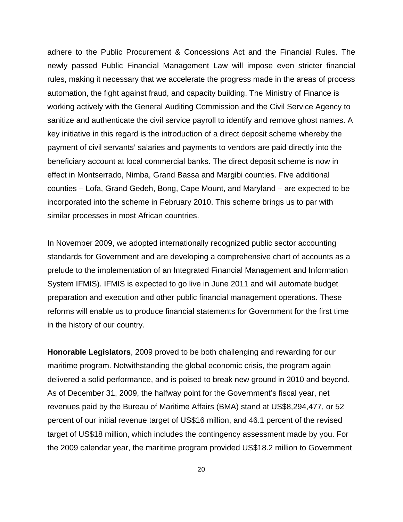adhere to the Public Procurement & Concessions Act and the Financial Rules. The newly passed Public Financial Management Law will impose even stricter financial rules, making it necessary that we accelerate the progress made in the areas of process automation, the fight against fraud, and capacity building. The Ministry of Finance is working actively with the General Auditing Commission and the Civil Service Agency to sanitize and authenticate the civil service payroll to identify and remove ghost names. A key initiative in this regard is the introduction of a direct deposit scheme whereby the payment of civil servants' salaries and payments to vendors are paid directly into the beneficiary account at local commercial banks. The direct deposit scheme is now in effect in Montserrado, Nimba, Grand Bassa and Margibi counties. Five additional counties – Lofa, Grand Gedeh, Bong, Cape Mount, and Maryland – are expected to be incorporated into the scheme in February 2010. This scheme brings us to par with similar processes in most African countries.

In November 2009, we adopted internationally recognized public sector accounting standards for Government and are developing a comprehensive chart of accounts as a prelude to the implementation of an Integrated Financial Management and Information System IFMIS). IFMIS is expected to go live in June 2011 and will automate budget preparation and execution and other public financial management operations. These reforms will enable us to produce financial statements for Government for the first time in the history of our country.

**Honorable Legislators**, 2009 proved to be both challenging and rewarding for our maritime program. Notwithstanding the global economic crisis, the program again delivered a solid performance, and is poised to break new ground in 2010 and beyond. As of December 31, 2009, the halfway point for the Government's fiscal year, net revenues paid by the Bureau of Maritime Affairs (BMA) stand at US\$8,294,477, or 52 percent of our initial revenue target of US\$16 million, and 46.1 percent of the revised target of US\$18 million, which includes the contingency assessment made by you. For the 2009 calendar year, the maritime program provided US\$18.2 million to Government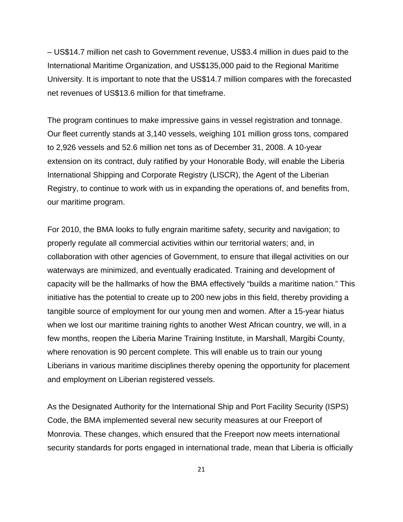– US\$14.7 million net cash to Government revenue, US\$3.4 million in dues paid to the International Maritime Organization, and US\$135,000 paid to the Regional Maritime University. It is important to note that the US\$14.7 million compares with the forecasted net revenues of US\$13.6 million for that timeframe.

The program continues to make impressive gains in vessel registration and tonnage. Our fleet currently stands at 3,140 vessels, weighing 101 million gross tons, compared to 2,926 vessels and 52.6 million net tons as of December 31, 2008. A 10-year extension on its contract, duly ratified by your Honorable Body, will enable the Liberia International Shipping and Corporate Registry (LISCR), the Agent of the Liberian Registry, to continue to work with us in expanding the operations of, and benefits from, our maritime program.

For 2010, the BMA looks to fully engrain maritime safety, security and navigation; to properly regulate all commercial activities within our territorial waters; and, in collaboration with other agencies of Government, to ensure that illegal activities on our waterways are minimized, and eventually eradicated. Training and development of capacity will be the hallmarks of how the BMA effectively "builds a maritime nation." This initiative has the potential to create up to 200 new jobs in this field, thereby providing a tangible source of employment for our young men and women. After a 15-year hiatus when we lost our maritime training rights to another West African country, we will, in a few months, reopen the Liberia Marine Training Institute, in Marshall, Margibi County, where renovation is 90 percent complete. This will enable us to train our young Liberians in various maritime disciplines thereby opening the opportunity for placement and employment on Liberian registered vessels.

As the Designated Authority for the International Ship and Port Facility Security (ISPS) Code, the BMA implemented several new security measures at our Freeport of Monrovia. These changes, which ensured that the Freeport now meets international security standards for ports engaged in international trade, mean that Liberia is officially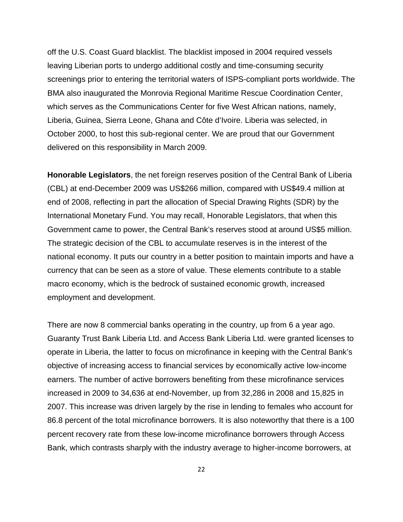off the U.S. Coast Guard blacklist. The blacklist imposed in 2004 required vessels leaving Liberian ports to undergo additional costly and time-consuming security screenings prior to entering the territorial waters of ISPS-compliant ports worldwide. The BMA also inaugurated the Monrovia Regional Maritime Rescue Coordination Center, which serves as the Communications Center for five West African nations, namely, Liberia, Guinea, Sierra Leone, Ghana and Côte d'Ivoire. Liberia was selected, in October 2000, to host this sub-regional center. We are proud that our Government delivered on this responsibility in March 2009.

**Honorable Legislators**, the net foreign reserves position of the Central Bank of Liberia (CBL) at end-December 2009 was US\$266 million, compared with US\$49.4 million at end of 2008, reflecting in part the allocation of Special Drawing Rights (SDR) by the International Monetary Fund. You may recall, Honorable Legislators, that when this Government came to power, the Central Bank's reserves stood at around US\$5 million. The strategic decision of the CBL to accumulate reserves is in the interest of the national economy. It puts our country in a better position to maintain imports and have a currency that can be seen as a store of value. These elements contribute to a stable macro economy, which is the bedrock of sustained economic growth, increased employment and development.

There are now 8 commercial banks operating in the country, up from 6 a year ago. Guaranty Trust Bank Liberia Ltd. and Access Bank Liberia Ltd. were granted licenses to operate in Liberia, the latter to focus on microfinance in keeping with the Central Bank's objective of increasing access to financial services by economically active low-income earners. The number of active borrowers benefiting from these microfinance services increased in 2009 to 34,636 at end-November, up from 32,286 in 2008 and 15,825 in 2007. This increase was driven largely by the rise in lending to females who account for 86.8 percent of the total microfinance borrowers. It is also noteworthy that there is a 100 percent recovery rate from these low-income microfinance borrowers through Access Bank, which contrasts sharply with the industry average to higher-income borrowers, at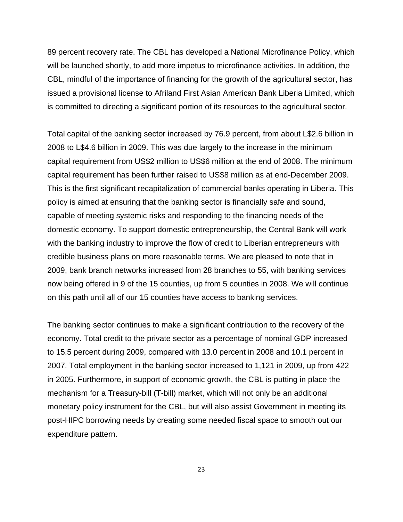89 percent recovery rate. The CBL has developed a National Microfinance Policy, which will be launched shortly, to add more impetus to microfinance activities. In addition, the CBL, mindful of the importance of financing for the growth of the agricultural sector, has issued a provisional license to Afriland First Asian American Bank Liberia Limited, which is committed to directing a significant portion of its resources to the agricultural sector.

Total capital of the banking sector increased by 76.9 percent, from about L\$2.6 billion in 2008 to L\$4.6 billion in 2009. This was due largely to the increase in the minimum capital requirement from US\$2 million to US\$6 million at the end of 2008. The minimum capital requirement has been further raised to US\$8 million as at end-December 2009. This is the first significant recapitalization of commercial banks operating in Liberia. This policy is aimed at ensuring that the banking sector is financially safe and sound, capable of meeting systemic risks and responding to the financing needs of the domestic economy. To support domestic entrepreneurship, the Central Bank will work with the banking industry to improve the flow of credit to Liberian entrepreneurs with credible business plans on more reasonable terms. We are pleased to note that in 2009, bank branch networks increased from 28 branches to 55, with banking services now being offered in 9 of the 15 counties, up from 5 counties in 2008. We will continue on this path until all of our 15 counties have access to banking services.

The banking sector continues to make a significant contribution to the recovery of the economy. Total credit to the private sector as a percentage of nominal GDP increased to 15.5 percent during 2009, compared with 13.0 percent in 2008 and 10.1 percent in 2007. Total employment in the banking sector increased to 1,121 in 2009, up from 422 in 2005. Furthermore, in support of economic growth, the CBL is putting in place the mechanism for a Treasury-bill (T-bill) market, which will not only be an additional monetary policy instrument for the CBL, but will also assist Government in meeting its post-HIPC borrowing needs by creating some needed fiscal space to smooth out our expenditure pattern.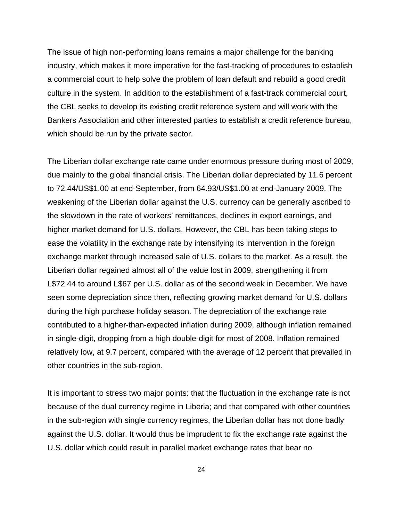The issue of high non-performing loans remains a major challenge for the banking industry, which makes it more imperative for the fast-tracking of procedures to establish a commercial court to help solve the problem of loan default and rebuild a good credit culture in the system. In addition to the establishment of a fast-track commercial court, the CBL seeks to develop its existing credit reference system and will work with the Bankers Association and other interested parties to establish a credit reference bureau, which should be run by the private sector.

The Liberian dollar exchange rate came under enormous pressure during most of 2009, due mainly to the global financial crisis. The Liberian dollar depreciated by 11.6 percent to 72.44/US\$1.00 at end-September, from 64.93/US\$1.00 at end-January 2009. The weakening of the Liberian dollar against the U.S. currency can be generally ascribed to the slowdown in the rate of workers' remittances, declines in export earnings, and higher market demand for U.S. dollars. However, the CBL has been taking steps to ease the volatility in the exchange rate by intensifying its intervention in the foreign exchange market through increased sale of U.S. dollars to the market. As a result, the Liberian dollar regained almost all of the value lost in 2009, strengthening it from L\$72.44 to around L\$67 per U.S. dollar as of the second week in December. We have seen some depreciation since then, reflecting growing market demand for U.S. dollars during the high purchase holiday season. The depreciation of the exchange rate contributed to a higher-than-expected inflation during 2009, although inflation remained in single-digit, dropping from a high double-digit for most of 2008. Inflation remained relatively low, at 9.7 percent, compared with the average of 12 percent that prevailed in other countries in the sub-region.

It is important to stress two major points: that the fluctuation in the exchange rate is not because of the dual currency regime in Liberia; and that compared with other countries in the sub-region with single currency regimes, the Liberian dollar has not done badly against the U.S. dollar. It would thus be imprudent to fix the exchange rate against the U.S. dollar which could result in parallel market exchange rates that bear no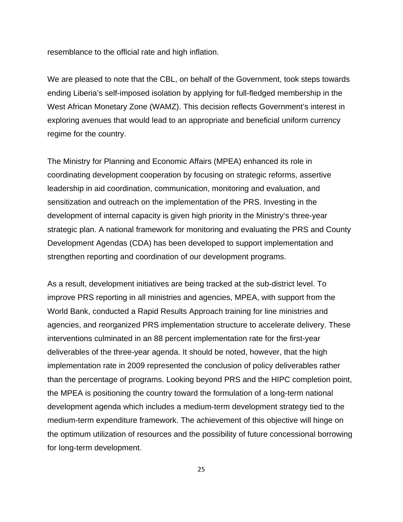resemblance to the official rate and high inflation.

We are pleased to note that the CBL, on behalf of the Government, took steps towards ending Liberia's self-imposed isolation by applying for full-fledged membership in the West African Monetary Zone (WAMZ). This decision reflects Government's interest in exploring avenues that would lead to an appropriate and beneficial uniform currency regime for the country.

The Ministry for Planning and Economic Affairs (MPEA) enhanced its role in coordinating development cooperation by focusing on strategic reforms, assertive leadership in aid coordination, communication, monitoring and evaluation, and sensitization and outreach on the implementation of the PRS. Investing in the development of internal capacity is given high priority in the Ministry's three-year strategic plan. A national framework for monitoring and evaluating the PRS and County Development Agendas (CDA) has been developed to support implementation and strengthen reporting and coordination of our development programs.

As a result, development initiatives are being tracked at the sub-district level. To improve PRS reporting in all ministries and agencies, MPEA, with support from the World Bank, conducted a Rapid Results Approach training for line ministries and agencies, and reorganized PRS implementation structure to accelerate delivery. These interventions culminated in an 88 percent implementation rate for the first-year deliverables of the three-year agenda. It should be noted, however, that the high implementation rate in 2009 represented the conclusion of policy deliverables rather than the percentage of programs. Looking beyond PRS and the HIPC completion point, the MPEA is positioning the country toward the formulation of a long-term national development agenda which includes a medium-term development strategy tied to the medium-term expenditure framework. The achievement of this objective will hinge on the optimum utilization of resources and the possibility of future concessional borrowing for long-term development.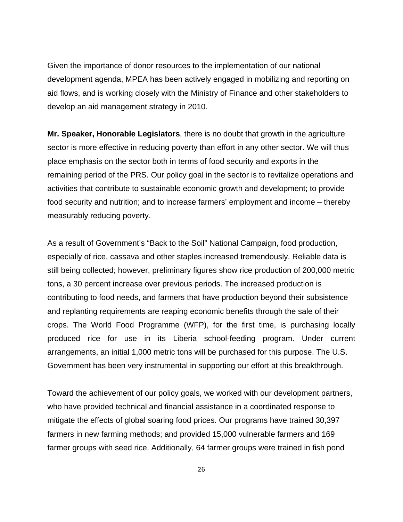Given the importance of donor resources to the implementation of our national development agenda, MPEA has been actively engaged in mobilizing and reporting on aid flows, and is working closely with the Ministry of Finance and other stakeholders to develop an aid management strategy in 2010.

**Mr. Speaker, Honorable Legislators**, there is no doubt that growth in the agriculture sector is more effective in reducing poverty than effort in any other sector. We will thus place emphasis on the sector both in terms of food security and exports in the remaining period of the PRS. Our policy goal in the sector is to revitalize operations and activities that contribute to sustainable economic growth and development; to provide food security and nutrition; and to increase farmers' employment and income – thereby measurably reducing poverty.

As a result of Government's "Back to the Soil" National Campaign, food production, especially of rice, cassava and other staples increased tremendously. Reliable data is still being collected; however, preliminary figures show rice production of 200,000 metric tons, a 30 percent increase over previous periods. The increased production is contributing to food needs, and farmers that have production beyond their subsistence and replanting requirements are reaping economic benefits through the sale of their crops. The World Food Programme (WFP), for the first time, is purchasing locally produced rice for use in its Liberia school-feeding program. Under current arrangements, an initial 1,000 metric tons will be purchased for this purpose. The U.S. Government has been very instrumental in supporting our effort at this breakthrough.

Toward the achievement of our policy goals, we worked with our development partners, who have provided technical and financial assistance in a coordinated response to mitigate the effects of global soaring food prices. Our programs have trained 30,397 farmers in new farming methods; and provided 15,000 vulnerable farmers and 169 farmer groups with seed rice. Additionally, 64 farmer groups were trained in fish pond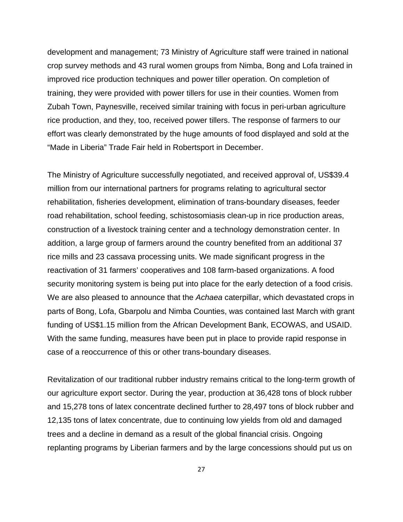development and management; 73 Ministry of Agriculture staff were trained in national crop survey methods and 43 rural women groups from Nimba, Bong and Lofa trained in improved rice production techniques and power tiller operation. On completion of training, they were provided with power tillers for use in their counties. Women from Zubah Town, Paynesville, received similar training with focus in peri-urban agriculture rice production, and they, too, received power tillers. The response of farmers to our effort was clearly demonstrated by the huge amounts of food displayed and sold at the "Made in Liberia" Trade Fair held in Robertsport in December.

The Ministry of Agriculture successfully negotiated, and received approval of, US\$39.4 million from our international partners for programs relating to agricultural sector rehabilitation, fisheries development, elimination of trans-boundary diseases, feeder road rehabilitation, school feeding, schistosomiasis clean-up in rice production areas, construction of a livestock training center and a technology demonstration center. In addition, a large group of farmers around the country benefited from an additional 37 rice mills and 23 cassava processing units. We made significant progress in the reactivation of 31 farmers' cooperatives and 108 farm-based organizations. A food security monitoring system is being put into place for the early detection of a food crisis. We are also pleased to announce that the *Achaea* caterpillar, which devastated crops in parts of Bong, Lofa, Gbarpolu and Nimba Counties, was contained last March with grant funding of US\$1.15 million from the African Development Bank, ECOWAS, and USAID. With the same funding, measures have been put in place to provide rapid response in case of a reoccurrence of this or other trans-boundary diseases.

Revitalization of our traditional rubber industry remains critical to the long-term growth of our agriculture export sector. During the year, production at 36,428 tons of block rubber and 15,278 tons of latex concentrate declined further to 28,497 tons of block rubber and 12,135 tons of latex concentrate, due to continuing low yields from old and damaged trees and a decline in demand as a result of the global financial crisis. Ongoing replanting programs by Liberian farmers and by the large concessions should put us on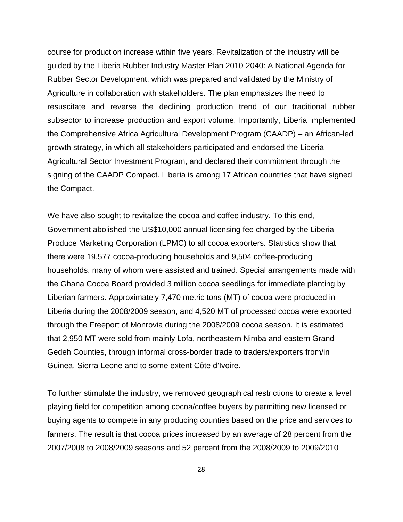course for production increase within five years. Revitalization of the industry will be guided by the Liberia Rubber Industry Master Plan 2010-2040: A National Agenda for Rubber Sector Development, which was prepared and validated by the Ministry of Agriculture in collaboration with stakeholders. The plan emphasizes the need to resuscitate and reverse the declining production trend of our traditional rubber subsector to increase production and export volume. Importantly, Liberia implemented the Comprehensive Africa Agricultural Development Program (CAADP) – an African-led growth strategy, in which all stakeholders participated and endorsed the Liberia Agricultural Sector Investment Program, and declared their commitment through the signing of the CAADP Compact. Liberia is among 17 African countries that have signed the Compact.

We have also sought to revitalize the cocoa and coffee industry. To this end, Government abolished the US\$10,000 annual licensing fee charged by the Liberia Produce Marketing Corporation (LPMC) to all cocoa exporters. Statistics show that there were 19,577 cocoa-producing households and 9,504 coffee-producing households, many of whom were assisted and trained. Special arrangements made with the Ghana Cocoa Board provided 3 million cocoa seedlings for immediate planting by Liberian farmers. Approximately 7,470 metric tons (MT) of cocoa were produced in Liberia during the 2008/2009 season, and 4,520 MT of processed cocoa were exported through the Freeport of Monrovia during the 2008/2009 cocoa season. It is estimated that 2,950 MT were sold from mainly Lofa, northeastern Nimba and eastern Grand Gedeh Counties, through informal cross-border trade to traders/exporters from/in Guinea, Sierra Leone and to some extent Côte d'Ivoire.

To further stimulate the industry, we removed geographical restrictions to create a level playing field for competition among cocoa/coffee buyers by permitting new licensed or buying agents to compete in any producing counties based on the price and services to farmers. The result is that cocoa prices increased by an average of 28 percent from the 2007/2008 to 2008/2009 seasons and 52 percent from the 2008/2009 to 2009/2010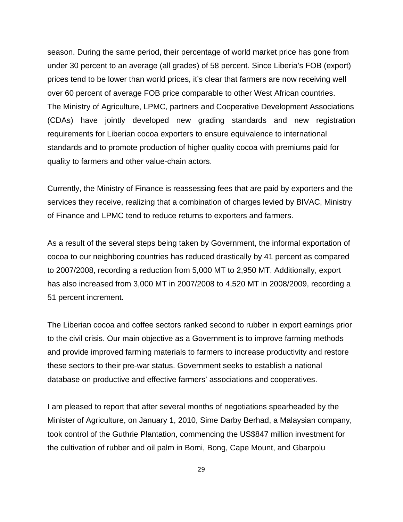season. During the same period, their percentage of world market price has gone from under 30 percent to an average (all grades) of 58 percent. Since Liberia's FOB (export) prices tend to be lower than world prices, it's clear that farmers are now receiving well over 60 percent of average FOB price comparable to other West African countries. The Ministry of Agriculture, LPMC, partners and Cooperative Development Associations (CDAs) have jointly developed new grading standards and new registration requirements for Liberian cocoa exporters to ensure equivalence to international standards and to promote production of higher quality cocoa with premiums paid for quality to farmers and other value-chain actors.

Currently, the Ministry of Finance is reassessing fees that are paid by exporters and the services they receive, realizing that a combination of charges levied by BIVAC, Ministry of Finance and LPMC tend to reduce returns to exporters and farmers.

As a result of the several steps being taken by Government, the informal exportation of cocoa to our neighboring countries has reduced drastically by 41 percent as compared to 2007/2008, recording a reduction from 5,000 MT to 2,950 MT. Additionally, export has also increased from 3,000 MT in 2007/2008 to 4,520 MT in 2008/2009, recording a 51 percent increment.

The Liberian cocoa and coffee sectors ranked second to rubber in export earnings prior to the civil crisis. Our main objective as a Government is to improve farming methods and provide improved farming materials to farmers to increase productivity and restore these sectors to their pre-war status. Government seeks to establish a national database on productive and effective farmers' associations and cooperatives.

I am pleased to report that after several months of negotiations spearheaded by the Minister of Agriculture, on January 1, 2010, Sime Darby Berhad, a Malaysian company, took control of the Guthrie Plantation, commencing the US\$847 million investment for the cultivation of rubber and oil palm in Bomi, Bong, Cape Mount, and Gbarpolu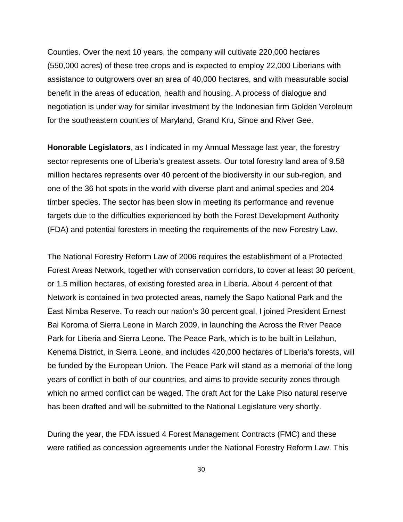Counties. Over the next 10 years, the company will cultivate 220,000 hectares (550,000 acres) of these tree crops and is expected to employ 22,000 Liberians with assistance to outgrowers over an area of 40,000 hectares, and with measurable social benefit in the areas of education, health and housing. A process of dialogue and negotiation is under way for similar investment by the Indonesian firm Golden Veroleum for the southeastern counties of Maryland, Grand Kru, Sinoe and River Gee.

**Honorable Legislators**, as I indicated in my Annual Message last year, the forestry sector represents one of Liberia's greatest assets. Our total forestry land area of 9.58 million hectares represents over 40 percent of the biodiversity in our sub-region, and one of the 36 hot spots in the world with diverse plant and animal species and 204 timber species. The sector has been slow in meeting its performance and revenue targets due to the difficulties experienced by both the Forest Development Authority (FDA) and potential foresters in meeting the requirements of the new Forestry Law.

The National Forestry Reform Law of 2006 requires the establishment of a Protected Forest Areas Network, together with conservation corridors, to cover at least 30 percent, or 1.5 million hectares, of existing forested area in Liberia. About 4 percent of that Network is contained in two protected areas, namely the Sapo National Park and the East Nimba Reserve. To reach our nation's 30 percent goal, I joined President Ernest Bai Koroma of Sierra Leone in March 2009, in launching the Across the River Peace Park for Liberia and Sierra Leone. The Peace Park, which is to be built in Leilahun, Kenema District, in Sierra Leone, and includes 420,000 hectares of Liberia's forests, will be funded by the European Union. The Peace Park will stand as a memorial of the long years of conflict in both of our countries, and aims to provide security zones through which no armed conflict can be waged. The draft Act for the Lake Piso natural reserve has been drafted and will be submitted to the National Legislature very shortly.

During the year, the FDA issued 4 Forest Management Contracts (FMC) and these were ratified as concession agreements under the National Forestry Reform Law. This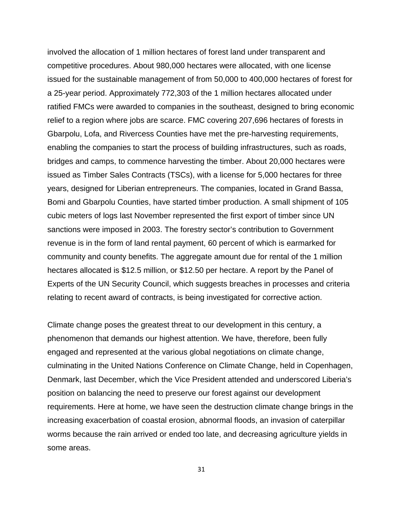involved the allocation of 1 million hectares of forest land under transparent and competitive procedures. About 980,000 hectares were allocated, with one license issued for the sustainable management of from 50,000 to 400,000 hectares of forest for a 25-year period. Approximately 772,303 of the 1 million hectares allocated under ratified FMCs were awarded to companies in the southeast, designed to bring economic relief to a region where jobs are scarce. FMC covering 207,696 hectares of forests in Gbarpolu, Lofa, and Rivercess Counties have met the pre-harvesting requirements, enabling the companies to start the process of building infrastructures, such as roads, bridges and camps, to commence harvesting the timber. About 20,000 hectares were issued as Timber Sales Contracts (TSCs), with a license for 5,000 hectares for three years, designed for Liberian entrepreneurs. The companies, located in Grand Bassa, Bomi and Gbarpolu Counties, have started timber production. A small shipment of 105 cubic meters of logs last November represented the first export of timber since UN sanctions were imposed in 2003. The forestry sector's contribution to Government revenue is in the form of land rental payment, 60 percent of which is earmarked for community and county benefits. The aggregate amount due for rental of the 1 million hectares allocated is \$12.5 million, or \$12.50 per hectare. A report by the Panel of Experts of the UN Security Council, which suggests breaches in processes and criteria relating to recent award of contracts, is being investigated for corrective action.

Climate change poses the greatest threat to our development in this century, a phenomenon that demands our highest attention. We have, therefore, been fully engaged and represented at the various global negotiations on climate change, culminating in the United Nations Conference on Climate Change, held in Copenhagen, Denmark, last December, which the Vice President attended and underscored Liberia's position on balancing the need to preserve our forest against our development requirements. Here at home, we have seen the destruction climate change brings in the increasing exacerbation of coastal erosion, abnormal floods, an invasion of caterpillar worms because the rain arrived or ended too late, and decreasing agriculture yields in some areas.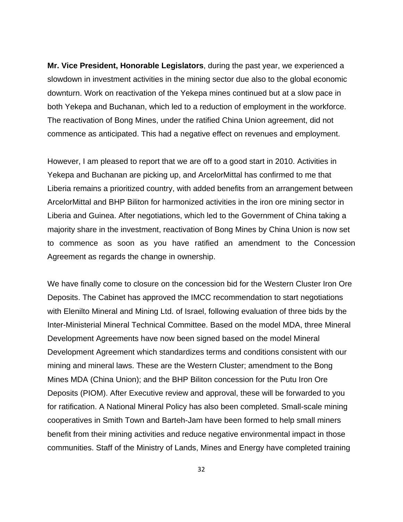**Mr. Vice President, Honorable Legislators**, during the past year, we experienced a slowdown in investment activities in the mining sector due also to the global economic downturn. Work on reactivation of the Yekepa mines continued but at a slow pace in both Yekepa and Buchanan, which led to a reduction of employment in the workforce. The reactivation of Bong Mines, under the ratified China Union agreement, did not commence as anticipated. This had a negative effect on revenues and employment.

However, I am pleased to report that we are off to a good start in 2010. Activities in Yekepa and Buchanan are picking up, and ArcelorMittal has confirmed to me that Liberia remains a prioritized country, with added benefits from an arrangement between ArcelorMittal and BHP Biliton for harmonized activities in the iron ore mining sector in Liberia and Guinea. After negotiations, which led to the Government of China taking a majority share in the investment, reactivation of Bong Mines by China Union is now set to commence as soon as you have ratified an amendment to the Concession Agreement as regards the change in ownership.

We have finally come to closure on the concession bid for the Western Cluster Iron Ore Deposits. The Cabinet has approved the IMCC recommendation to start negotiations with Elenilto Mineral and Mining Ltd. of Israel, following evaluation of three bids by the Inter-Ministerial Mineral Technical Committee. Based on the model MDA, three Mineral Development Agreements have now been signed based on the model Mineral Development Agreement which standardizes terms and conditions consistent with our mining and mineral laws. These are the Western Cluster; amendment to the Bong Mines MDA (China Union); and the BHP Biliton concession for the Putu Iron Ore Deposits (PIOM). After Executive review and approval, these will be forwarded to you for ratification. A National Mineral Policy has also been completed. Small-scale mining cooperatives in Smith Town and Barteh-Jam have been formed to help small miners benefit from their mining activities and reduce negative environmental impact in those communities. Staff of the Ministry of Lands, Mines and Energy have completed training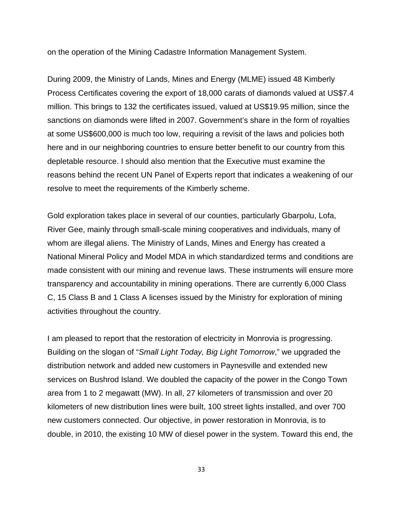on the operation of the Mining Cadastre Information Management System.

During 2009, the Ministry of Lands, Mines and Energy (MLME) issued 48 Kimberly Process Certificates covering the export of 18,000 carats of diamonds valued at US\$7.4 million. This brings to 132 the certificates issued, valued at US\$19.95 million, since the sanctions on diamonds were lifted in 2007. Government's share in the form of royalties at some US\$600,000 is much too low, requiring a revisit of the laws and policies both here and in our neighboring countries to ensure better benefit to our country from this depletable resource. I should also mention that the Executive must examine the reasons behind the recent UN Panel of Experts report that indicates a weakening of our resolve to meet the requirements of the Kimberly scheme.

Gold exploration takes place in several of our counties, particularly Gbarpolu, Lofa, River Gee, mainly through small-scale mining cooperatives and individuals, many of whom are illegal aliens. The Ministry of Lands, Mines and Energy has created a National Mineral Policy and Model MDA in which standardized terms and conditions are made consistent with our mining and revenue laws. These instruments will ensure more transparency and accountability in mining operations. There are currently 6,000 Class C, 15 Class B and 1 Class A licenses issued by the Ministry for exploration of mining activities throughout the country.

I am pleased to report that the restoration of electricity in Monrovia is progressing. Building on the slogan of "*Small Light Today, Big Light Tomorrow*," we upgraded the distribution network and added new customers in Paynesville and extended new services on Bushrod Island. We doubled the capacity of the power in the Congo Town area from 1 to 2 megawatt (MW). In all, 27 kilometers of transmission and over 20 kilometers of new distribution lines were built, 100 street lights installed, and over 700 new customers connected. Our objective, in power restoration in Monrovia, is to double, in 2010, the existing 10 MW of diesel power in the system. Toward this end, the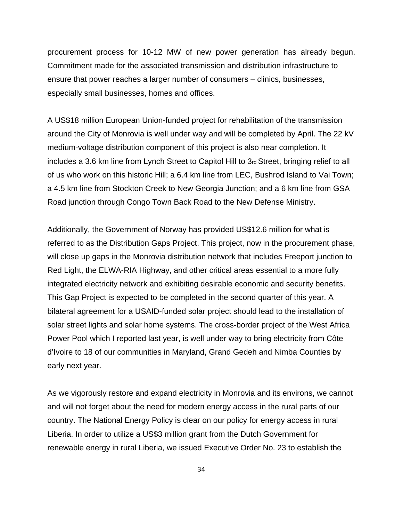procurement process for 10-12 MW of new power generation has already begun. Commitment made for the associated transmission and distribution infrastructure to ensure that power reaches a larger number of consumers – clinics, businesses, especially small businesses, homes and offices.

A US\$18 million European Union-funded project for rehabilitation of the transmission around the City of Monrovia is well under way and will be completed by April. The 22 kV medium-voltage distribution component of this project is also near completion. It includes a 3.6 km line from Lynch Street to Capitol Hill to 3rd Street, bringing relief to all of us who work on this historic Hill; a 6.4 km line from LEC, Bushrod Island to Vai Town; a 4.5 km line from Stockton Creek to New Georgia Junction; and a 6 km line from GSA Road junction through Congo Town Back Road to the New Defense Ministry.

Additionally, the Government of Norway has provided US\$12.6 million for what is referred to as the Distribution Gaps Project. This project, now in the procurement phase, will close up gaps in the Monrovia distribution network that includes Freeport junction to Red Light, the ELWA-RIA Highway, and other critical areas essential to a more fully integrated electricity network and exhibiting desirable economic and security benefits. This Gap Project is expected to be completed in the second quarter of this year. A bilateral agreement for a USAID-funded solar project should lead to the installation of solar street lights and solar home systems. The cross-border project of the West Africa Power Pool which I reported last year, is well under way to bring electricity from Côte d'Ivoire to 18 of our communities in Maryland, Grand Gedeh and Nimba Counties by early next year.

As we vigorously restore and expand electricity in Monrovia and its environs, we cannot and will not forget about the need for modern energy access in the rural parts of our country. The National Energy Policy is clear on our policy for energy access in rural Liberia. In order to utilize a US\$3 million grant from the Dutch Government for renewable energy in rural Liberia, we issued Executive Order No. 23 to establish the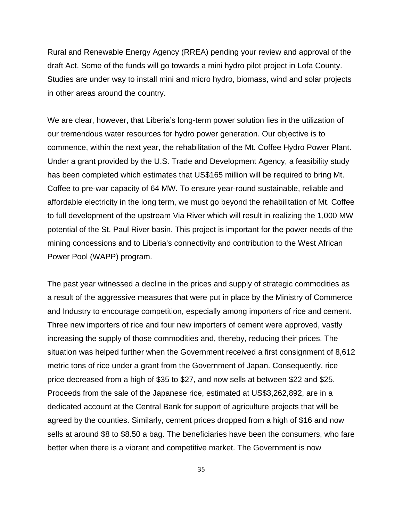Rural and Renewable Energy Agency (RREA) pending your review and approval of the draft Act. Some of the funds will go towards a mini hydro pilot project in Lofa County. Studies are under way to install mini and micro hydro, biomass, wind and solar projects in other areas around the country.

We are clear, however, that Liberia's long-term power solution lies in the utilization of our tremendous water resources for hydro power generation. Our objective is to commence, within the next year, the rehabilitation of the Mt. Coffee Hydro Power Plant. Under a grant provided by the U.S. Trade and Development Agency, a feasibility study has been completed which estimates that US\$165 million will be required to bring Mt. Coffee to pre-war capacity of 64 MW. To ensure year-round sustainable, reliable and affordable electricity in the long term, we must go beyond the rehabilitation of Mt. Coffee to full development of the upstream Via River which will result in realizing the 1,000 MW potential of the St. Paul River basin. This project is important for the power needs of the mining concessions and to Liberia's connectivity and contribution to the West African Power Pool (WAPP) program.

The past year witnessed a decline in the prices and supply of strategic commodities as a result of the aggressive measures that were put in place by the Ministry of Commerce and Industry to encourage competition, especially among importers of rice and cement. Three new importers of rice and four new importers of cement were approved, vastly increasing the supply of those commodities and, thereby, reducing their prices. The situation was helped further when the Government received a first consignment of 8,612 metric tons of rice under a grant from the Government of Japan. Consequently, rice price decreased from a high of \$35 to \$27, and now sells at between \$22 and \$25. Proceeds from the sale of the Japanese rice, estimated at US\$3,262,892, are in a dedicated account at the Central Bank for support of agriculture projects that will be agreed by the counties. Similarly, cement prices dropped from a high of \$16 and now sells at around \$8 to \$8.50 a bag. The beneficiaries have been the consumers, who fare better when there is a vibrant and competitive market. The Government is now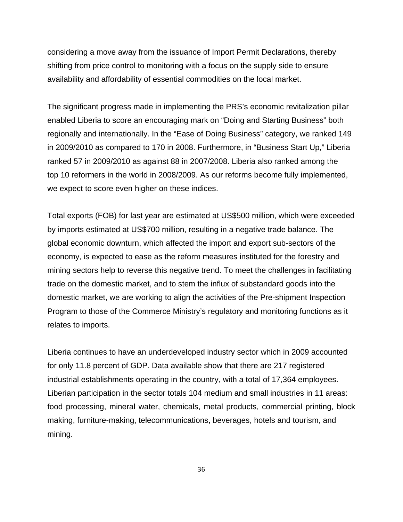considering a move away from the issuance of Import Permit Declarations, thereby shifting from price control to monitoring with a focus on the supply side to ensure availability and affordability of essential commodities on the local market.

The significant progress made in implementing the PRS's economic revitalization pillar enabled Liberia to score an encouraging mark on "Doing and Starting Business" both regionally and internationally. In the "Ease of Doing Business" category, we ranked 149 in 2009/2010 as compared to 170 in 2008. Furthermore, in "Business Start Up," Liberia ranked 57 in 2009/2010 as against 88 in 2007/2008. Liberia also ranked among the top 10 reformers in the world in 2008/2009. As our reforms become fully implemented, we expect to score even higher on these indices.

Total exports (FOB) for last year are estimated at US\$500 million, which were exceeded by imports estimated at US\$700 million, resulting in a negative trade balance. The global economic downturn, which affected the import and export sub-sectors of the economy, is expected to ease as the reform measures instituted for the forestry and mining sectors help to reverse this negative trend. To meet the challenges in facilitating trade on the domestic market, and to stem the influx of substandard goods into the domestic market, we are working to align the activities of the Pre-shipment Inspection Program to those of the Commerce Ministry's regulatory and monitoring functions as it relates to imports.

Liberia continues to have an underdeveloped industry sector which in 2009 accounted for only 11.8 percent of GDP. Data available show that there are 217 registered industrial establishments operating in the country, with a total of 17,364 employees. Liberian participation in the sector totals 104 medium and small industries in 11 areas: food processing, mineral water, chemicals, metal products, commercial printing, block making, furniture-making, telecommunications, beverages, hotels and tourism, and mining.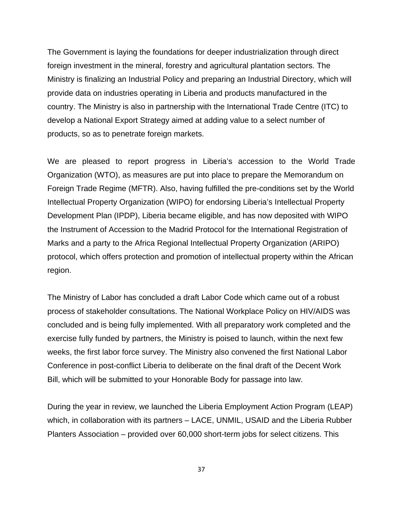The Government is laying the foundations for deeper industrialization through direct foreign investment in the mineral, forestry and agricultural plantation sectors. The Ministry is finalizing an Industrial Policy and preparing an Industrial Directory, which will provide data on industries operating in Liberia and products manufactured in the country. The Ministry is also in partnership with the International Trade Centre (ITC) to develop a National Export Strategy aimed at adding value to a select number of products, so as to penetrate foreign markets.

We are pleased to report progress in Liberia's accession to the World Trade Organization (WTO), as measures are put into place to prepare the Memorandum on Foreign Trade Regime (MFTR). Also, having fulfilled the pre-conditions set by the World Intellectual Property Organization (WIPO) for endorsing Liberia's Intellectual Property Development Plan (IPDP), Liberia became eligible, and has now deposited with WIPO the Instrument of Accession to the Madrid Protocol for the International Registration of Marks and a party to the Africa Regional Intellectual Property Organization (ARIPO) protocol, which offers protection and promotion of intellectual property within the African region.

The Ministry of Labor has concluded a draft Labor Code which came out of a robust process of stakeholder consultations. The National Workplace Policy on HIV/AIDS was concluded and is being fully implemented. With all preparatory work completed and the exercise fully funded by partners, the Ministry is poised to launch, within the next few weeks, the first labor force survey. The Ministry also convened the first National Labor Conference in post-conflict Liberia to deliberate on the final draft of the Decent Work Bill, which will be submitted to your Honorable Body for passage into law.

During the year in review, we launched the Liberia Employment Action Program (LEAP) which, in collaboration with its partners – LACE, UNMIL, USAID and the Liberia Rubber Planters Association – provided over 60,000 short-term jobs for select citizens. This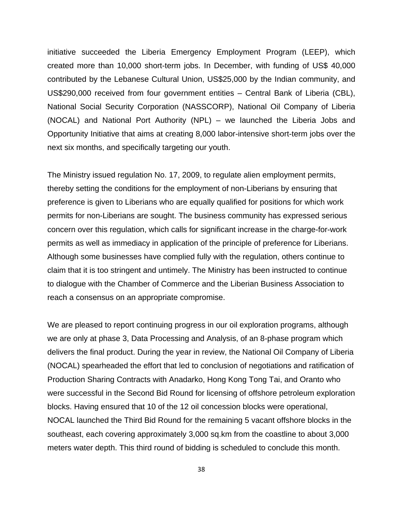initiative succeeded the Liberia Emergency Employment Program (LEEP), which created more than 10,000 short-term jobs. In December, with funding of US\$ 40,000 contributed by the Lebanese Cultural Union, US\$25,000 by the Indian community, and US\$290,000 received from four government entities – Central Bank of Liberia (CBL), National Social Security Corporation (NASSCORP), National Oil Company of Liberia (NOCAL) and National Port Authority (NPL) – we launched the Liberia Jobs and Opportunity Initiative that aims at creating 8,000 labor-intensive short-term jobs over the next six months, and specifically targeting our youth.

The Ministry issued regulation No. 17, 2009, to regulate alien employment permits, thereby setting the conditions for the employment of non-Liberians by ensuring that preference is given to Liberians who are equally qualified for positions for which work permits for non-Liberians are sought. The business community has expressed serious concern over this regulation, which calls for significant increase in the charge-for-work permits as well as immediacy in application of the principle of preference for Liberians. Although some businesses have complied fully with the regulation, others continue to claim that it is too stringent and untimely. The Ministry has been instructed to continue to dialogue with the Chamber of Commerce and the Liberian Business Association to reach a consensus on an appropriate compromise.

We are pleased to report continuing progress in our oil exploration programs, although we are only at phase 3, Data Processing and Analysis, of an 8-phase program which delivers the final product. During the year in review, the National Oil Company of Liberia (NOCAL) spearheaded the effort that led to conclusion of negotiations and ratification of Production Sharing Contracts with Anadarko, Hong Kong Tong Tai, and Oranto who were successful in the Second Bid Round for licensing of offshore petroleum exploration blocks. Having ensured that 10 of the 12 oil concession blocks were operational, NOCAL launched the Third Bid Round for the remaining 5 vacant offshore blocks in the southeast, each covering approximately 3,000 sq.km from the coastline to about 3,000 meters water depth. This third round of bidding is scheduled to conclude this month.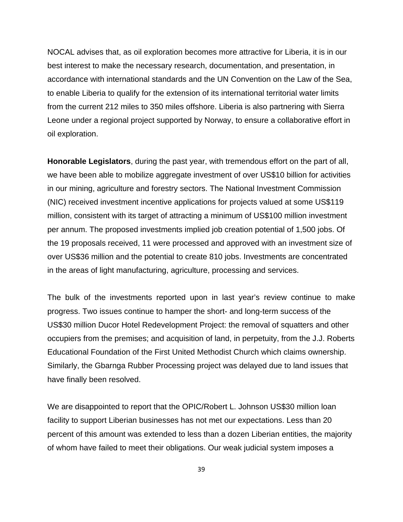NOCAL advises that, as oil exploration becomes more attractive for Liberia, it is in our best interest to make the necessary research, documentation, and presentation, in accordance with international standards and the UN Convention on the Law of the Sea, to enable Liberia to qualify for the extension of its international territorial water limits from the current 212 miles to 350 miles offshore. Liberia is also partnering with Sierra Leone under a regional project supported by Norway, to ensure a collaborative effort in oil exploration.

**Honorable Legislators**, during the past year, with tremendous effort on the part of all, we have been able to mobilize aggregate investment of over US\$10 billion for activities in our mining, agriculture and forestry sectors. The National Investment Commission (NIC) received investment incentive applications for projects valued at some US\$119 million, consistent with its target of attracting a minimum of US\$100 million investment per annum. The proposed investments implied job creation potential of 1,500 jobs. Of the 19 proposals received, 11 were processed and approved with an investment size of over US\$36 million and the potential to create 810 jobs. Investments are concentrated in the areas of light manufacturing, agriculture, processing and services.

The bulk of the investments reported upon in last year's review continue to make progress. Two issues continue to hamper the short- and long-term success of the US\$30 million Ducor Hotel Redevelopment Project: the removal of squatters and other occupiers from the premises; and acquisition of land, in perpetuity, from the J.J. Roberts Educational Foundation of the First United Methodist Church which claims ownership. Similarly, the Gbarnga Rubber Processing project was delayed due to land issues that have finally been resolved.

We are disappointed to report that the OPIC/Robert L. Johnson US\$30 million loan facility to support Liberian businesses has not met our expectations. Less than 20 percent of this amount was extended to less than a dozen Liberian entities, the majority of whom have failed to meet their obligations. Our weak judicial system imposes a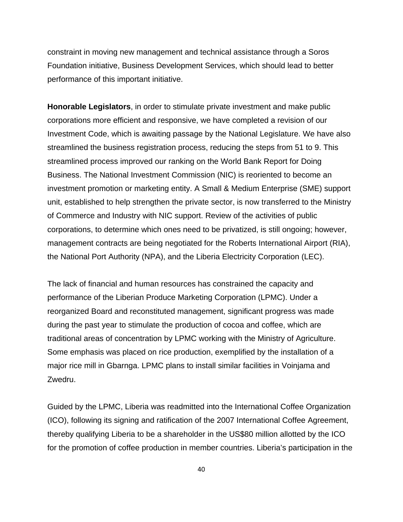constraint in moving new management and technical assistance through a Soros Foundation initiative, Business Development Services, which should lead to better performance of this important initiative.

**Honorable Legislators**, in order to stimulate private investment and make public corporations more efficient and responsive, we have completed a revision of our Investment Code, which is awaiting passage by the National Legislature. We have also streamlined the business registration process, reducing the steps from 51 to 9. This streamlined process improved our ranking on the World Bank Report for Doing Business. The National Investment Commission (NIC) is reoriented to become an investment promotion or marketing entity. A Small & Medium Enterprise (SME) support unit, established to help strengthen the private sector, is now transferred to the Ministry of Commerce and Industry with NIC support. Review of the activities of public corporations, to determine which ones need to be privatized, is still ongoing; however, management contracts are being negotiated for the Roberts International Airport (RIA), the National Port Authority (NPA), and the Liberia Electricity Corporation (LEC).

The lack of financial and human resources has constrained the capacity and performance of the Liberian Produce Marketing Corporation (LPMC). Under a reorganized Board and reconstituted management, significant progress was made during the past year to stimulate the production of cocoa and coffee, which are traditional areas of concentration by LPMC working with the Ministry of Agriculture. Some emphasis was placed on rice production, exemplified by the installation of a major rice mill in Gbarnga. LPMC plans to install similar facilities in Voinjama and Zwedru.

Guided by the LPMC, Liberia was readmitted into the International Coffee Organization (ICO), following its signing and ratification of the 2007 International Coffee Agreement, thereby qualifying Liberia to be a shareholder in the US\$80 million allotted by the ICO for the promotion of coffee production in member countries. Liberia's participation in the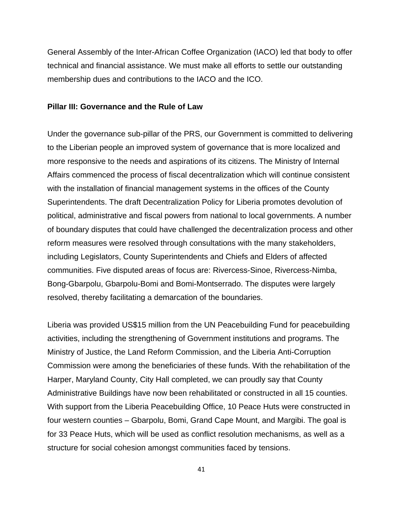General Assembly of the Inter-African Coffee Organization (IACO) led that body to offer technical and financial assistance. We must make all efforts to settle our outstanding membership dues and contributions to the IACO and the ICO.

## **Pillar III: Governance and the Rule of Law**

Under the governance sub-pillar of the PRS, our Government is committed to delivering to the Liberian people an improved system of governance that is more localized and more responsive to the needs and aspirations of its citizens. The Ministry of Internal Affairs commenced the process of fiscal decentralization which will continue consistent with the installation of financial management systems in the offices of the County Superintendents. The draft Decentralization Policy for Liberia promotes devolution of political, administrative and fiscal powers from national to local governments. A number of boundary disputes that could have challenged the decentralization process and other reform measures were resolved through consultations with the many stakeholders, including Legislators, County Superintendents and Chiefs and Elders of affected communities. Five disputed areas of focus are: Rivercess-Sinoe, Rivercess-Nimba, Bong-Gbarpolu, Gbarpolu-Bomi and Bomi-Montserrado. The disputes were largely resolved, thereby facilitating a demarcation of the boundaries.

Liberia was provided US\$15 million from the UN Peacebuilding Fund for peacebuilding activities, including the strengthening of Government institutions and programs. The Ministry of Justice, the Land Reform Commission, and the Liberia Anti-Corruption Commission were among the beneficiaries of these funds. With the rehabilitation of the Harper, Maryland County, City Hall completed, we can proudly say that County Administrative Buildings have now been rehabilitated or constructed in all 15 counties. With support from the Liberia Peacebuilding Office, 10 Peace Huts were constructed in four western counties – Gbarpolu, Bomi, Grand Cape Mount, and Margibi. The goal is for 33 Peace Huts, which will be used as conflict resolution mechanisms, as well as a structure for social cohesion amongst communities faced by tensions.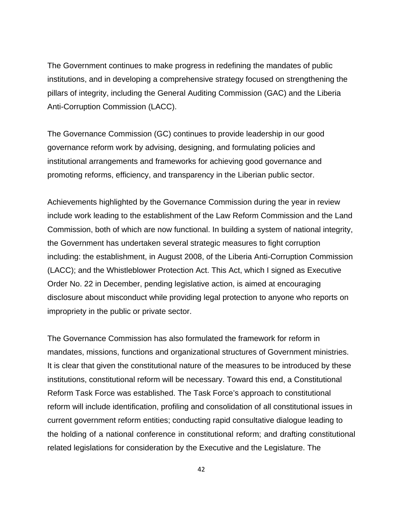The Government continues to make progress in redefining the mandates of public institutions, and in developing a comprehensive strategy focused on strengthening the pillars of integrity, including the General Auditing Commission (GAC) and the Liberia Anti-Corruption Commission (LACC).

The Governance Commission (GC) continues to provide leadership in our good governance reform work by advising, designing, and formulating policies and institutional arrangements and frameworks for achieving good governance and promoting reforms, efficiency, and transparency in the Liberian public sector.

Achievements highlighted by the Governance Commission during the year in review include work leading to the establishment of the Law Reform Commission and the Land Commission, both of which are now functional. In building a system of national integrity, the Government has undertaken several strategic measures to fight corruption including: the establishment, in August 2008, of the Liberia Anti-Corruption Commission (LACC); and the Whistleblower Protection Act. This Act, which I signed as Executive Order No. 22 in December, pending legislative action, is aimed at encouraging disclosure about misconduct while providing legal protection to anyone who reports on impropriety in the public or private sector.

The Governance Commission has also formulated the framework for reform in mandates, missions, functions and organizational structures of Government ministries. It is clear that given the constitutional nature of the measures to be introduced by these institutions, constitutional reform will be necessary. Toward this end, a Constitutional Reform Task Force was established. The Task Force's approach to constitutional reform will include identification, profiling and consolidation of all constitutional issues in current government reform entities; conducting rapid consultative dialogue leading to the holding of a national conference in constitutional reform; and drafting constitutional related legislations for consideration by the Executive and the Legislature. The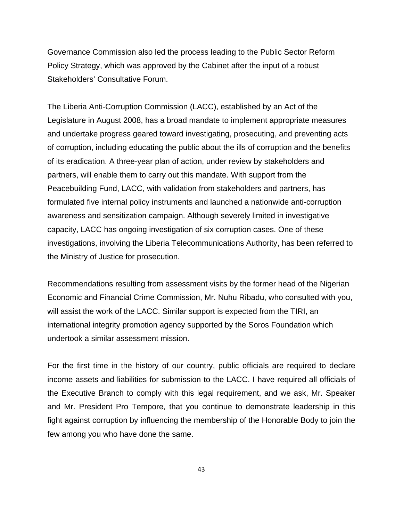Governance Commission also led the process leading to the Public Sector Reform Policy Strategy, which was approved by the Cabinet after the input of a robust Stakeholders' Consultative Forum.

The Liberia Anti-Corruption Commission (LACC), established by an Act of the Legislature in August 2008, has a broad mandate to implement appropriate measures and undertake progress geared toward investigating, prosecuting, and preventing acts of corruption, including educating the public about the ills of corruption and the benefits of its eradication. A three-year plan of action, under review by stakeholders and partners, will enable them to carry out this mandate. With support from the Peacebuilding Fund, LACC, with validation from stakeholders and partners, has formulated five internal policy instruments and launched a nationwide anti-corruption awareness and sensitization campaign. Although severely limited in investigative capacity, LACC has ongoing investigation of six corruption cases. One of these investigations, involving the Liberia Telecommunications Authority, has been referred to the Ministry of Justice for prosecution.

Recommendations resulting from assessment visits by the former head of the Nigerian Economic and Financial Crime Commission, Mr. Nuhu Ribadu, who consulted with you, will assist the work of the LACC. Similar support is expected from the TIRI, an international integrity promotion agency supported by the Soros Foundation which undertook a similar assessment mission.

For the first time in the history of our country, public officials are required to declare income assets and liabilities for submission to the LACC. I have required all officials of the Executive Branch to comply with this legal requirement, and we ask, Mr. Speaker and Mr. President Pro Tempore, that you continue to demonstrate leadership in this fight against corruption by influencing the membership of the Honorable Body to join the few among you who have done the same.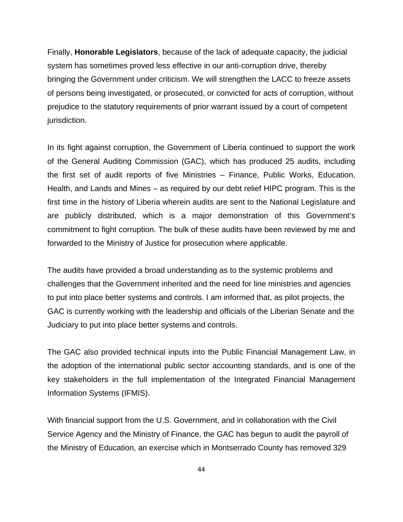Finally, **Honorable Legislators**, because of the lack of adequate capacity, the judicial system has sometimes proved less effective in our anti-corruption drive, thereby bringing the Government under criticism. We will strengthen the LACC to freeze assets of persons being investigated, or prosecuted, or convicted for acts of corruption, without prejudice to the statutory requirements of prior warrant issued by a court of competent jurisdiction.

In its fight against corruption, the Government of Liberia continued to support the work of the General Auditing Commission (GAC), which has produced 25 audits, including the first set of audit reports of five Ministries – Finance, Public Works, Education, Health, and Lands and Mines – as required by our debt relief HIPC program. This is the first time in the history of Liberia wherein audits are sent to the National Legislature and are publicly distributed, which is a major demonstration of this Government's commitment to fight corruption. The bulk of these audits have been reviewed by me and forwarded to the Ministry of Justice for prosecution where applicable.

The audits have provided a broad understanding as to the systemic problems and challenges that the Government inherited and the need for line ministries and agencies to put into place better systems and controls. I am informed that, as pilot projects, the GAC is currently working with the leadership and officials of the Liberian Senate and the Judiciary to put into place better systems and controls.

The GAC also provided technical inputs into the Public Financial Management Law, in the adoption of the international public sector accounting standards, and is one of the key stakeholders in the full implementation of the Integrated Financial Management Information Systems (IFMIS).

With financial support from the U.S. Government, and in collaboration with the Civil Service Agency and the Ministry of Finance, the GAC has begun to audit the payroll of the Ministry of Education, an exercise which in Montserrado County has removed 329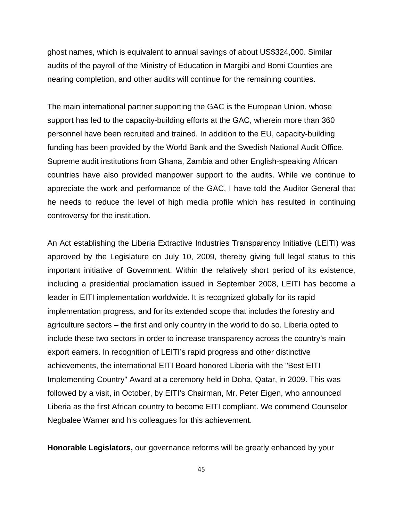ghost names, which is equivalent to annual savings of about US\$324,000. Similar audits of the payroll of the Ministry of Education in Margibi and Bomi Counties are nearing completion, and other audits will continue for the remaining counties.

The main international partner supporting the GAC is the European Union, whose support has led to the capacity-building efforts at the GAC, wherein more than 360 personnel have been recruited and trained. In addition to the EU, capacity-building funding has been provided by the World Bank and the Swedish National Audit Office. Supreme audit institutions from Ghana, Zambia and other English-speaking African countries have also provided manpower support to the audits. While we continue to appreciate the work and performance of the GAC, I have told the Auditor General that he needs to reduce the level of high media profile which has resulted in continuing controversy for the institution.

An Act establishing the Liberia Extractive Industries Transparency Initiative (LEITI) was approved by the Legislature on July 10, 2009, thereby giving full legal status to this important initiative of Government. Within the relatively short period of its existence, including a presidential proclamation issued in September 2008, LEITI has become a leader in EITI implementation worldwide. It is recognized globally for its rapid implementation progress, and for its extended scope that includes the forestry and agriculture sectors – the first and only country in the world to do so. Liberia opted to include these two sectors in order to increase transparency across the country's main export earners. In recognition of LEITI's rapid progress and other distinctive achievements, the international EITI Board honored Liberia with the "Best EITI Implementing Country" Award at a ceremony held in Doha, Qatar, in 2009. This was followed by a visit, in October, by EITI's Chairman, Mr. Peter Eigen, who announced Liberia as the first African country to become EITI compliant. We commend Counselor Negbalee Warner and his colleagues for this achievement.

**Honorable Legislators,** our governance reforms will be greatly enhanced by your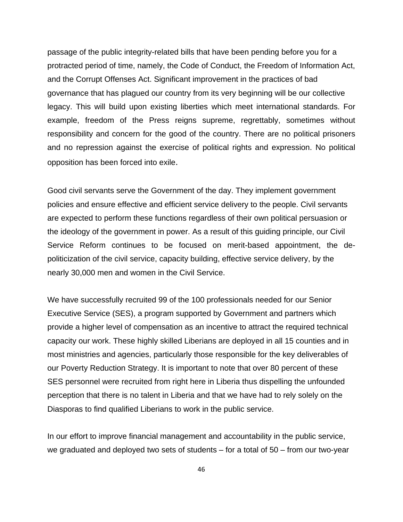passage of the public integrity-related bills that have been pending before you for a protracted period of time, namely, the Code of Conduct, the Freedom of Information Act, and the Corrupt Offenses Act. Significant improvement in the practices of bad governance that has plagued our country from its very beginning will be our collective legacy. This will build upon existing liberties which meet international standards. For example, freedom of the Press reigns supreme, regrettably, sometimes without responsibility and concern for the good of the country. There are no political prisoners and no repression against the exercise of political rights and expression. No political opposition has been forced into exile.

Good civil servants serve the Government of the day. They implement government policies and ensure effective and efficient service delivery to the people. Civil servants are expected to perform these functions regardless of their own political persuasion or the ideology of the government in power. As a result of this guiding principle, our Civil Service Reform continues to be focused on merit-based appointment, the depoliticization of the civil service, capacity building, effective service delivery, by the nearly 30,000 men and women in the Civil Service.

We have successfully recruited 99 of the 100 professionals needed for our Senior Executive Service (SES), a program supported by Government and partners which provide a higher level of compensation as an incentive to attract the required technical capacity our work. These highly skilled Liberians are deployed in all 15 counties and in most ministries and agencies, particularly those responsible for the key deliverables of our Poverty Reduction Strategy. It is important to note that over 80 percent of these SES personnel were recruited from right here in Liberia thus dispelling the unfounded perception that there is no talent in Liberia and that we have had to rely solely on the Diasporas to find qualified Liberians to work in the public service.

In our effort to improve financial management and accountability in the public service, we graduated and deployed two sets of students – for a total of 50 – from our two-year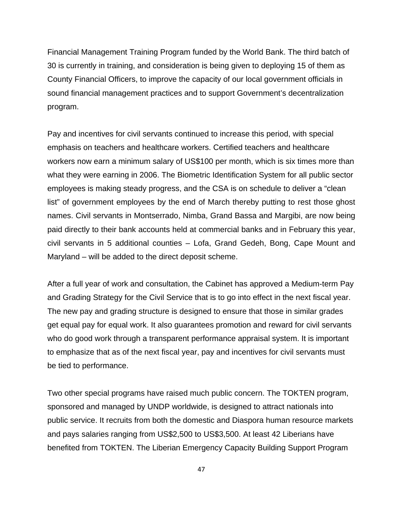Financial Management Training Program funded by the World Bank. The third batch of 30 is currently in training, and consideration is being given to deploying 15 of them as County Financial Officers, to improve the capacity of our local government officials in sound financial management practices and to support Government's decentralization program.

Pay and incentives for civil servants continued to increase this period, with special emphasis on teachers and healthcare workers. Certified teachers and healthcare workers now earn a minimum salary of US\$100 per month, which is six times more than what they were earning in 2006. The Biometric Identification System for all public sector employees is making steady progress, and the CSA is on schedule to deliver a "clean list" of government employees by the end of March thereby putting to rest those ghost names. Civil servants in Montserrado, Nimba, Grand Bassa and Margibi, are now being paid directly to their bank accounts held at commercial banks and in February this year, civil servants in 5 additional counties – Lofa, Grand Gedeh, Bong, Cape Mount and Maryland – will be added to the direct deposit scheme.

After a full year of work and consultation, the Cabinet has approved a Medium-term Pay and Grading Strategy for the Civil Service that is to go into effect in the next fiscal year. The new pay and grading structure is designed to ensure that those in similar grades get equal pay for equal work. It also guarantees promotion and reward for civil servants who do good work through a transparent performance appraisal system. It is important to emphasize that as of the next fiscal year, pay and incentives for civil servants must be tied to performance.

Two other special programs have raised much public concern. The TOKTEN program, sponsored and managed by UNDP worldwide, is designed to attract nationals into public service. It recruits from both the domestic and Diaspora human resource markets and pays salaries ranging from US\$2,500 to US\$3,500. At least 42 Liberians have benefited from TOKTEN. The Liberian Emergency Capacity Building Support Program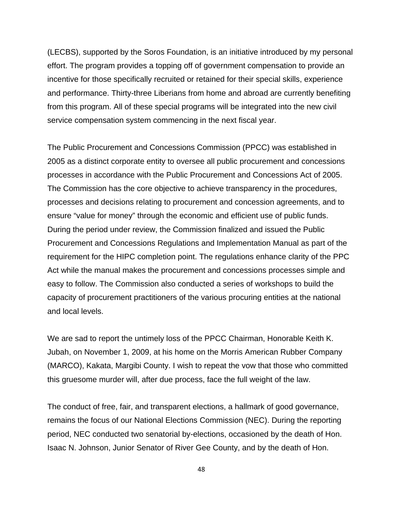(LECBS), supported by the Soros Foundation, is an initiative introduced by my personal effort. The program provides a topping off of government compensation to provide an incentive for those specifically recruited or retained for their special skills, experience and performance. Thirty-three Liberians from home and abroad are currently benefiting from this program. All of these special programs will be integrated into the new civil service compensation system commencing in the next fiscal year.

The Public Procurement and Concessions Commission (PPCC) was established in 2005 as a distinct corporate entity to oversee all public procurement and concessions processes in accordance with the Public Procurement and Concessions Act of 2005. The Commission has the core objective to achieve transparency in the procedures, processes and decisions relating to procurement and concession agreements, and to ensure "value for money" through the economic and efficient use of public funds. During the period under review, the Commission finalized and issued the Public Procurement and Concessions Regulations and Implementation Manual as part of the requirement for the HIPC completion point. The regulations enhance clarity of the PPC Act while the manual makes the procurement and concessions processes simple and easy to follow. The Commission also conducted a series of workshops to build the capacity of procurement practitioners of the various procuring entities at the national and local levels.

We are sad to report the untimely loss of the PPCC Chairman, Honorable Keith K. Jubah, on November 1, 2009, at his home on the Morris American Rubber Company (MARCO), Kakata, Margibi County. I wish to repeat the vow that those who committed this gruesome murder will, after due process, face the full weight of the law.

The conduct of free, fair, and transparent elections, a hallmark of good governance, remains the focus of our National Elections Commission (NEC). During the reporting period, NEC conducted two senatorial by-elections, occasioned by the death of Hon. Isaac N. Johnson, Junior Senator of River Gee County, and by the death of Hon.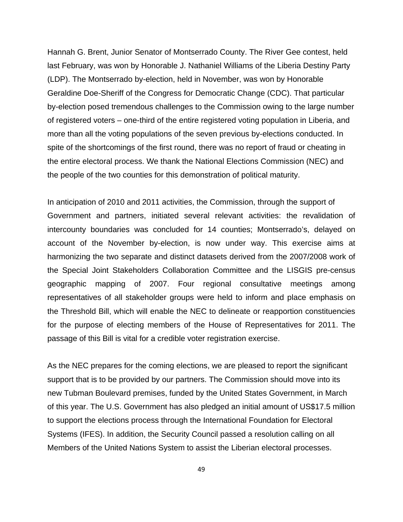Hannah G. Brent, Junior Senator of Montserrado County. The River Gee contest, held last February, was won by Honorable J. Nathaniel Williams of the Liberia Destiny Party (LDP). The Montserrado by-election, held in November, was won by Honorable Geraldine Doe-Sheriff of the Congress for Democratic Change (CDC). That particular by-election posed tremendous challenges to the Commission owing to the large number of registered voters – one-third of the entire registered voting population in Liberia, and more than all the voting populations of the seven previous by-elections conducted. In spite of the shortcomings of the first round, there was no report of fraud or cheating in the entire electoral process. We thank the National Elections Commission (NEC) and the people of the two counties for this demonstration of political maturity.

In anticipation of 2010 and 2011 activities, the Commission, through the support of Government and partners, initiated several relevant activities: the revalidation of intercounty boundaries was concluded for 14 counties; Montserrado's, delayed on account of the November by-election, is now under way. This exercise aims at harmonizing the two separate and distinct datasets derived from the 2007/2008 work of the Special Joint Stakeholders Collaboration Committee and the LISGIS pre-census geographic mapping of 2007. Four regional consultative meetings among representatives of all stakeholder groups were held to inform and place emphasis on the Threshold Bill, which will enable the NEC to delineate or reapportion constituencies for the purpose of electing members of the House of Representatives for 2011. The passage of this Bill is vital for a credible voter registration exercise.

As the NEC prepares for the coming elections, we are pleased to report the significant support that is to be provided by our partners. The Commission should move into its new Tubman Boulevard premises, funded by the United States Government, in March of this year. The U.S. Government has also pledged an initial amount of US\$17.5 million to support the elections process through the International Foundation for Electoral Systems (IFES). In addition, the Security Council passed a resolution calling on all Members of the United Nations System to assist the Liberian electoral processes.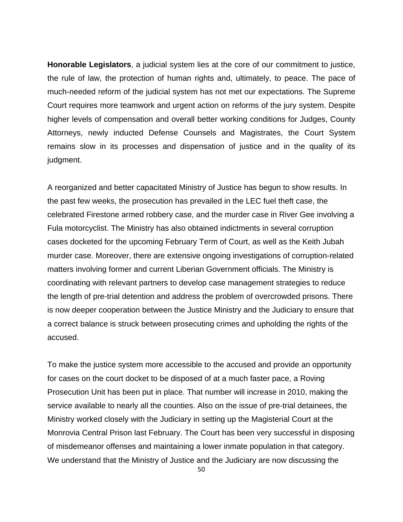**Honorable Legislators**, a judicial system lies at the core of our commitment to justice, the rule of law, the protection of human rights and, ultimately, to peace. The pace of much-needed reform of the judicial system has not met our expectations. The Supreme Court requires more teamwork and urgent action on reforms of the jury system. Despite higher levels of compensation and overall better working conditions for Judges, County Attorneys, newly inducted Defense Counsels and Magistrates, the Court System remains slow in its processes and dispensation of justice and in the quality of its judgment.

A reorganized and better capacitated Ministry of Justice has begun to show results. In the past few weeks, the prosecution has prevailed in the LEC fuel theft case, the celebrated Firestone armed robbery case, and the murder case in River Gee involving a Fula motorcyclist. The Ministry has also obtained indictments in several corruption cases docketed for the upcoming February Term of Court, as well as the Keith Jubah murder case. Moreover, there are extensive ongoing investigations of corruption-related matters involving former and current Liberian Government officials. The Ministry is coordinating with relevant partners to develop case management strategies to reduce the length of pre-trial detention and address the problem of overcrowded prisons. There is now deeper cooperation between the Justice Ministry and the Judiciary to ensure that a correct balance is struck between prosecuting crimes and upholding the rights of the accused.

To make the justice system more accessible to the accused and provide an opportunity for cases on the court docket to be disposed of at a much faster pace, a Roving Prosecution Unit has been put in place. That number will increase in 2010, making the service available to nearly all the counties. Also on the issue of pre-trial detainees, the Ministry worked closely with the Judiciary in setting up the Magisterial Court at the Monrovia Central Prison last February. The Court has been very successful in disposing of misdemeanor offenses and maintaining a lower inmate population in that category. We understand that the Ministry of Justice and the Judiciary are now discussing the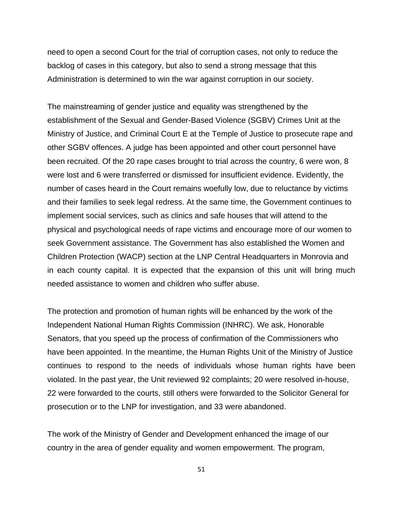need to open a second Court for the trial of corruption cases, not only to reduce the backlog of cases in this category, but also to send a strong message that this Administration is determined to win the war against corruption in our society.

The mainstreaming of gender justice and equality was strengthened by the establishment of the Sexual and Gender-Based Violence (SGBV) Crimes Unit at the Ministry of Justice, and Criminal Court E at the Temple of Justice to prosecute rape and other SGBV offences. A judge has been appointed and other court personnel have been recruited. Of the 20 rape cases brought to trial across the country, 6 were won, 8 were lost and 6 were transferred or dismissed for insufficient evidence. Evidently, the number of cases heard in the Court remains woefully low, due to reluctance by victims and their families to seek legal redress. At the same time, the Government continues to implement social services, such as clinics and safe houses that will attend to the physical and psychological needs of rape victims and encourage more of our women to seek Government assistance. The Government has also established the Women and Children Protection (WACP) section at the LNP Central Headquarters in Monrovia and in each county capital. It is expected that the expansion of this unit will bring much needed assistance to women and children who suffer abuse.

The protection and promotion of human rights will be enhanced by the work of the Independent National Human Rights Commission (INHRC). We ask, Honorable Senators, that you speed up the process of confirmation of the Commissioners who have been appointed. In the meantime, the Human Rights Unit of the Ministry of Justice continues to respond to the needs of individuals whose human rights have been violated. In the past year, the Unit reviewed 92 complaints; 20 were resolved in-house, 22 were forwarded to the courts, still others were forwarded to the Solicitor General for prosecution or to the LNP for investigation, and 33 were abandoned.

The work of the Ministry of Gender and Development enhanced the image of our country in the area of gender equality and women empowerment. The program,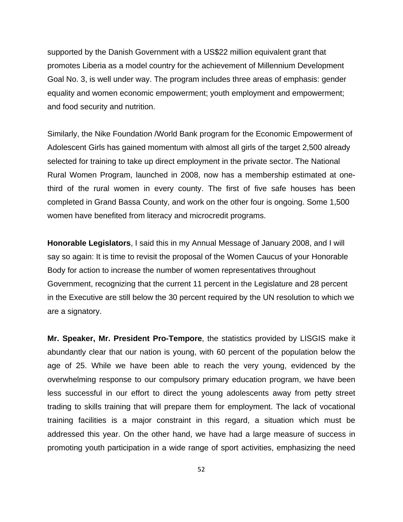supported by the Danish Government with a US\$22 million equivalent grant that promotes Liberia as a model country for the achievement of Millennium Development Goal No. 3, is well under way. The program includes three areas of emphasis: gender equality and women economic empowerment; youth employment and empowerment; and food security and nutrition.

Similarly, the Nike Foundation /World Bank program for the Economic Empowerment of Adolescent Girls has gained momentum with almost all girls of the target 2,500 already selected for training to take up direct employment in the private sector. The National Rural Women Program, launched in 2008, now has a membership estimated at onethird of the rural women in every county. The first of five safe houses has been completed in Grand Bassa County, and work on the other four is ongoing. Some 1,500 women have benefited from literacy and microcredit programs.

**Honorable Legislators**, I said this in my Annual Message of January 2008, and I will say so again: It is time to revisit the proposal of the Women Caucus of your Honorable Body for action to increase the number of women representatives throughout Government, recognizing that the current 11 percent in the Legislature and 28 percent in the Executive are still below the 30 percent required by the UN resolution to which we are a signatory.

**Mr. Speaker, Mr. President Pro-Tempore**, the statistics provided by LISGIS make it abundantly clear that our nation is young, with 60 percent of the population below the age of 25. While we have been able to reach the very young, evidenced by the overwhelming response to our compulsory primary education program, we have been less successful in our effort to direct the young adolescents away from petty street trading to skills training that will prepare them for employment. The lack of vocational training facilities is a major constraint in this regard, a situation which must be addressed this year. On the other hand, we have had a large measure of success in promoting youth participation in a wide range of sport activities, emphasizing the need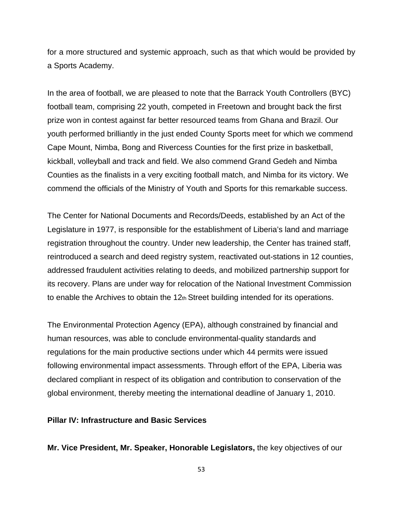for a more structured and systemic approach, such as that which would be provided by a Sports Academy.

In the area of football, we are pleased to note that the Barrack Youth Controllers (BYC) football team, comprising 22 youth, competed in Freetown and brought back the first prize won in contest against far better resourced teams from Ghana and Brazil. Our youth performed brilliantly in the just ended County Sports meet for which we commend Cape Mount, Nimba, Bong and Rivercess Counties for the first prize in basketball, kickball, volleyball and track and field. We also commend Grand Gedeh and Nimba Counties as the finalists in a very exciting football match, and Nimba for its victory. We commend the officials of the Ministry of Youth and Sports for this remarkable success.

The Center for National Documents and Records/Deeds, established by an Act of the Legislature in 1977, is responsible for the establishment of Liberia's land and marriage registration throughout the country. Under new leadership, the Center has trained staff, reintroduced a search and deed registry system, reactivated out-stations in 12 counties, addressed fraudulent activities relating to deeds, and mobilized partnership support for its recovery. Plans are under way for relocation of the National Investment Commission to enable the Archives to obtain the  $12<sub>th</sub>$  Street building intended for its operations.

The Environmental Protection Agency (EPA), although constrained by financial and human resources, was able to conclude environmental-quality standards and regulations for the main productive sections under which 44 permits were issued following environmental impact assessments. Through effort of the EPA, Liberia was declared compliant in respect of its obligation and contribution to conservation of the global environment, thereby meeting the international deadline of January 1, 2010.

## **Pillar IV: Infrastructure and Basic Services**

**Mr. Vice President, Mr. Speaker, Honorable Legislators,** the key objectives of our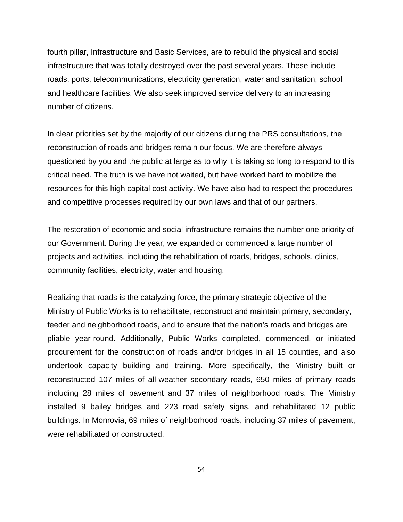fourth pillar, Infrastructure and Basic Services, are to rebuild the physical and social infrastructure that was totally destroyed over the past several years. These include roads, ports, telecommunications, electricity generation, water and sanitation, school and healthcare facilities. We also seek improved service delivery to an increasing number of citizens.

In clear priorities set by the majority of our citizens during the PRS consultations, the reconstruction of roads and bridges remain our focus. We are therefore always questioned by you and the public at large as to why it is taking so long to respond to this critical need. The truth is we have not waited, but have worked hard to mobilize the resources for this high capital cost activity. We have also had to respect the procedures and competitive processes required by our own laws and that of our partners.

The restoration of economic and social infrastructure remains the number one priority of our Government. During the year, we expanded or commenced a large number of projects and activities, including the rehabilitation of roads, bridges, schools, clinics, community facilities, electricity, water and housing.

Realizing that roads is the catalyzing force, the primary strategic objective of the Ministry of Public Works is to rehabilitate, reconstruct and maintain primary, secondary, feeder and neighborhood roads, and to ensure that the nation's roads and bridges are pliable year-round. Additionally, Public Works completed, commenced, or initiated procurement for the construction of roads and/or bridges in all 15 counties, and also undertook capacity building and training. More specifically, the Ministry built or reconstructed 107 miles of all-weather secondary roads, 650 miles of primary roads including 28 miles of pavement and 37 miles of neighborhood roads. The Ministry installed 9 bailey bridges and 223 road safety signs, and rehabilitated 12 public buildings. In Monrovia, 69 miles of neighborhood roads, including 37 miles of pavement, were rehabilitated or constructed.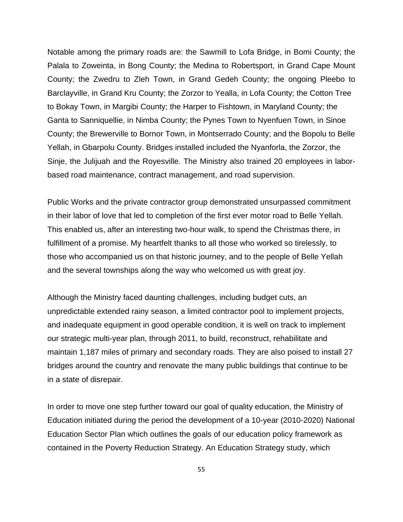Notable among the primary roads are: the Sawmill to Lofa Bridge, in Bomi County; the Palala to Zoweinta, in Bong County; the Medina to Robertsport, in Grand Cape Mount County; the Zwedru to Zleh Town, in Grand Gedeh County; the ongoing Pleebo to Barclayville, in Grand Kru County; the Zorzor to Yealla, in Lofa County; the Cotton Tree to Bokay Town, in Margibi County; the Harper to Fishtown, in Maryland County; the Ganta to Sanniquellie, in Nimba County; the Pynes Town to Nyenfuen Town, in Sinoe County; the Brewerville to Bornor Town, in Montserrado County; and the Bopolu to Belle Yellah, in Gbarpolu County. Bridges installed included the Nyanforla, the Zorzor, the Sinje, the Julijuah and the Royesville. The Ministry also trained 20 employees in laborbased road maintenance, contract management, and road supervision.

Public Works and the private contractor group demonstrated unsurpassed commitment in their labor of love that led to completion of the first ever motor road to Belle Yellah. This enabled us, after an interesting two-hour walk, to spend the Christmas there, in fulfillment of a promise. My heartfelt thanks to all those who worked so tirelessly, to those who accompanied us on that historic journey, and to the people of Belle Yellah and the several townships along the way who welcomed us with great joy.

Although the Ministry faced daunting challenges, including budget cuts, an unpredictable extended rainy season, a limited contractor pool to implement projects, and inadequate equipment in good operable condition, it is well on track to implement our strategic multi-year plan, through 2011, to build, reconstruct, rehabilitate and maintain 1,187 miles of primary and secondary roads. They are also poised to install 27 bridges around the country and renovate the many public buildings that continue to be in a state of disrepair.

In order to move one step further toward our goal of quality education, the Ministry of Education initiated during the period the development of a 10-year (2010-2020) National Education Sector Plan which outlines the goals of our education policy framework as contained in the Poverty Reduction Strategy. An Education Strategy study, which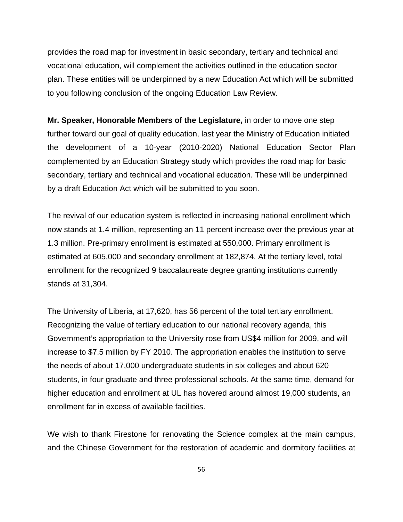provides the road map for investment in basic secondary, tertiary and technical and vocational education, will complement the activities outlined in the education sector plan. These entities will be underpinned by a new Education Act which will be submitted to you following conclusion of the ongoing Education Law Review.

**Mr. Speaker, Honorable Members of the Legislature,** in order to move one step further toward our goal of quality education, last year the Ministry of Education initiated the development of a 10-year (2010-2020) National Education Sector Plan complemented by an Education Strategy study which provides the road map for basic secondary, tertiary and technical and vocational education. These will be underpinned by a draft Education Act which will be submitted to you soon.

The revival of our education system is reflected in increasing national enrollment which now stands at 1.4 million, representing an 11 percent increase over the previous year at 1.3 million. Pre-primary enrollment is estimated at 550,000. Primary enrollment is estimated at 605,000 and secondary enrollment at 182,874. At the tertiary level, total enrollment for the recognized 9 baccalaureate degree granting institutions currently stands at 31,304.

The University of Liberia, at 17,620, has 56 percent of the total tertiary enrollment. Recognizing the value of tertiary education to our national recovery agenda, this Government's appropriation to the University rose from US\$4 million for 2009, and will increase to \$7.5 million by FY 2010. The appropriation enables the institution to serve the needs of about 17,000 undergraduate students in six colleges and about 620 students, in four graduate and three professional schools. At the same time, demand for higher education and enrollment at UL has hovered around almost 19,000 students, an enrollment far in excess of available facilities.

We wish to thank Firestone for renovating the Science complex at the main campus, and the Chinese Government for the restoration of academic and dormitory facilities at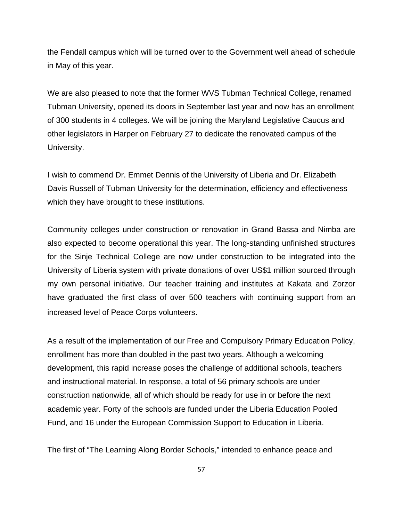the Fendall campus which will be turned over to the Government well ahead of schedule in May of this year.

We are also pleased to note that the former WVS Tubman Technical College, renamed Tubman University, opened its doors in September last year and now has an enrollment of 300 students in 4 colleges. We will be joining the Maryland Legislative Caucus and other legislators in Harper on February 27 to dedicate the renovated campus of the University.

I wish to commend Dr. Emmet Dennis of the University of Liberia and Dr. Elizabeth Davis Russell of Tubman University for the determination, efficiency and effectiveness which they have brought to these institutions.

Community colleges under construction or renovation in Grand Bassa and Nimba are also expected to become operational this year. The long-standing unfinished structures for the Sinje Technical College are now under construction to be integrated into the University of Liberia system with private donations of over US\$1 million sourced through my own personal initiative. Our teacher training and institutes at Kakata and Zorzor have graduated the first class of over 500 teachers with continuing support from an increased level of Peace Corps volunteers.

As a result of the implementation of our Free and Compulsory Primary Education Policy, enrollment has more than doubled in the past two years. Although a welcoming development, this rapid increase poses the challenge of additional schools, teachers and instructional material. In response, a total of 56 primary schools are under construction nationwide, all of which should be ready for use in or before the next academic year. Forty of the schools are funded under the Liberia Education Pooled Fund, and 16 under the European Commission Support to Education in Liberia.

The first of "The Learning Along Border Schools," intended to enhance peace and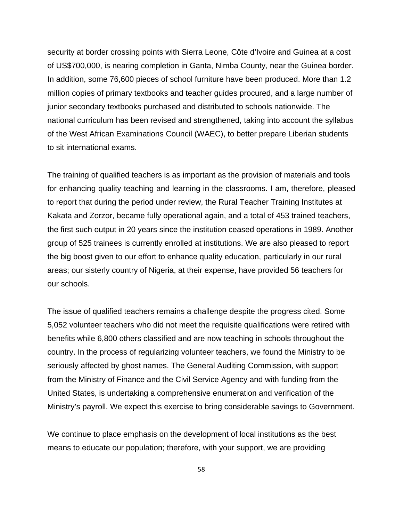security at border crossing points with Sierra Leone, Côte d'Ivoire and Guinea at a cost of US\$700,000, is nearing completion in Ganta, Nimba County, near the Guinea border. In addition, some 76,600 pieces of school furniture have been produced. More than 1.2 million copies of primary textbooks and teacher guides procured, and a large number of junior secondary textbooks purchased and distributed to schools nationwide. The national curriculum has been revised and strengthened, taking into account the syllabus of the West African Examinations Council (WAEC), to better prepare Liberian students to sit international exams.

The training of qualified teachers is as important as the provision of materials and tools for enhancing quality teaching and learning in the classrooms. I am, therefore, pleased to report that during the period under review, the Rural Teacher Training Institutes at Kakata and Zorzor, became fully operational again, and a total of 453 trained teachers, the first such output in 20 years since the institution ceased operations in 1989. Another group of 525 trainees is currently enrolled at institutions. We are also pleased to report the big boost given to our effort to enhance quality education, particularly in our rural areas; our sisterly country of Nigeria, at their expense, have provided 56 teachers for our schools.

The issue of qualified teachers remains a challenge despite the progress cited. Some 5,052 volunteer teachers who did not meet the requisite qualifications were retired with benefits while 6,800 others classified and are now teaching in schools throughout the country. In the process of regularizing volunteer teachers, we found the Ministry to be seriously affected by ghost names. The General Auditing Commission, with support from the Ministry of Finance and the Civil Service Agency and with funding from the United States, is undertaking a comprehensive enumeration and verification of the Ministry's payroll. We expect this exercise to bring considerable savings to Government.

We continue to place emphasis on the development of local institutions as the best means to educate our population; therefore, with your support, we are providing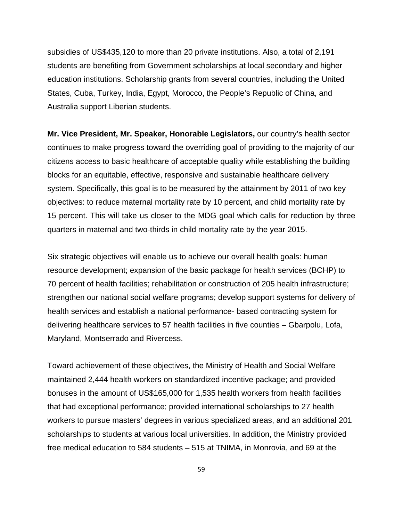subsidies of US\$435,120 to more than 20 private institutions. Also, a total of 2,191 students are benefiting from Government scholarships at local secondary and higher education institutions. Scholarship grants from several countries, including the United States, Cuba, Turkey, India, Egypt, Morocco, the People's Republic of China, and Australia support Liberian students.

**Mr. Vice President, Mr. Speaker, Honorable Legislators,** our country's health sector continues to make progress toward the overriding goal of providing to the majority of our citizens access to basic healthcare of acceptable quality while establishing the building blocks for an equitable, effective, responsive and sustainable healthcare delivery system. Specifically, this goal is to be measured by the attainment by 2011 of two key objectives: to reduce maternal mortality rate by 10 percent, and child mortality rate by 15 percent. This will take us closer to the MDG goal which calls for reduction by three quarters in maternal and two-thirds in child mortality rate by the year 2015.

Six strategic objectives will enable us to achieve our overall health goals: human resource development; expansion of the basic package for health services (BCHP) to 70 percent of health facilities; rehabilitation or construction of 205 health infrastructure; strengthen our national social welfare programs; develop support systems for delivery of health services and establish a national performance- based contracting system for delivering healthcare services to 57 health facilities in five counties – Gbarpolu, Lofa, Maryland, Montserrado and Rivercess.

Toward achievement of these objectives, the Ministry of Health and Social Welfare maintained 2,444 health workers on standardized incentive package; and provided bonuses in the amount of US\$165,000 for 1,535 health workers from health facilities that had exceptional performance; provided international scholarships to 27 health workers to pursue masters' degrees in various specialized areas, and an additional 201 scholarships to students at various local universities. In addition, the Ministry provided free medical education to 584 students – 515 at TNIMA, in Monrovia, and 69 at the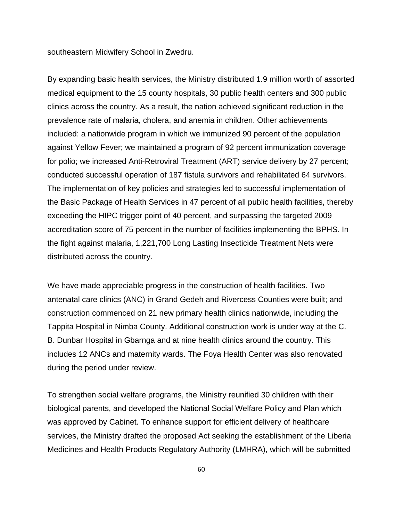southeastern Midwifery School in Zwedru.

By expanding basic health services, the Ministry distributed 1.9 million worth of assorted medical equipment to the 15 county hospitals, 30 public health centers and 300 public clinics across the country. As a result, the nation achieved significant reduction in the prevalence rate of malaria, cholera, and anemia in children. Other achievements included: a nationwide program in which we immunized 90 percent of the population against Yellow Fever; we maintained a program of 92 percent immunization coverage for polio; we increased Anti-Retroviral Treatment (ART) service delivery by 27 percent; conducted successful operation of 187 fistula survivors and rehabilitated 64 survivors. The implementation of key policies and strategies led to successful implementation of the Basic Package of Health Services in 47 percent of all public health facilities, thereby exceeding the HIPC trigger point of 40 percent, and surpassing the targeted 2009 accreditation score of 75 percent in the number of facilities implementing the BPHS. In the fight against malaria, 1,221,700 Long Lasting Insecticide Treatment Nets were distributed across the country.

We have made appreciable progress in the construction of health facilities. Two antenatal care clinics (ANC) in Grand Gedeh and Rivercess Counties were built; and construction commenced on 21 new primary health clinics nationwide, including the Tappita Hospital in Nimba County. Additional construction work is under way at the C. B. Dunbar Hospital in Gbarnga and at nine health clinics around the country. This includes 12 ANCs and maternity wards. The Foya Health Center was also renovated during the period under review.

To strengthen social welfare programs, the Ministry reunified 30 children with their biological parents, and developed the National Social Welfare Policy and Plan which was approved by Cabinet. To enhance support for efficient delivery of healthcare services, the Ministry drafted the proposed Act seeking the establishment of the Liberia Medicines and Health Products Regulatory Authority (LMHRA), which will be submitted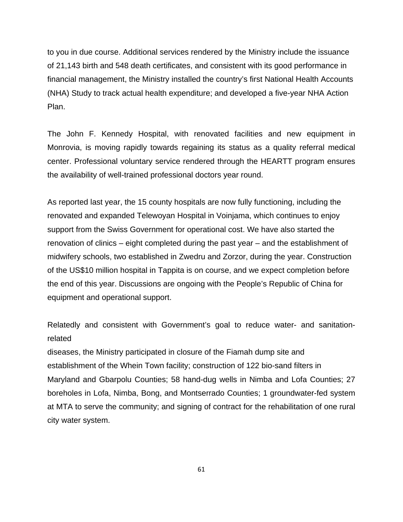to you in due course. Additional services rendered by the Ministry include the issuance of 21,143 birth and 548 death certificates, and consistent with its good performance in financial management, the Ministry installed the country's first National Health Accounts (NHA) Study to track actual health expenditure; and developed a five-year NHA Action Plan.

The John F. Kennedy Hospital, with renovated facilities and new equipment in Monrovia, is moving rapidly towards regaining its status as a quality referral medical center. Professional voluntary service rendered through the HEARTT program ensures the availability of well-trained professional doctors year round.

As reported last year, the 15 county hospitals are now fully functioning, including the renovated and expanded Telewoyan Hospital in Voinjama, which continues to enjoy support from the Swiss Government for operational cost. We have also started the renovation of clinics – eight completed during the past year – and the establishment of midwifery schools, two established in Zwedru and Zorzor, during the year. Construction of the US\$10 million hospital in Tappita is on course, and we expect completion before the end of this year. Discussions are ongoing with the People's Republic of China for equipment and operational support.

Relatedly and consistent with Government's goal to reduce water- and sanitationrelated

diseases, the Ministry participated in closure of the Fiamah dump site and establishment of the Whein Town facility; construction of 122 bio-sand filters in Maryland and Gbarpolu Counties; 58 hand-dug wells in Nimba and Lofa Counties; 27 boreholes in Lofa, Nimba, Bong, and Montserrado Counties; 1 groundwater-fed system at MTA to serve the community; and signing of contract for the rehabilitation of one rural city water system.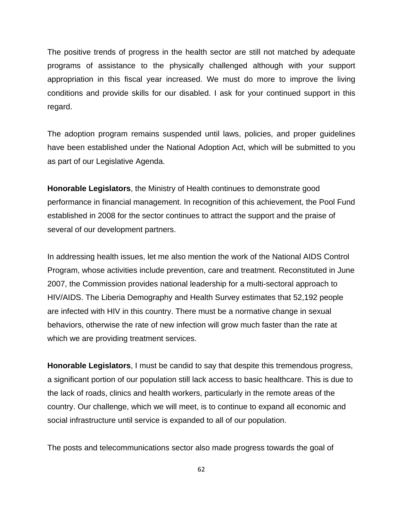The positive trends of progress in the health sector are still not matched by adequate programs of assistance to the physically challenged although with your support appropriation in this fiscal year increased. We must do more to improve the living conditions and provide skills for our disabled. I ask for your continued support in this regard.

The adoption program remains suspended until laws, policies, and proper guidelines have been established under the National Adoption Act, which will be submitted to you as part of our Legislative Agenda.

**Honorable Legislators**, the Ministry of Health continues to demonstrate good performance in financial management. In recognition of this achievement, the Pool Fund established in 2008 for the sector continues to attract the support and the praise of several of our development partners.

In addressing health issues, let me also mention the work of the National AIDS Control Program, whose activities include prevention, care and treatment. Reconstituted in June 2007, the Commission provides national leadership for a multi-sectoral approach to HIV/AIDS. The Liberia Demography and Health Survey estimates that 52,192 people are infected with HIV in this country. There must be a normative change in sexual behaviors, otherwise the rate of new infection will grow much faster than the rate at which we are providing treatment services.

**Honorable Legislators**, I must be candid to say that despite this tremendous progress, a significant portion of our population still lack access to basic healthcare. This is due to the lack of roads, clinics and health workers, particularly in the remote areas of the country. Our challenge, which we will meet, is to continue to expand all economic and social infrastructure until service is expanded to all of our population.

The posts and telecommunications sector also made progress towards the goal of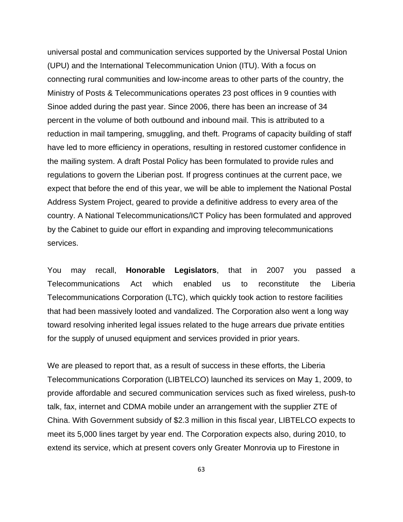universal postal and communication services supported by the Universal Postal Union (UPU) and the International Telecommunication Union (ITU). With a focus on connecting rural communities and low-income areas to other parts of the country, the Ministry of Posts & Telecommunications operates 23 post offices in 9 counties with Sinoe added during the past year. Since 2006, there has been an increase of 34 percent in the volume of both outbound and inbound mail. This is attributed to a reduction in mail tampering, smuggling, and theft. Programs of capacity building of staff have led to more efficiency in operations, resulting in restored customer confidence in the mailing system. A draft Postal Policy has been formulated to provide rules and regulations to govern the Liberian post. If progress continues at the current pace, we expect that before the end of this year, we will be able to implement the National Postal Address System Project, geared to provide a definitive address to every area of the country. A National Telecommunications/ICT Policy has been formulated and approved by the Cabinet to guide our effort in expanding and improving telecommunications services.

You may recall, **Honorable Legislators**, that in 2007 you passed a Telecommunications Act which enabled us to reconstitute the Liberia Telecommunications Corporation (LTC), which quickly took action to restore facilities that had been massively looted and vandalized. The Corporation also went a long way toward resolving inherited legal issues related to the huge arrears due private entities for the supply of unused equipment and services provided in prior years.

We are pleased to report that, as a result of success in these efforts, the Liberia Telecommunications Corporation (LIBTELCO) launched its services on May 1, 2009, to provide affordable and secured communication services such as fixed wireless, push-to talk, fax, internet and CDMA mobile under an arrangement with the supplier ZTE of China. With Government subsidy of \$2.3 million in this fiscal year, LIBTELCO expects to meet its 5,000 lines target by year end. The Corporation expects also, during 2010, to extend its service, which at present covers only Greater Monrovia up to Firestone in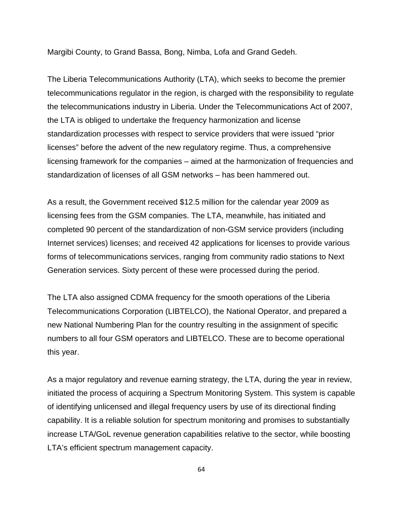Margibi County, to Grand Bassa, Bong, Nimba, Lofa and Grand Gedeh.

The Liberia Telecommunications Authority (LTA), which seeks to become the premier telecommunications regulator in the region, is charged with the responsibility to regulate the telecommunications industry in Liberia. Under the Telecommunications Act of 2007, the LTA is obliged to undertake the frequency harmonization and license standardization processes with respect to service providers that were issued "prior licenses" before the advent of the new regulatory regime. Thus, a comprehensive licensing framework for the companies – aimed at the harmonization of frequencies and standardization of licenses of all GSM networks – has been hammered out.

As a result, the Government received \$12.5 million for the calendar year 2009 as licensing fees from the GSM companies. The LTA, meanwhile, has initiated and completed 90 percent of the standardization of non-GSM service providers (including Internet services) licenses; and received 42 applications for licenses to provide various forms of telecommunications services, ranging from community radio stations to Next Generation services. Sixty percent of these were processed during the period.

The LTA also assigned CDMA frequency for the smooth operations of the Liberia Telecommunications Corporation (LIBTELCO), the National Operator, and prepared a new National Numbering Plan for the country resulting in the assignment of specific numbers to all four GSM operators and LIBTELCO. These are to become operational this year.

As a major regulatory and revenue earning strategy, the LTA, during the year in review, initiated the process of acquiring a Spectrum Monitoring System. This system is capable of identifying unlicensed and illegal frequency users by use of its directional finding capability. It is a reliable solution for spectrum monitoring and promises to substantially increase LTA/GoL revenue generation capabilities relative to the sector, while boosting LTA's efficient spectrum management capacity.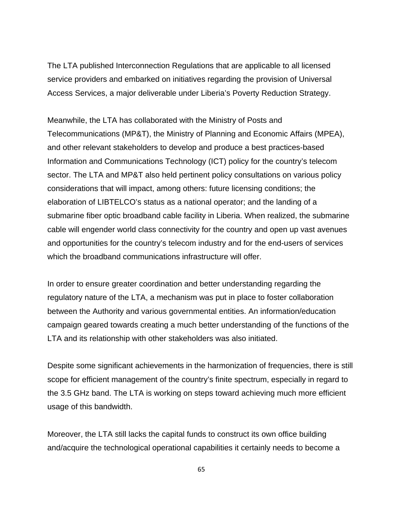The LTA published Interconnection Regulations that are applicable to all licensed service providers and embarked on initiatives regarding the provision of Universal Access Services, a major deliverable under Liberia's Poverty Reduction Strategy.

Meanwhile, the LTA has collaborated with the Ministry of Posts and Telecommunications (MP&T), the Ministry of Planning and Economic Affairs (MPEA), and other relevant stakeholders to develop and produce a best practices-based Information and Communications Technology (ICT) policy for the country's telecom sector. The LTA and MP&T also held pertinent policy consultations on various policy considerations that will impact, among others: future licensing conditions; the elaboration of LIBTELCO's status as a national operator; and the landing of a submarine fiber optic broadband cable facility in Liberia. When realized, the submarine cable will engender world class connectivity for the country and open up vast avenues and opportunities for the country's telecom industry and for the end-users of services which the broadband communications infrastructure will offer.

In order to ensure greater coordination and better understanding regarding the regulatory nature of the LTA, a mechanism was put in place to foster collaboration between the Authority and various governmental entities. An information/education campaign geared towards creating a much better understanding of the functions of the LTA and its relationship with other stakeholders was also initiated.

Despite some significant achievements in the harmonization of frequencies, there is still scope for efficient management of the country's finite spectrum, especially in regard to the 3.5 GHz band. The LTA is working on steps toward achieving much more efficient usage of this bandwidth.

Moreover, the LTA still lacks the capital funds to construct its own office building and/acquire the technological operational capabilities it certainly needs to become a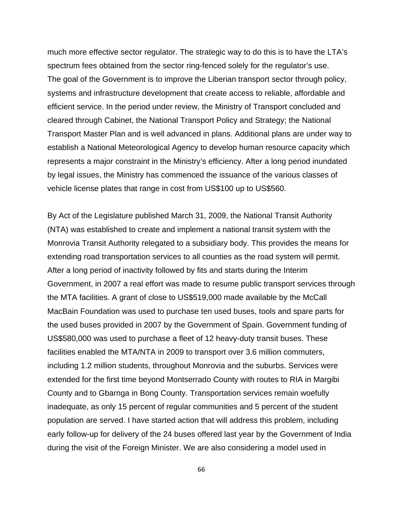much more effective sector regulator. The strategic way to do this is to have the LTA's spectrum fees obtained from the sector ring-fenced solely for the regulator's use. The goal of the Government is to improve the Liberian transport sector through policy, systems and infrastructure development that create access to reliable, affordable and efficient service. In the period under review, the Ministry of Transport concluded and cleared through Cabinet, the National Transport Policy and Strategy; the National Transport Master Plan and is well advanced in plans. Additional plans are under way to establish a National Meteorological Agency to develop human resource capacity which represents a major constraint in the Ministry's efficiency. After a long period inundated by legal issues, the Ministry has commenced the issuance of the various classes of vehicle license plates that range in cost from US\$100 up to US\$560.

By Act of the Legislature published March 31, 2009, the National Transit Authority (NTA) was established to create and implement a national transit system with the Monrovia Transit Authority relegated to a subsidiary body. This provides the means for extending road transportation services to all counties as the road system will permit. After a long period of inactivity followed by fits and starts during the Interim Government, in 2007 a real effort was made to resume public transport services through the MTA facilities. A grant of close to US\$519,000 made available by the McCall MacBain Foundation was used to purchase ten used buses, tools and spare parts for the used buses provided in 2007 by the Government of Spain. Government funding of US\$580,000 was used to purchase a fleet of 12 heavy-duty transit buses. These facilities enabled the MTA/NTA in 2009 to transport over 3.6 million commuters, including 1.2 million students, throughout Monrovia and the suburbs. Services were extended for the first time beyond Montserrado County with routes to RIA in Margibi County and to Gbarnga in Bong County. Transportation services remain woefully inadequate, as only 15 percent of regular communities and 5 percent of the student population are served. I have started action that will address this problem, including early follow-up for delivery of the 24 buses offered last year by the Government of India during the visit of the Foreign Minister. We are also considering a model used in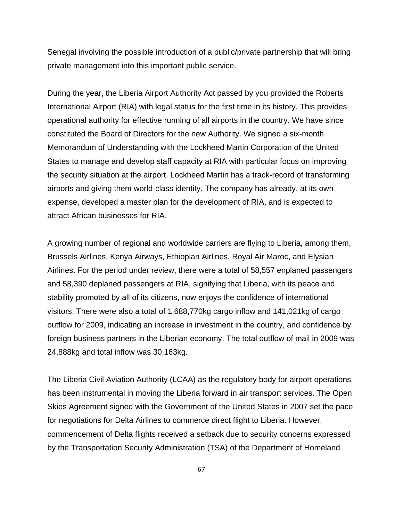Senegal involving the possible introduction of a public/private partnership that will bring private management into this important public service.

During the year, the Liberia Airport Authority Act passed by you provided the Roberts International Airport (RIA) with legal status for the first time in its history. This provides operational authority for effective running of all airports in the country. We have since constituted the Board of Directors for the new Authority. We signed a six-month Memorandum of Understanding with the Lockheed Martin Corporation of the United States to manage and develop staff capacity at RIA with particular focus on improving the security situation at the airport. Lockheed Martin has a track-record of transforming airports and giving them world-class identity. The company has already, at its own expense, developed a master plan for the development of RIA, and is expected to attract African businesses for RIA.

A growing number of regional and worldwide carriers are flying to Liberia, among them, Brussels Airlines, Kenya Airways, Ethiopian Airlines, Royal Air Maroc, and Elysian Airlines. For the period under review, there were a total of 58,557 enplaned passengers and 58,390 deplaned passengers at RIA, signifying that Liberia, with its peace and stability promoted by all of its citizens, now enjoys the confidence of international visitors. There were also a total of 1,688,770kg cargo inflow and 141,021kg of cargo outflow for 2009, indicating an increase in investment in the country, and confidence by foreign business partners in the Liberian economy. The total outflow of mail in 2009 was 24,888kg and total inflow was 30,163kg.

The Liberia Civil Aviation Authority (LCAA) as the regulatory body for airport operations has been instrumental in moving the Liberia forward in air transport services. The Open Skies Agreement signed with the Government of the United States in 2007 set the pace for negotiations for Delta Airlines to commerce direct flight to Liberia. However, commencement of Delta flights received a setback due to security concerns expressed by the Transportation Security Administration (TSA) of the Department of Homeland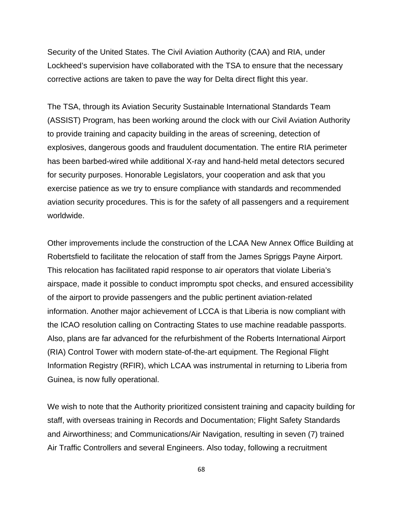Security of the United States. The Civil Aviation Authority (CAA) and RIA, under Lockheed's supervision have collaborated with the TSA to ensure that the necessary corrective actions are taken to pave the way for Delta direct flight this year.

The TSA, through its Aviation Security Sustainable International Standards Team (ASSIST) Program, has been working around the clock with our Civil Aviation Authority to provide training and capacity building in the areas of screening, detection of explosives, dangerous goods and fraudulent documentation. The entire RIA perimeter has been barbed-wired while additional X-ray and hand-held metal detectors secured for security purposes. Honorable Legislators, your cooperation and ask that you exercise patience as we try to ensure compliance with standards and recommended aviation security procedures. This is for the safety of all passengers and a requirement worldwide.

Other improvements include the construction of the LCAA New Annex Office Building at Robertsfield to facilitate the relocation of staff from the James Spriggs Payne Airport. This relocation has facilitated rapid response to air operators that violate Liberia's airspace, made it possible to conduct impromptu spot checks, and ensured accessibility of the airport to provide passengers and the public pertinent aviation-related information. Another major achievement of LCCA is that Liberia is now compliant with the ICAO resolution calling on Contracting States to use machine readable passports. Also, plans are far advanced for the refurbishment of the Roberts International Airport (RIA) Control Tower with modern state-of-the-art equipment. The Regional Flight Information Registry (RFIR), which LCAA was instrumental in returning to Liberia from Guinea, is now fully operational.

We wish to note that the Authority prioritized consistent training and capacity building for staff, with overseas training in Records and Documentation; Flight Safety Standards and Airworthiness; and Communications/Air Navigation, resulting in seven (7) trained Air Traffic Controllers and several Engineers. Also today, following a recruitment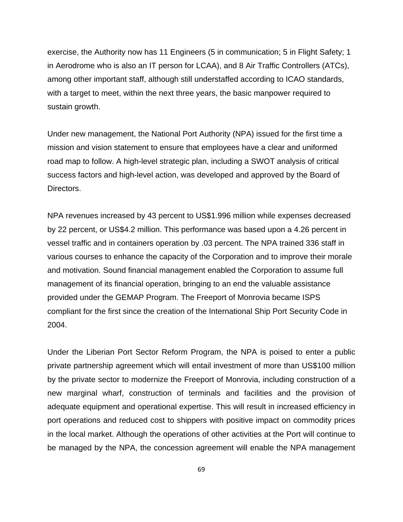exercise, the Authority now has 11 Engineers (5 in communication; 5 in Flight Safety; 1 in Aerodrome who is also an IT person for LCAA), and 8 Air Traffic Controllers (ATCs), among other important staff, although still understaffed according to ICAO standards, with a target to meet, within the next three years, the basic manpower required to sustain growth.

Under new management, the National Port Authority (NPA) issued for the first time a mission and vision statement to ensure that employees have a clear and uniformed road map to follow. A high-level strategic plan, including a SWOT analysis of critical success factors and high-level action, was developed and approved by the Board of Directors.

NPA revenues increased by 43 percent to US\$1.996 million while expenses decreased by 22 percent, or US\$4.2 million. This performance was based upon a 4.26 percent in vessel traffic and in containers operation by .03 percent. The NPA trained 336 staff in various courses to enhance the capacity of the Corporation and to improve their morale and motivation. Sound financial management enabled the Corporation to assume full management of its financial operation, bringing to an end the valuable assistance provided under the GEMAP Program. The Freeport of Monrovia became ISPS compliant for the first since the creation of the International Ship Port Security Code in 2004.

Under the Liberian Port Sector Reform Program, the NPA is poised to enter a public private partnership agreement which will entail investment of more than US\$100 million by the private sector to modernize the Freeport of Monrovia, including construction of a new marginal wharf, construction of terminals and facilities and the provision of adequate equipment and operational expertise. This will result in increased efficiency in port operations and reduced cost to shippers with positive impact on commodity prices in the local market. Although the operations of other activities at the Port will continue to be managed by the NPA, the concession agreement will enable the NPA management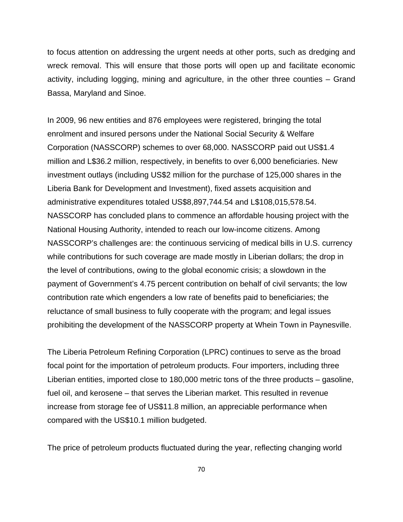to focus attention on addressing the urgent needs at other ports, such as dredging and wreck removal. This will ensure that those ports will open up and facilitate economic activity, including logging, mining and agriculture, in the other three counties – Grand Bassa, Maryland and Sinoe.

In 2009, 96 new entities and 876 employees were registered, bringing the total enrolment and insured persons under the National Social Security & Welfare Corporation (NASSCORP) schemes to over 68,000. NASSCORP paid out US\$1.4 million and L\$36.2 million, respectively, in benefits to over 6,000 beneficiaries. New investment outlays (including US\$2 million for the purchase of 125,000 shares in the Liberia Bank for Development and Investment), fixed assets acquisition and administrative expenditures totaled US\$8,897,744.54 and L\$108,015,578.54. NASSCORP has concluded plans to commence an affordable housing project with the National Housing Authority, intended to reach our low-income citizens. Among NASSCORP's challenges are: the continuous servicing of medical bills in U.S. currency while contributions for such coverage are made mostly in Liberian dollars; the drop in the level of contributions, owing to the global economic crisis; a slowdown in the payment of Government's 4.75 percent contribution on behalf of civil servants; the low contribution rate which engenders a low rate of benefits paid to beneficiaries; the reluctance of small business to fully cooperate with the program; and legal issues prohibiting the development of the NASSCORP property at Whein Town in Paynesville.

The Liberia Petroleum Refining Corporation (LPRC) continues to serve as the broad focal point for the importation of petroleum products. Four importers, including three Liberian entities, imported close to 180,000 metric tons of the three products – gasoline, fuel oil, and kerosene – that serves the Liberian market. This resulted in revenue increase from storage fee of US\$11.8 million, an appreciable performance when compared with the US\$10.1 million budgeted.

The price of petroleum products fluctuated during the year, reflecting changing world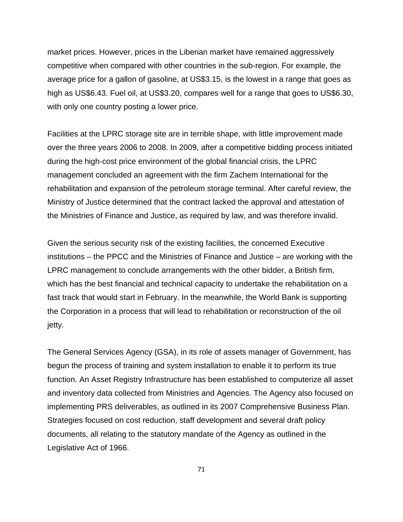market prices. However, prices in the Liberian market have remained aggressively competitive when compared with other countries in the sub-region. For example, the average price for a gallon of gasoline, at US\$3.15, is the lowest in a range that goes as high as US\$6.43. Fuel oil, at US\$3.20, compares well for a range that goes to US\$6.30, with only one country posting a lower price.

Facilities at the LPRC storage site are in terrible shape, with little improvement made over the three years 2006 to 2008. In 2009, after a competitive bidding process initiated during the high-cost price environment of the global financial crisis, the LPRC management concluded an agreement with the firm Zachem International for the rehabilitation and expansion of the petroleum storage terminal. After careful review, the Ministry of Justice determined that the contract lacked the approval and attestation of the Ministries of Finance and Justice, as required by law, and was therefore invalid.

Given the serious security risk of the existing facilities, the concerned Executive institutions – the PPCC and the Ministries of Finance and Justice – are working with the LPRC management to conclude arrangements with the other bidder, a British firm, which has the best financial and technical capacity to undertake the rehabilitation on a fast track that would start in February. In the meanwhile, the World Bank is supporting the Corporation in a process that will lead to rehabilitation or reconstruction of the oil jetty.

The General Services Agency (GSA), in its role of assets manager of Government, has begun the process of training and system installation to enable it to perform its true function. An Asset Registry Infrastructure has been established to computerize all asset and inventory data collected from Ministries and Agencies. The Agency also focused on implementing PRS deliverables, as outlined in its 2007 Comprehensive Business Plan. Strategies focused on cost reduction, staff development and several draft policy documents, all relating to the statutory mandate of the Agency as outlined in the Legislative Act of 1966.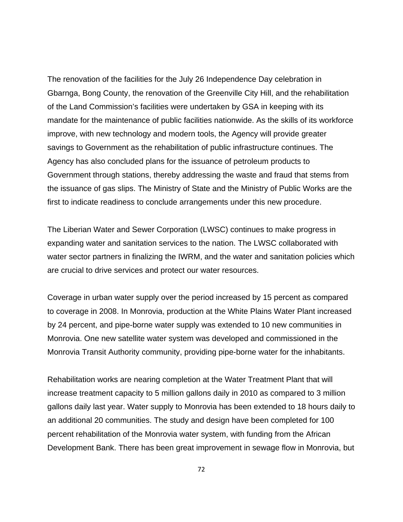The renovation of the facilities for the July 26 Independence Day celebration in Gbarnga, Bong County, the renovation of the Greenville City Hill, and the rehabilitation of the Land Commission's facilities were undertaken by GSA in keeping with its mandate for the maintenance of public facilities nationwide. As the skills of its workforce improve, with new technology and modern tools, the Agency will provide greater savings to Government as the rehabilitation of public infrastructure continues. The Agency has also concluded plans for the issuance of petroleum products to Government through stations, thereby addressing the waste and fraud that stems from the issuance of gas slips. The Ministry of State and the Ministry of Public Works are the first to indicate readiness to conclude arrangements under this new procedure.

The Liberian Water and Sewer Corporation (LWSC) continues to make progress in expanding water and sanitation services to the nation. The LWSC collaborated with water sector partners in finalizing the IWRM, and the water and sanitation policies which are crucial to drive services and protect our water resources.

Coverage in urban water supply over the period increased by 15 percent as compared to coverage in 2008. In Monrovia, production at the White Plains Water Plant increased by 24 percent, and pipe-borne water supply was extended to 10 new communities in Monrovia. One new satellite water system was developed and commissioned in the Monrovia Transit Authority community, providing pipe-borne water for the inhabitants.

Rehabilitation works are nearing completion at the Water Treatment Plant that will increase treatment capacity to 5 million gallons daily in 2010 as compared to 3 million gallons daily last year. Water supply to Monrovia has been extended to 18 hours daily to an additional 20 communities. The study and design have been completed for 100 percent rehabilitation of the Monrovia water system, with funding from the African Development Bank. There has been great improvement in sewage flow in Monrovia, but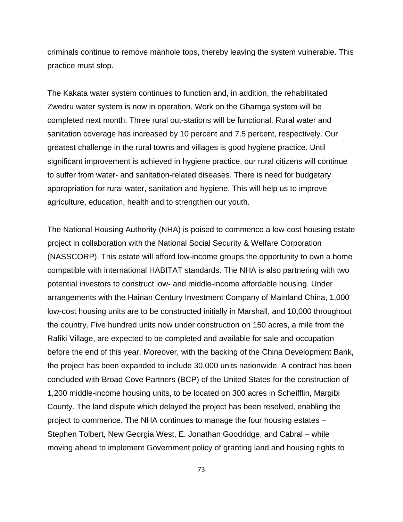criminals continue to remove manhole tops, thereby leaving the system vulnerable. This practice must stop.

The Kakata water system continues to function and, in addition, the rehabilitated Zwedru water system is now in operation. Work on the Gbarnga system will be completed next month. Three rural out-stations will be functional. Rural water and sanitation coverage has increased by 10 percent and 7.5 percent, respectively. Our greatest challenge in the rural towns and villages is good hygiene practice. Until significant improvement is achieved in hygiene practice, our rural citizens will continue to suffer from water- and sanitation-related diseases. There is need for budgetary appropriation for rural water, sanitation and hygiene. This will help us to improve agriculture, education, health and to strengthen our youth.

The National Housing Authority (NHA) is poised to commence a low-cost housing estate project in collaboration with the National Social Security & Welfare Corporation (NASSCORP). This estate will afford low-income groups the opportunity to own a home compatible with international HABITAT standards. The NHA is also partnering with two potential investors to construct low- and middle-income affordable housing. Under arrangements with the Hainan Century Investment Company of Mainland China, 1,000 low-cost housing units are to be constructed initially in Marshall, and 10,000 throughout the country. Five hundred units now under construction on 150 acres, a mile from the Rafiki Village, are expected to be completed and available for sale and occupation before the end of this year. Moreover, with the backing of the China Development Bank, the project has been expanded to include 30,000 units nationwide. A contract has been concluded with Broad Cove Partners (BCP) of the United States for the construction of 1,200 middle-income housing units, to be located on 300 acres in Scheifflin, Margibi County. The land dispute which delayed the project has been resolved, enabling the project to commence. The NHA continues to manage the four housing estates – Stephen Tolbert, New Georgia West, E. Jonathan Goodridge, and Cabral – while moving ahead to implement Government policy of granting land and housing rights to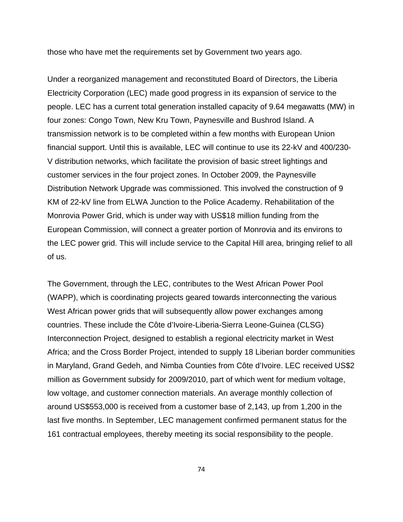those who have met the requirements set by Government two years ago.

Under a reorganized management and reconstituted Board of Directors, the Liberia Electricity Corporation (LEC) made good progress in its expansion of service to the people. LEC has a current total generation installed capacity of 9.64 megawatts (MW) in four zones: Congo Town, New Kru Town, Paynesville and Bushrod Island. A transmission network is to be completed within a few months with European Union financial support. Until this is available, LEC will continue to use its 22-kV and 400/230- V distribution networks, which facilitate the provision of basic street lightings and customer services in the four project zones. In October 2009, the Paynesville Distribution Network Upgrade was commissioned. This involved the construction of 9 KM of 22-kV line from ELWA Junction to the Police Academy. Rehabilitation of the Monrovia Power Grid, which is under way with US\$18 million funding from the European Commission, will connect a greater portion of Monrovia and its environs to the LEC power grid. This will include service to the Capital Hill area, bringing relief to all of us.

The Government, through the LEC, contributes to the West African Power Pool (WAPP), which is coordinating projects geared towards interconnecting the various West African power grids that will subsequently allow power exchanges among countries. These include the Côte d'Ivoire-Liberia-Sierra Leone-Guinea (CLSG) Interconnection Project, designed to establish a regional electricity market in West Africa; and the Cross Border Project, intended to supply 18 Liberian border communities in Maryland, Grand Gedeh, and Nimba Counties from Côte d'Ivoire. LEC received US\$2 million as Government subsidy for 2009/2010, part of which went for medium voltage, low voltage, and customer connection materials. An average monthly collection of around US\$553,000 is received from a customer base of 2,143, up from 1,200 in the last five months. In September, LEC management confirmed permanent status for the 161 contractual employees, thereby meeting its social responsibility to the people.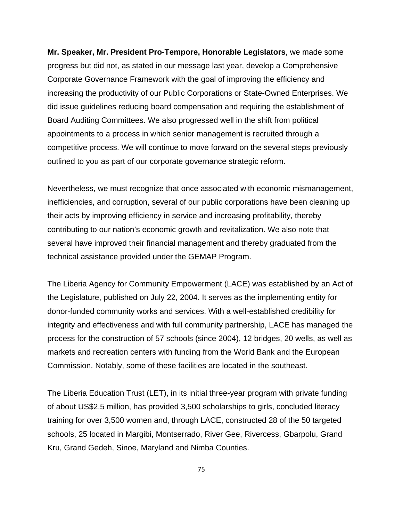**Mr. Speaker, Mr. President Pro-Tempore, Honorable Legislators**, we made some progress but did not, as stated in our message last year, develop a Comprehensive Corporate Governance Framework with the goal of improving the efficiency and increasing the productivity of our Public Corporations or State-Owned Enterprises. We did issue guidelines reducing board compensation and requiring the establishment of Board Auditing Committees. We also progressed well in the shift from political appointments to a process in which senior management is recruited through a competitive process. We will continue to move forward on the several steps previously outlined to you as part of our corporate governance strategic reform.

Nevertheless, we must recognize that once associated with economic mismanagement, inefficiencies, and corruption, several of our public corporations have been cleaning up their acts by improving efficiency in service and increasing profitability, thereby contributing to our nation's economic growth and revitalization. We also note that several have improved their financial management and thereby graduated from the technical assistance provided under the GEMAP Program.

The Liberia Agency for Community Empowerment (LACE) was established by an Act of the Legislature, published on July 22, 2004. It serves as the implementing entity for donor-funded community works and services. With a well-established credibility for integrity and effectiveness and with full community partnership, LACE has managed the process for the construction of 57 schools (since 2004), 12 bridges, 20 wells, as well as markets and recreation centers with funding from the World Bank and the European Commission. Notably, some of these facilities are located in the southeast.

The Liberia Education Trust (LET), in its initial three-year program with private funding of about US\$2.5 million, has provided 3,500 scholarships to girls, concluded literacy training for over 3,500 women and, through LACE, constructed 28 of the 50 targeted schools, 25 located in Margibi, Montserrado, River Gee, Rivercess, Gbarpolu, Grand Kru, Grand Gedeh, Sinoe, Maryland and Nimba Counties.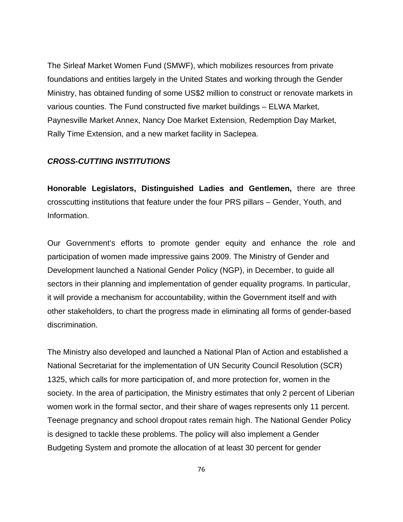The Sirleaf Market Women Fund (SMWF), which mobilizes resources from private foundations and entities largely in the United States and working through the Gender Ministry, has obtained funding of some US\$2 million to construct or renovate markets in various counties. The Fund constructed five market buildings – ELWA Market, Paynesville Market Annex, Nancy Doe Market Extension, Redemption Day Market, Rally Time Extension, and a new market facility in Saclepea.

## *CROSS-CUTTING INSTITUTIONS*

**Honorable Legislators, Distinguished Ladies and Gentlemen,** there are three crosscutting institutions that feature under the four PRS pillars – Gender, Youth, and Information.

Our Government's efforts to promote gender equity and enhance the role and participation of women made impressive gains 2009. The Ministry of Gender and Development launched a National Gender Policy (NGP), in December, to guide all sectors in their planning and implementation of gender equality programs. In particular, it will provide a mechanism for accountability, within the Government itself and with other stakeholders, to chart the progress made in eliminating all forms of gender-based discrimination.

The Ministry also developed and launched a National Plan of Action and established a National Secretariat for the implementation of UN Security Council Resolution (SCR) 1325, which calls for more participation of, and more protection for, women in the society. In the area of participation, the Ministry estimates that only 2 percent of Liberian women work in the formal sector, and their share of wages represents only 11 percent. Teenage pregnancy and school dropout rates remain high. The National Gender Policy is designed to tackle these problems. The policy will also implement a Gender Budgeting System and promote the allocation of at least 30 percent for gender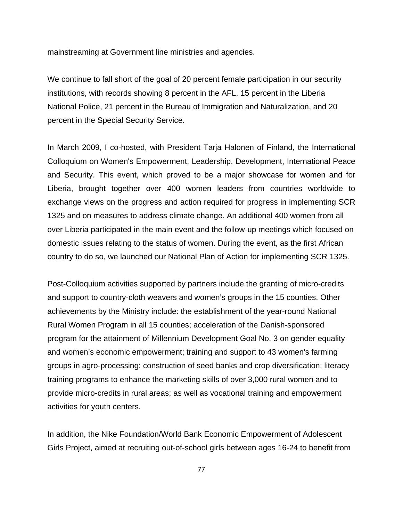mainstreaming at Government line ministries and agencies.

We continue to fall short of the goal of 20 percent female participation in our security institutions, with records showing 8 percent in the AFL, 15 percent in the Liberia National Police, 21 percent in the Bureau of Immigration and Naturalization, and 20 percent in the Special Security Service.

In March 2009, I co-hosted, with President Tarja Halonen of Finland, the International Colloquium on Women's Empowerment, Leadership, Development, International Peace and Security. This event, which proved to be a major showcase for women and for Liberia, brought together over 400 women leaders from countries worldwide to exchange views on the progress and action required for progress in implementing SCR 1325 and on measures to address climate change. An additional 400 women from all over Liberia participated in the main event and the follow-up meetings which focused on domestic issues relating to the status of women. During the event, as the first African country to do so, we launched our National Plan of Action for implementing SCR 1325.

Post-Colloquium activities supported by partners include the granting of micro-credits and support to country-cloth weavers and women's groups in the 15 counties. Other achievements by the Ministry include: the establishment of the year-round National Rural Women Program in all 15 counties; acceleration of the Danish-sponsored program for the attainment of Millennium Development Goal No. 3 on gender equality and women's economic empowerment; training and support to 43 women's farming groups in agro-processing; construction of seed banks and crop diversification; literacy training programs to enhance the marketing skills of over 3,000 rural women and to provide micro-credits in rural areas; as well as vocational training and empowerment activities for youth centers.

In addition, the Nike Foundation/World Bank Economic Empowerment of Adolescent Girls Project, aimed at recruiting out-of-school girls between ages 16-24 to benefit from

77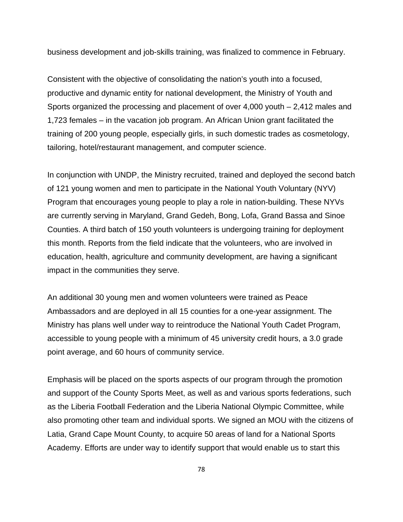business development and job-skills training, was finalized to commence in February.

Consistent with the objective of consolidating the nation's youth into a focused, productive and dynamic entity for national development, the Ministry of Youth and Sports organized the processing and placement of over 4,000 youth – 2,412 males and 1,723 females – in the vacation job program. An African Union grant facilitated the training of 200 young people, especially girls, in such domestic trades as cosmetology, tailoring, hotel/restaurant management, and computer science.

In conjunction with UNDP, the Ministry recruited, trained and deployed the second batch of 121 young women and men to participate in the National Youth Voluntary (NYV) Program that encourages young people to play a role in nation-building. These NYVs are currently serving in Maryland, Grand Gedeh, Bong, Lofa, Grand Bassa and Sinoe Counties. A third batch of 150 youth volunteers is undergoing training for deployment this month. Reports from the field indicate that the volunteers, who are involved in education, health, agriculture and community development, are having a significant impact in the communities they serve.

An additional 30 young men and women volunteers were trained as Peace Ambassadors and are deployed in all 15 counties for a one-year assignment. The Ministry has plans well under way to reintroduce the National Youth Cadet Program, accessible to young people with a minimum of 45 university credit hours, a 3.0 grade point average, and 60 hours of community service.

Emphasis will be placed on the sports aspects of our program through the promotion and support of the County Sports Meet, as well as and various sports federations, such as the Liberia Football Federation and the Liberia National Olympic Committee, while also promoting other team and individual sports. We signed an MOU with the citizens of Latia, Grand Cape Mount County, to acquire 50 areas of land for a National Sports Academy. Efforts are under way to identify support that would enable us to start this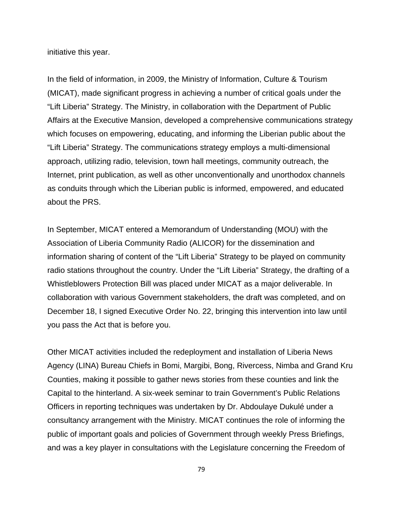initiative this year.

In the field of information, in 2009, the Ministry of Information, Culture & Tourism (MICAT), made significant progress in achieving a number of critical goals under the "Lift Liberia" Strategy. The Ministry, in collaboration with the Department of Public Affairs at the Executive Mansion, developed a comprehensive communications strategy which focuses on empowering, educating, and informing the Liberian public about the "Lift Liberia" Strategy. The communications strategy employs a multi-dimensional approach, utilizing radio, television, town hall meetings, community outreach, the Internet, print publication, as well as other unconventionally and unorthodox channels as conduits through which the Liberian public is informed, empowered, and educated about the PRS.

In September, MICAT entered a Memorandum of Understanding (MOU) with the Association of Liberia Community Radio (ALICOR) for the dissemination and information sharing of content of the "Lift Liberia" Strategy to be played on community radio stations throughout the country. Under the "Lift Liberia" Strategy, the drafting of a Whistleblowers Protection Bill was placed under MICAT as a major deliverable. In collaboration with various Government stakeholders, the draft was completed, and on December 18, I signed Executive Order No. 22, bringing this intervention into law until you pass the Act that is before you.

Other MICAT activities included the redeployment and installation of Liberia News Agency (LINA) Bureau Chiefs in Bomi, Margibi, Bong, Rivercess, Nimba and Grand Kru Counties, making it possible to gather news stories from these counties and link the Capital to the hinterland. A six-week seminar to train Government's Public Relations Officers in reporting techniques was undertaken by Dr. Abdoulaye Dukulé under a consultancy arrangement with the Ministry. MICAT continues the role of informing the public of important goals and policies of Government through weekly Press Briefings, and was a key player in consultations with the Legislature concerning the Freedom of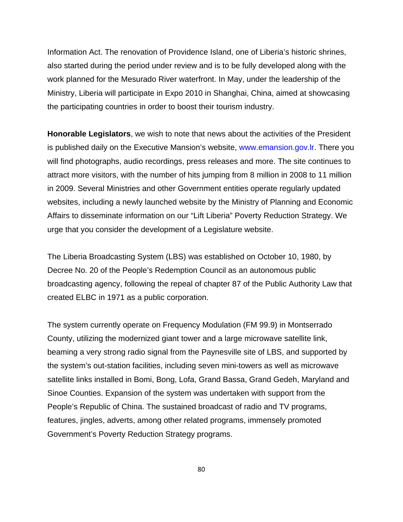Information Act. The renovation of Providence Island, one of Liberia's historic shrines, also started during the period under review and is to be fully developed along with the work planned for the Mesurado River waterfront. In May, under the leadership of the Ministry, Liberia will participate in Expo 2010 in Shanghai, China, aimed at showcasing the participating countries in order to boost their tourism industry.

**Honorable Legislators**, we wish to note that news about the activities of the President is published daily on the Executive Mansion's website, www.emansion.gov.lr. There you will find photographs, audio recordings, press releases and more. The site continues to attract more visitors, with the number of hits jumping from 8 million in 2008 to 11 million in 2009. Several Ministries and other Government entities operate regularly updated websites, including a newly launched website by the Ministry of Planning and Economic Affairs to disseminate information on our "Lift Liberia" Poverty Reduction Strategy. We urge that you consider the development of a Legislature website.

The Liberia Broadcasting System (LBS) was established on October 10, 1980, by Decree No. 20 of the People's Redemption Council as an autonomous public broadcasting agency, following the repeal of chapter 87 of the Public Authority Law that created ELBC in 1971 as a public corporation.

The system currently operate on Frequency Modulation (FM 99.9) in Montserrado County, utilizing the modernized giant tower and a large microwave satellite link, beaming a very strong radio signal from the Paynesville site of LBS, and supported by the system's out-station facilities, including seven mini-towers as well as microwave satellite links installed in Bomi, Bong, Lofa, Grand Bassa, Grand Gedeh, Maryland and Sinoe Counties. Expansion of the system was undertaken with support from the People's Republic of China. The sustained broadcast of radio and TV programs, features, jingles, adverts, among other related programs, immensely promoted Government's Poverty Reduction Strategy programs.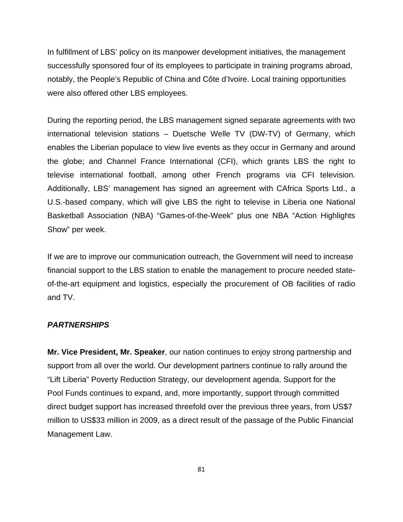In fulfillment of LBS' policy on its manpower development initiatives, the management successfully sponsored four of its employees to participate in training programs abroad, notably, the People's Republic of China and Côte d'Ivoire. Local training opportunities were also offered other LBS employees.

During the reporting period, the LBS management signed separate agreements with two international television stations – Duetsche Welle TV (DW-TV) of Germany, which enables the Liberian populace to view live events as they occur in Germany and around the globe; and Channel France International (CFI), which grants LBS the right to televise international football, among other French programs via CFI television. Additionally, LBS' management has signed an agreement with CAfrica Sports Ltd., a U.S.-based company, which will give LBS the right to televise in Liberia one National Basketball Association (NBA) "Games-of-the-Week" plus one NBA "Action Highlights Show" per week.

If we are to improve our communication outreach, the Government will need to increase financial support to the LBS station to enable the management to procure needed stateof-the-art equipment and logistics, especially the procurement of OB facilities of radio and TV.

## *PARTNERSHIPS*

**Mr. Vice President, Mr. Speaker**, our nation continues to enjoy strong partnership and support from all over the world. Our development partners continue to rally around the "Lift Liberia" Poverty Reduction Strategy, our development agenda. Support for the Pool Funds continues to expand, and, more importantly, support through committed direct budget support has increased threefold over the previous three years, from US\$7 million to US\$33 million in 2009, as a direct result of the passage of the Public Financial Management Law.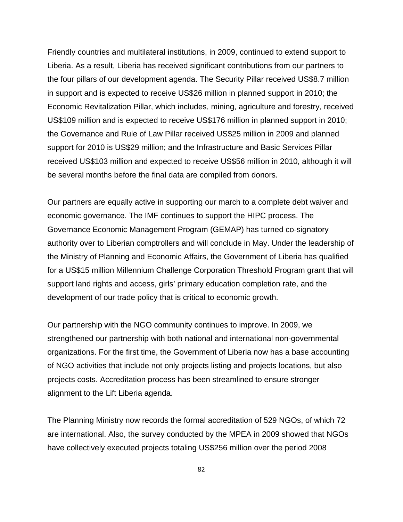Friendly countries and multilateral institutions, in 2009, continued to extend support to Liberia. As a result, Liberia has received significant contributions from our partners to the four pillars of our development agenda. The Security Pillar received US\$8.7 million in support and is expected to receive US\$26 million in planned support in 2010; the Economic Revitalization Pillar, which includes, mining, agriculture and forestry, received US\$109 million and is expected to receive US\$176 million in planned support in 2010; the Governance and Rule of Law Pillar received US\$25 million in 2009 and planned support for 2010 is US\$29 million; and the Infrastructure and Basic Services Pillar received US\$103 million and expected to receive US\$56 million in 2010, although it will be several months before the final data are compiled from donors.

Our partners are equally active in supporting our march to a complete debt waiver and economic governance. The IMF continues to support the HIPC process. The Governance Economic Management Program (GEMAP) has turned co-signatory authority over to Liberian comptrollers and will conclude in May. Under the leadership of the Ministry of Planning and Economic Affairs, the Government of Liberia has qualified for a US\$15 million Millennium Challenge Corporation Threshold Program grant that will support land rights and access, girls' primary education completion rate, and the development of our trade policy that is critical to economic growth.

Our partnership with the NGO community continues to improve. In 2009, we strengthened our partnership with both national and international non-governmental organizations. For the first time, the Government of Liberia now has a base accounting of NGO activities that include not only projects listing and projects locations, but also projects costs. Accreditation process has been streamlined to ensure stronger alignment to the Lift Liberia agenda.

The Planning Ministry now records the formal accreditation of 529 NGOs, of which 72 are international. Also, the survey conducted by the MPEA in 2009 showed that NGOs have collectively executed projects totaling US\$256 million over the period 2008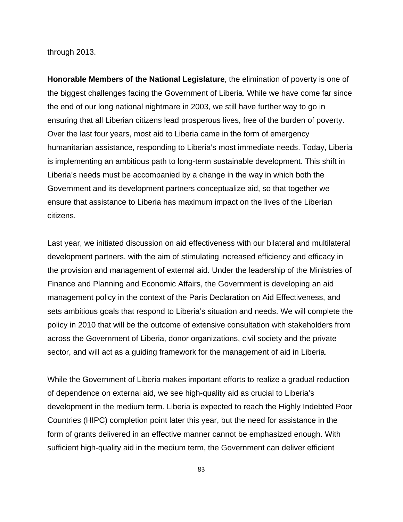through 2013.

**Honorable Members of the National Legislature**, the elimination of poverty is one of the biggest challenges facing the Government of Liberia. While we have come far since the end of our long national nightmare in 2003, we still have further way to go in ensuring that all Liberian citizens lead prosperous lives, free of the burden of poverty. Over the last four years, most aid to Liberia came in the form of emergency humanitarian assistance, responding to Liberia's most immediate needs. Today, Liberia is implementing an ambitious path to long-term sustainable development. This shift in Liberia's needs must be accompanied by a change in the way in which both the Government and its development partners conceptualize aid, so that together we ensure that assistance to Liberia has maximum impact on the lives of the Liberian citizens.

Last year, we initiated discussion on aid effectiveness with our bilateral and multilateral development partners, with the aim of stimulating increased efficiency and efficacy in the provision and management of external aid. Under the leadership of the Ministries of Finance and Planning and Economic Affairs, the Government is developing an aid management policy in the context of the Paris Declaration on Aid Effectiveness, and sets ambitious goals that respond to Liberia's situation and needs. We will complete the policy in 2010 that will be the outcome of extensive consultation with stakeholders from across the Government of Liberia, donor organizations, civil society and the private sector, and will act as a guiding framework for the management of aid in Liberia.

While the Government of Liberia makes important efforts to realize a gradual reduction of dependence on external aid, we see high-quality aid as crucial to Liberia's development in the medium term. Liberia is expected to reach the Highly Indebted Poor Countries (HIPC) completion point later this year, but the need for assistance in the form of grants delivered in an effective manner cannot be emphasized enough. With sufficient high-quality aid in the medium term, the Government can deliver efficient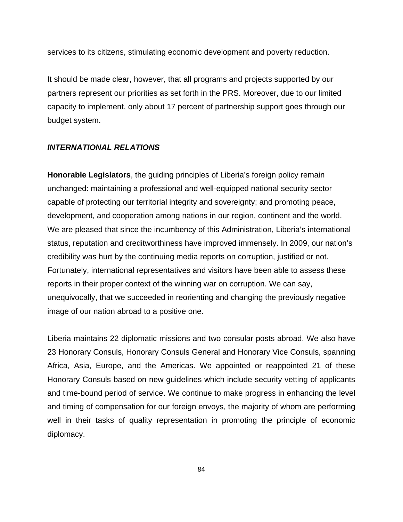services to its citizens, stimulating economic development and poverty reduction.

It should be made clear, however, that all programs and projects supported by our partners represent our priorities as set forth in the PRS. Moreover, due to our limited capacity to implement, only about 17 percent of partnership support goes through our budget system.

## *INTERNATIONAL RELATIONS*

**Honorable Legislators**, the guiding principles of Liberia's foreign policy remain unchanged: maintaining a professional and well-equipped national security sector capable of protecting our territorial integrity and sovereignty; and promoting peace, development, and cooperation among nations in our region, continent and the world. We are pleased that since the incumbency of this Administration, Liberia's international status, reputation and creditworthiness have improved immensely. In 2009, our nation's credibility was hurt by the continuing media reports on corruption, justified or not. Fortunately, international representatives and visitors have been able to assess these reports in their proper context of the winning war on corruption. We can say, unequivocally, that we succeeded in reorienting and changing the previously negative image of our nation abroad to a positive one.

Liberia maintains 22 diplomatic missions and two consular posts abroad. We also have 23 Honorary Consuls, Honorary Consuls General and Honorary Vice Consuls, spanning Africa, Asia, Europe, and the Americas. We appointed or reappointed 21 of these Honorary Consuls based on new guidelines which include security vetting of applicants and time-bound period of service. We continue to make progress in enhancing the level and timing of compensation for our foreign envoys, the majority of whom are performing well in their tasks of quality representation in promoting the principle of economic diplomacy.

84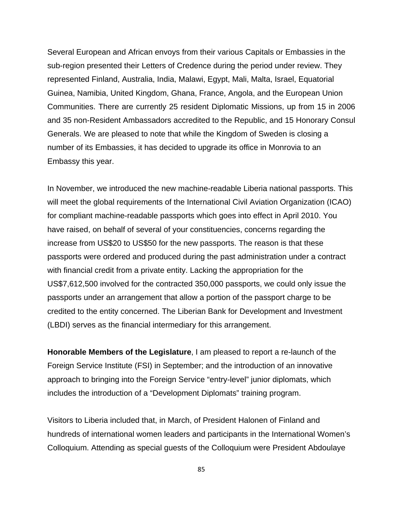Several European and African envoys from their various Capitals or Embassies in the sub-region presented their Letters of Credence during the period under review. They represented Finland, Australia, India, Malawi, Egypt, Mali, Malta, Israel, Equatorial Guinea, Namibia, United Kingdom, Ghana, France, Angola, and the European Union Communities. There are currently 25 resident Diplomatic Missions, up from 15 in 2006 and 35 non-Resident Ambassadors accredited to the Republic, and 15 Honorary Consul Generals. We are pleased to note that while the Kingdom of Sweden is closing a number of its Embassies, it has decided to upgrade its office in Monrovia to an Embassy this year.

In November, we introduced the new machine-readable Liberia national passports. This will meet the global requirements of the International Civil Aviation Organization (ICAO) for compliant machine-readable passports which goes into effect in April 2010. You have raised, on behalf of several of your constituencies, concerns regarding the increase from US\$20 to US\$50 for the new passports. The reason is that these passports were ordered and produced during the past administration under a contract with financial credit from a private entity. Lacking the appropriation for the US\$7,612,500 involved for the contracted 350,000 passports, we could only issue the passports under an arrangement that allow a portion of the passport charge to be credited to the entity concerned. The Liberian Bank for Development and Investment (LBDI) serves as the financial intermediary for this arrangement.

**Honorable Members of the Legislature**, I am pleased to report a re-launch of the Foreign Service Institute (FSI) in September; and the introduction of an innovative approach to bringing into the Foreign Service "entry-level" junior diplomats, which includes the introduction of a "Development Diplomats" training program.

Visitors to Liberia included that, in March, of President Halonen of Finland and hundreds of international women leaders and participants in the International Women's Colloquium. Attending as special guests of the Colloquium were President Abdoulaye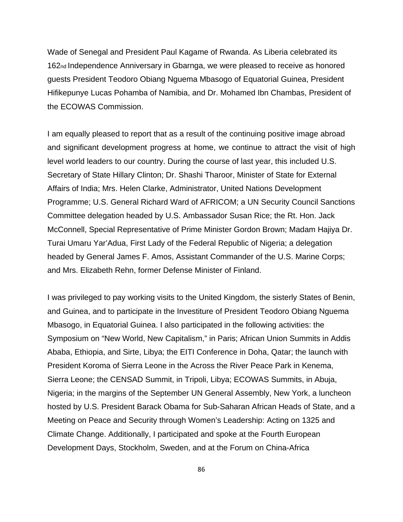Wade of Senegal and President Paul Kagame of Rwanda. As Liberia celebrated its 162nd Independence Anniversary in Gbarnga, we were pleased to receive as honored guests President Teodoro Obiang Nguema Mbasogo of Equatorial Guinea, President Hifikepunye Lucas Pohamba of Namibia, and Dr. Mohamed Ibn Chambas, President of the ECOWAS Commission.

I am equally pleased to report that as a result of the continuing positive image abroad and significant development progress at home, we continue to attract the visit of high level world leaders to our country. During the course of last year, this included U.S. Secretary of State Hillary Clinton; Dr. Shashi Tharoor, Minister of State for External Affairs of India; Mrs. Helen Clarke, Administrator, United Nations Development Programme; U.S. General Richard Ward of AFRICOM; a UN Security Council Sanctions Committee delegation headed by U.S. Ambassador Susan Rice; the Rt. Hon. Jack McConnell, Special Representative of Prime Minister Gordon Brown; Madam Hajiya Dr. Turai Umaru Yar'Adua, First Lady of the Federal Republic of Nigeria; a delegation headed by General James F. Amos, Assistant Commander of the U.S. Marine Corps; and Mrs. Elizabeth Rehn, former Defense Minister of Finland.

I was privileged to pay working visits to the United Kingdom, the sisterly States of Benin, and Guinea, and to participate in the Investiture of President Teodoro Obiang Nguema Mbasogo, in Equatorial Guinea. I also participated in the following activities: the Symposium on "New World, New Capitalism," in Paris; African Union Summits in Addis Ababa, Ethiopia, and Sirte, Libya; the EITI Conference in Doha, Qatar; the launch with President Koroma of Sierra Leone in the Across the River Peace Park in Kenema, Sierra Leone; the CENSAD Summit, in Tripoli, Libya; ECOWAS Summits, in Abuja, Nigeria; in the margins of the September UN General Assembly, New York, a luncheon hosted by U.S. President Barack Obama for Sub-Saharan African Heads of State, and a Meeting on Peace and Security through Women's Leadership: Acting on 1325 and Climate Change. Additionally, I participated and spoke at the Fourth European Development Days, Stockholm, Sweden, and at the Forum on China-Africa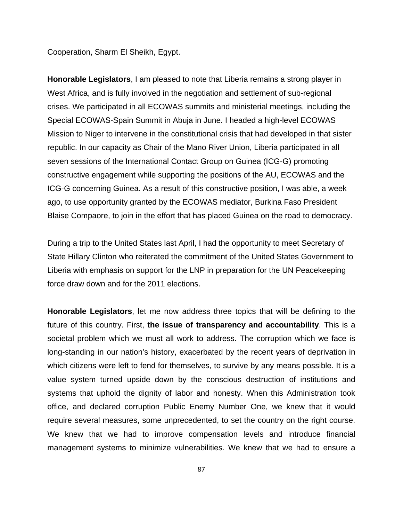Cooperation, Sharm El Sheikh, Egypt.

**Honorable Legislators**, I am pleased to note that Liberia remains a strong player in West Africa, and is fully involved in the negotiation and settlement of sub-regional crises. We participated in all ECOWAS summits and ministerial meetings, including the Special ECOWAS-Spain Summit in Abuja in June. I headed a high-level ECOWAS Mission to Niger to intervene in the constitutional crisis that had developed in that sister republic. In our capacity as Chair of the Mano River Union, Liberia participated in all seven sessions of the International Contact Group on Guinea (ICG-G) promoting constructive engagement while supporting the positions of the AU, ECOWAS and the ICG-G concerning Guinea. As a result of this constructive position, I was able, a week ago, to use opportunity granted by the ECOWAS mediator, Burkina Faso President Blaise Compaore, to join in the effort that has placed Guinea on the road to democracy.

During a trip to the United States last April, I had the opportunity to meet Secretary of State Hillary Clinton who reiterated the commitment of the United States Government to Liberia with emphasis on support for the LNP in preparation for the UN Peacekeeping force draw down and for the 2011 elections.

**Honorable Legislators**, let me now address three topics that will be defining to the future of this country. First, **the issue of transparency and accountability**. This is a societal problem which we must all work to address. The corruption which we face is long-standing in our nation's history, exacerbated by the recent years of deprivation in which citizens were left to fend for themselves, to survive by any means possible. It is a value system turned upside down by the conscious destruction of institutions and systems that uphold the dignity of labor and honesty. When this Administration took office, and declared corruption Public Enemy Number One, we knew that it would require several measures, some unprecedented, to set the country on the right course. We knew that we had to improve compensation levels and introduce financial management systems to minimize vulnerabilities. We knew that we had to ensure a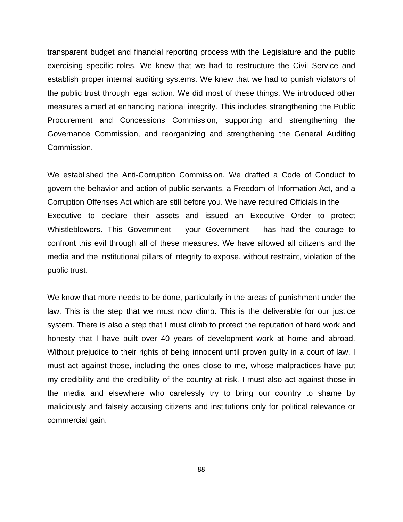transparent budget and financial reporting process with the Legislature and the public exercising specific roles. We knew that we had to restructure the Civil Service and establish proper internal auditing systems. We knew that we had to punish violators of the public trust through legal action. We did most of these things. We introduced other measures aimed at enhancing national integrity. This includes strengthening the Public Procurement and Concessions Commission, supporting and strengthening the Governance Commission, and reorganizing and strengthening the General Auditing Commission.

We established the Anti-Corruption Commission. We drafted a Code of Conduct to govern the behavior and action of public servants, a Freedom of Information Act, and a Corruption Offenses Act which are still before you. We have required Officials in the Executive to declare their assets and issued an Executive Order to protect Whistleblowers. This Government – your Government – has had the courage to confront this evil through all of these measures. We have allowed all citizens and the media and the institutional pillars of integrity to expose, without restraint, violation of the public trust.

We know that more needs to be done, particularly in the areas of punishment under the law. This is the step that we must now climb. This is the deliverable for our justice system. There is also a step that I must climb to protect the reputation of hard work and honesty that I have built over 40 years of development work at home and abroad. Without prejudice to their rights of being innocent until proven guilty in a court of law, I must act against those, including the ones close to me, whose malpractices have put my credibility and the credibility of the country at risk. I must also act against those in the media and elsewhere who carelessly try to bring our country to shame by maliciously and falsely accusing citizens and institutions only for political relevance or commercial gain.

88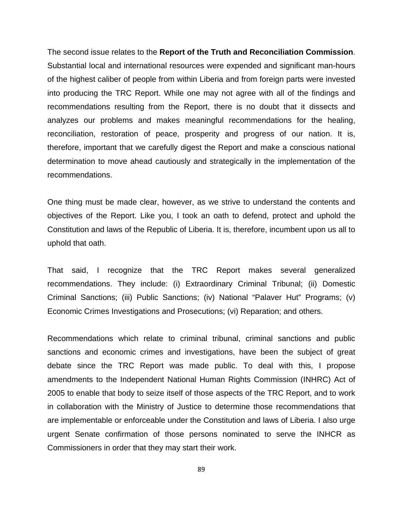The second issue relates to the **Report of the Truth and Reconciliation Commission**. Substantial local and international resources were expended and significant man-hours of the highest caliber of people from within Liberia and from foreign parts were invested into producing the TRC Report. While one may not agree with all of the findings and recommendations resulting from the Report, there is no doubt that it dissects and analyzes our problems and makes meaningful recommendations for the healing, reconciliation, restoration of peace, prosperity and progress of our nation. It is, therefore, important that we carefully digest the Report and make a conscious national determination to move ahead cautiously and strategically in the implementation of the recommendations.

One thing must be made clear, however, as we strive to understand the contents and objectives of the Report. Like you, I took an oath to defend, protect and uphold the Constitution and laws of the Republic of Liberia. It is, therefore, incumbent upon us all to uphold that oath.

That said, I recognize that the TRC Report makes several generalized recommendations. They include: (i) Extraordinary Criminal Tribunal; (ii) Domestic Criminal Sanctions; (iii) Public Sanctions; (iv) National "Palaver Hut" Programs; (v) Economic Crimes Investigations and Prosecutions; (vi) Reparation; and others.

Recommendations which relate to criminal tribunal, criminal sanctions and public sanctions and economic crimes and investigations, have been the subject of great debate since the TRC Report was made public. To deal with this, I propose amendments to the Independent National Human Rights Commission (INHRC) Act of 2005 to enable that body to seize itself of those aspects of the TRC Report, and to work in collaboration with the Ministry of Justice to determine those recommendations that are implementable or enforceable under the Constitution and laws of Liberia. I also urge urgent Senate confirmation of those persons nominated to serve the INHCR as Commissioners in order that they may start their work.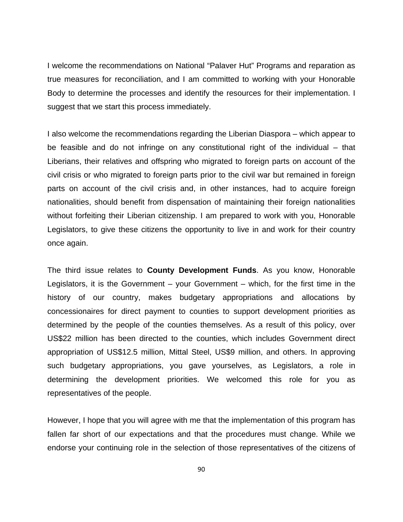I welcome the recommendations on National "Palaver Hut" Programs and reparation as true measures for reconciliation, and I am committed to working with your Honorable Body to determine the processes and identify the resources for their implementation. I suggest that we start this process immediately.

I also welcome the recommendations regarding the Liberian Diaspora – which appear to be feasible and do not infringe on any constitutional right of the individual – that Liberians, their relatives and offspring who migrated to foreign parts on account of the civil crisis or who migrated to foreign parts prior to the civil war but remained in foreign parts on account of the civil crisis and, in other instances, had to acquire foreign nationalities, should benefit from dispensation of maintaining their foreign nationalities without forfeiting their Liberian citizenship. I am prepared to work with you, Honorable Legislators, to give these citizens the opportunity to live in and work for their country once again.

The third issue relates to **County Development Funds**. As you know, Honorable Legislators, it is the Government – your Government – which, for the first time in the history of our country, makes budgetary appropriations and allocations by concessionaires for direct payment to counties to support development priorities as determined by the people of the counties themselves. As a result of this policy, over US\$22 million has been directed to the counties, which includes Government direct appropriation of US\$12.5 million, Mittal Steel, US\$9 million, and others. In approving such budgetary appropriations, you gave yourselves, as Legislators, a role in determining the development priorities. We welcomed this role for you as representatives of the people.

However, I hope that you will agree with me that the implementation of this program has fallen far short of our expectations and that the procedures must change. While we endorse your continuing role in the selection of those representatives of the citizens of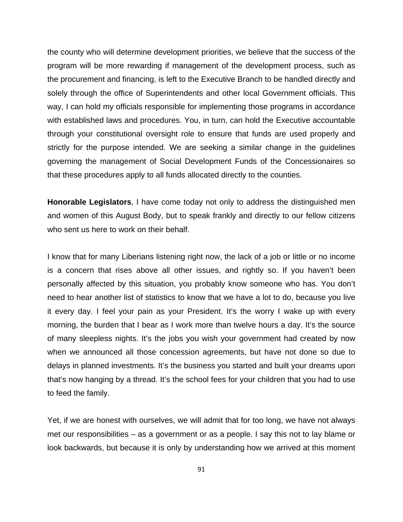the county who will determine development priorities, we believe that the success of the program will be more rewarding if management of the development process, such as the procurement and financing, is left to the Executive Branch to be handled directly and solely through the office of Superintendents and other local Government officials. This way, I can hold my officials responsible for implementing those programs in accordance with established laws and procedures. You, in turn, can hold the Executive accountable through your constitutional oversight role to ensure that funds are used properly and strictly for the purpose intended. We are seeking a similar change in the guidelines governing the management of Social Development Funds of the Concessionaires so that these procedures apply to all funds allocated directly to the counties.

**Honorable Legislators**, I have come today not only to address the distinguished men and women of this August Body, but to speak frankly and directly to our fellow citizens who sent us here to work on their behalf.

I know that for many Liberians listening right now, the lack of a job or little or no income is a concern that rises above all other issues, and rightly so. If you haven't been personally affected by this situation, you probably know someone who has. You don't need to hear another list of statistics to know that we have a lot to do, because you live it every day. I feel your pain as your President. It's the worry I wake up with every morning, the burden that I bear as I work more than twelve hours a day. It's the source of many sleepless nights. It's the jobs you wish your government had created by now when we announced all those concession agreements, but have not done so due to delays in planned investments. It's the business you started and built your dreams upon that's now hanging by a thread. It's the school fees for your children that you had to use to feed the family.

Yet, if we are honest with ourselves, we will admit that for too long, we have not always met our responsibilities – as a government or as a people. I say this not to lay blame or look backwards, but because it is only by understanding how we arrived at this moment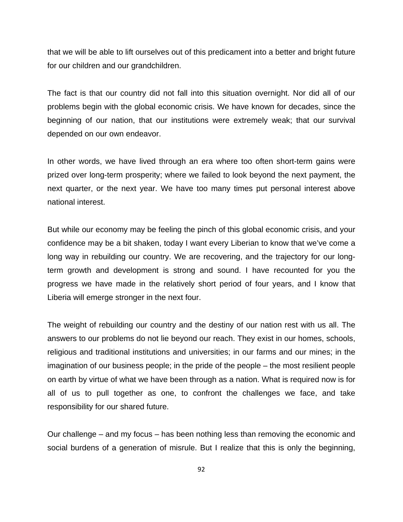that we will be able to lift ourselves out of this predicament into a better and bright future for our children and our grandchildren.

The fact is that our country did not fall into this situation overnight. Nor did all of our problems begin with the global economic crisis. We have known for decades, since the beginning of our nation, that our institutions were extremely weak; that our survival depended on our own endeavor.

In other words, we have lived through an era where too often short-term gains were prized over long-term prosperity; where we failed to look beyond the next payment, the next quarter, or the next year. We have too many times put personal interest above national interest.

But while our economy may be feeling the pinch of this global economic crisis, and your confidence may be a bit shaken, today I want every Liberian to know that we've come a long way in rebuilding our country. We are recovering, and the trajectory for our longterm growth and development is strong and sound. I have recounted for you the progress we have made in the relatively short period of four years, and I know that Liberia will emerge stronger in the next four.

The weight of rebuilding our country and the destiny of our nation rest with us all. The answers to our problems do not lie beyond our reach. They exist in our homes, schools, religious and traditional institutions and universities; in our farms and our mines; in the imagination of our business people; in the pride of the people – the most resilient people on earth by virtue of what we have been through as a nation. What is required now is for all of us to pull together as one, to confront the challenges we face, and take responsibility for our shared future.

Our challenge – and my focus – has been nothing less than removing the economic and social burdens of a generation of misrule. But I realize that this is only the beginning,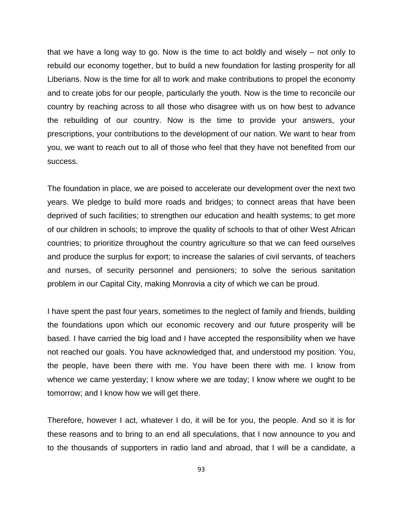that we have a long way to go. Now is the time to act boldly and wisely – not only to rebuild our economy together, but to build a new foundation for lasting prosperity for all Liberians. Now is the time for all to work and make contributions to propel the economy and to create jobs for our people, particularly the youth. Now is the time to reconcile our country by reaching across to all those who disagree with us on how best to advance the rebuilding of our country. Now is the time to provide your answers, your prescriptions, your contributions to the development of our nation. We want to hear from you, we want to reach out to all of those who feel that they have not benefited from our success.

The foundation in place, we are poised to accelerate our development over the next two years. We pledge to build more roads and bridges; to connect areas that have been deprived of such facilities; to strengthen our education and health systems; to get more of our children in schools; to improve the quality of schools to that of other West African countries; to prioritize throughout the country agriculture so that we can feed ourselves and produce the surplus for export; to increase the salaries of civil servants, of teachers and nurses, of security personnel and pensioners; to solve the serious sanitation problem in our Capital City, making Monrovia a city of which we can be proud.

I have spent the past four years, sometimes to the neglect of family and friends, building the foundations upon which our economic recovery and our future prosperity will be based. I have carried the big load and I have accepted the responsibility when we have not reached our goals. You have acknowledged that, and understood my position. You, the people, have been there with me. You have been there with me. I know from whence we came yesterday; I know where we are today; I know where we ought to be tomorrow; and I know how we will get there.

Therefore, however I act, whatever I do, it will be for you, the people. And so it is for these reasons and to bring to an end all speculations, that I now announce to you and to the thousands of supporters in radio land and abroad, that I will be a candidate, a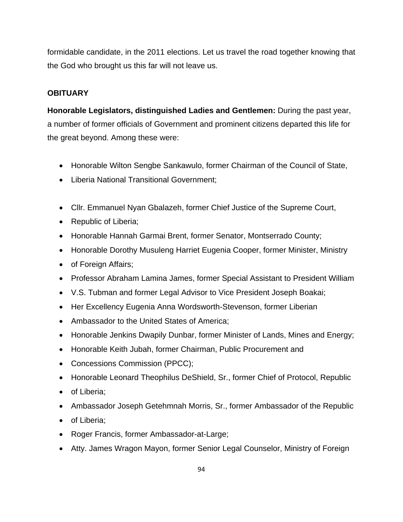formidable candidate, in the 2011 elections. Let us travel the road together knowing that the God who brought us this far will not leave us.

## **OBITUARY**

**Honorable Legislators, distinguished Ladies and Gentlemen:** During the past year, a number of former officials of Government and prominent citizens departed this life for the great beyond. Among these were:

- Honorable Wilton Sengbe Sankawulo, former Chairman of the Council of State,
- Liberia National Transitional Government;
- Cllr. Emmanuel Nyan Gbalazeh, former Chief Justice of the Supreme Court,
- Republic of Liberia;
- Honorable Hannah Garmai Brent, former Senator, Montserrado County;
- Honorable Dorothy Musuleng Harriet Eugenia Cooper, former Minister, Ministry
- of Foreign Affairs;
- Professor Abraham Lamina James, former Special Assistant to President William
- V.S. Tubman and former Legal Advisor to Vice President Joseph Boakai;
- Her Excellency Eugenia Anna Wordsworth-Stevenson, former Liberian
- Ambassador to the United States of America;
- Honorable Jenkins Dwapily Dunbar, former Minister of Lands, Mines and Energy;
- Honorable Keith Jubah, former Chairman, Public Procurement and
- Concessions Commission (PPCC);
- Honorable Leonard Theophilus DeShield, Sr., former Chief of Protocol, Republic
- of Liberia;
- Ambassador Joseph Getehmnah Morris, Sr., former Ambassador of the Republic
- of Liberia;
- Roger Francis, former Ambassador-at-Large;
- Atty. James Wragon Mayon, former Senior Legal Counselor, Ministry of Foreign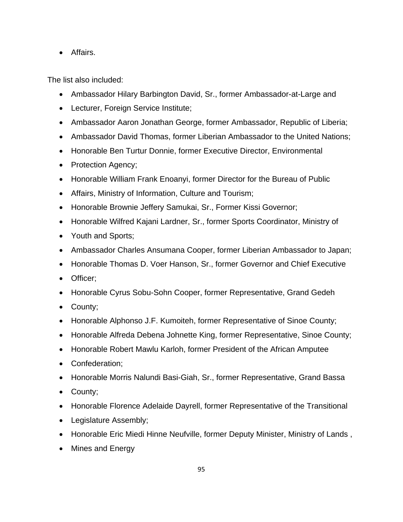• Affairs.

The list also included:

- Ambassador Hilary Barbington David, Sr., former Ambassador-at-Large and
- Lecturer, Foreign Service Institute;
- Ambassador Aaron Jonathan George, former Ambassador, Republic of Liberia;
- Ambassador David Thomas, former Liberian Ambassador to the United Nations;
- Honorable Ben Turtur Donnie, former Executive Director, Environmental
- Protection Agency;
- Honorable William Frank Enoanyi, former Director for the Bureau of Public
- Affairs, Ministry of Information, Culture and Tourism;
- Honorable Brownie Jeffery Samukai, Sr., Former Kissi Governor;
- Honorable Wilfred Kajani Lardner, Sr., former Sports Coordinator, Ministry of
- Youth and Sports;
- Ambassador Charles Ansumana Cooper, former Liberian Ambassador to Japan;
- Honorable Thomas D. Voer Hanson, Sr., former Governor and Chief Executive
- Officer;
- Honorable Cyrus Sobu-Sohn Cooper, former Representative, Grand Gedeh
- County;
- Honorable Alphonso J.F. Kumoiteh, former Representative of Sinoe County;
- Honorable Alfreda Debena Johnette King, former Representative, Sinoe County;
- Honorable Robert Mawlu Karloh, former President of the African Amputee
- Confederation;
- Honorable Morris Nalundi Basi-Giah, Sr., former Representative, Grand Bassa
- County;
- Honorable Florence Adelaide Dayrell, former Representative of the Transitional
- Legislature Assembly;
- Honorable Eric Miedi Hinne Neufville, former Deputy Minister, Ministry of Lands,
- Mines and Energy